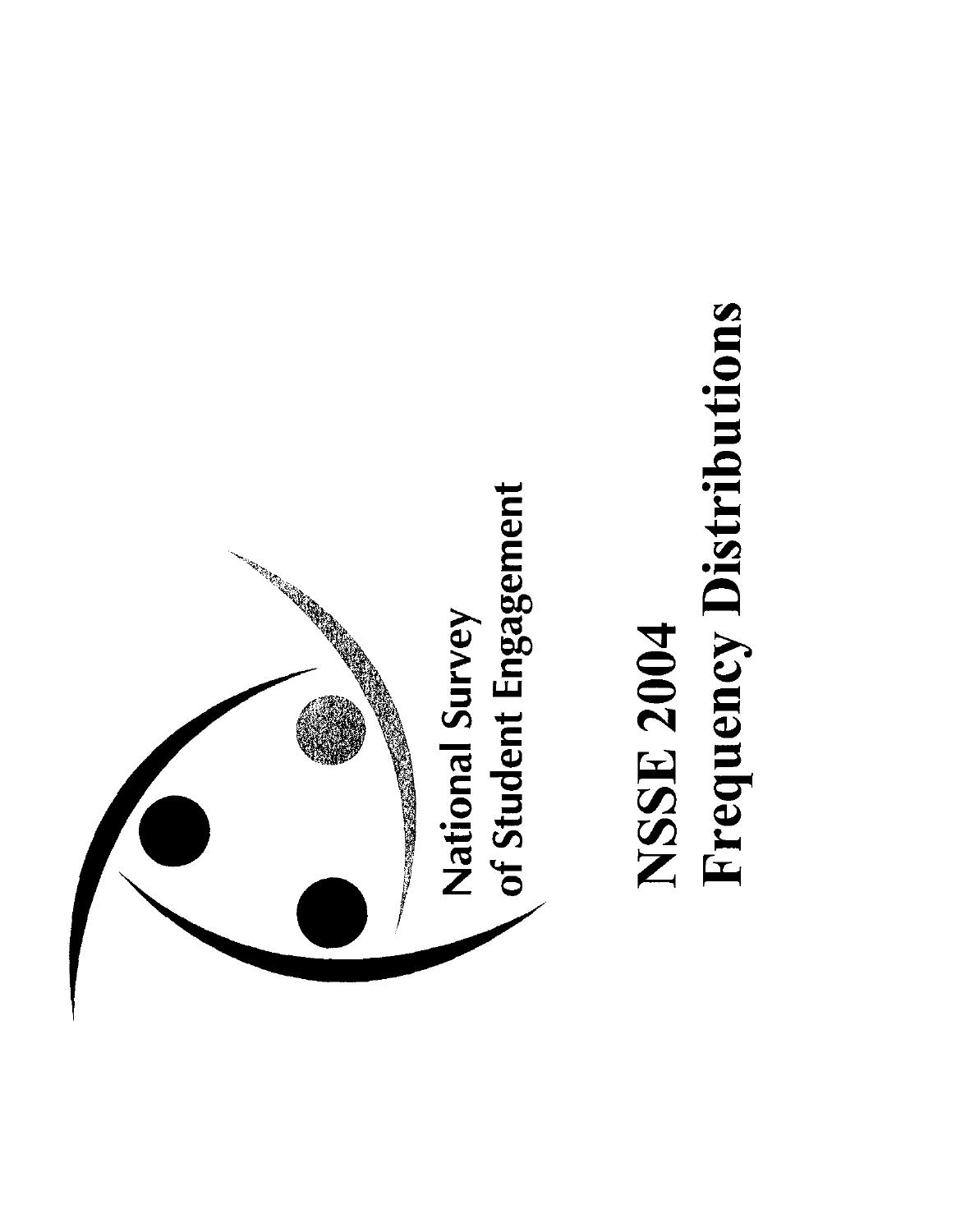

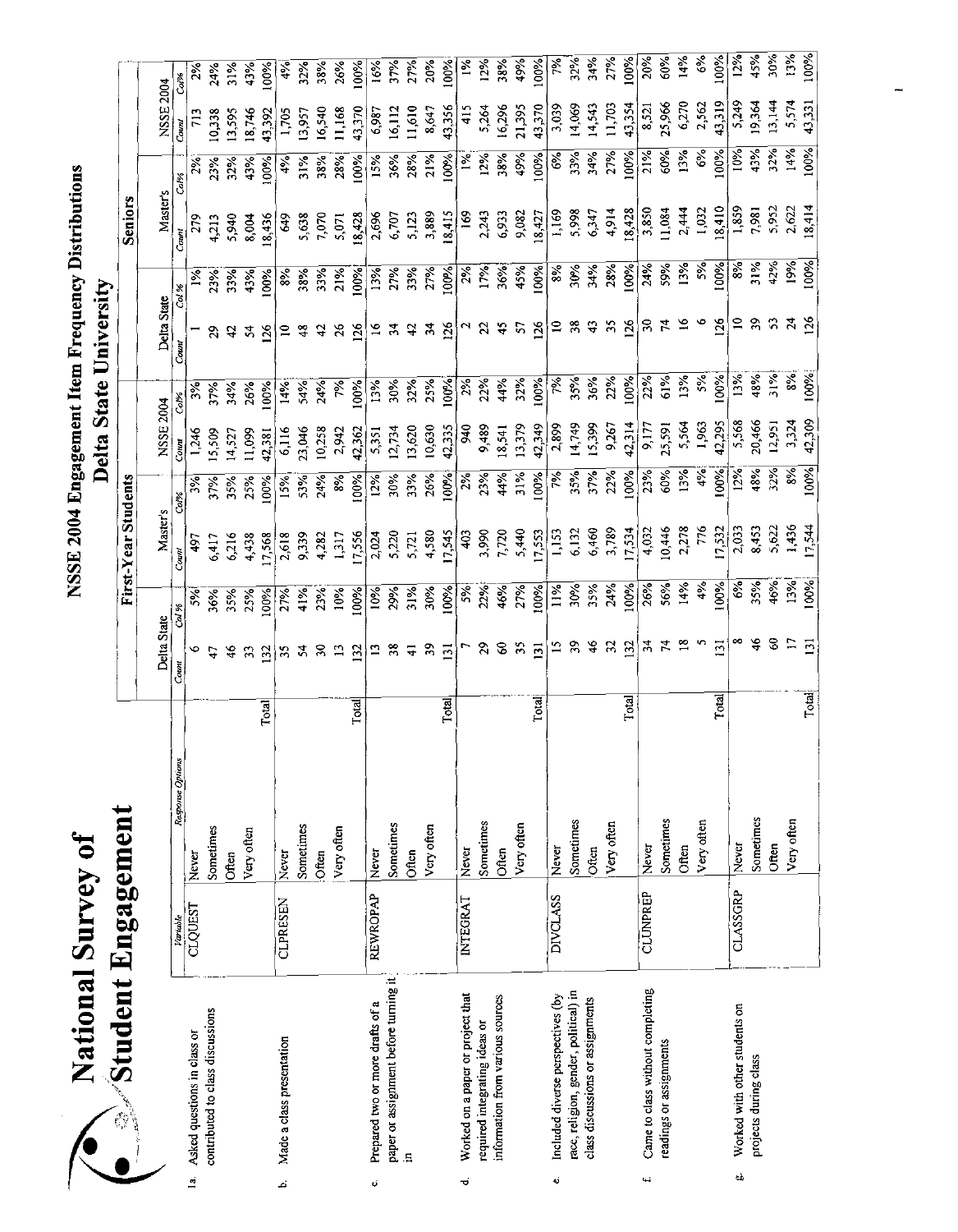| $\vec{0}$<br>Survey<br>Ç<br>ational | Engagement<br>itudent |
|-------------------------------------|-----------------------|
|                                     | Ĝ                     |
|                                     |                       |

|                | $\gg$ Student Engagement              |                 |                  |                  |                         | First-Year Students |        |                        |            |                            |                                                                                   | <b>Seniors</b> |               |                  |               |
|----------------|---------------------------------------|-----------------|------------------|------------------|-------------------------|---------------------|--------|------------------------|------------|----------------------------|-----------------------------------------------------------------------------------|----------------|---------------|------------------|---------------|
|                |                                       |                 |                  |                  |                         |                     |        |                        |            |                            |                                                                                   |                |               |                  |               |
|                |                                       |                 |                  | Delta State      |                         | Master <sub>s</sub> |        | NSSE 2004              |            | Delta State                |                                                                                   | Master's       |               | NSSE 2004        |               |
|                |                                       | variable        | Response Options | Count            | Co. %                   | Count               | $Co\%$ | Count                  | Co.%       | Count                      | Col %                                                                             | Count          | Col%          | Count            | Col%          |
| $\overline{a}$ | Asked questions in class or           | <b>CLQUEST</b>  | Never            |                  | $\frac{5}{6}$           | 497                 | ર્જ્   | 1,246                  |            |                            |                                                                                   | 279            |               | 713              |               |
|                | contributed to class discussions      |                 | Sometimes        |                  | 36%                     | 6,417               | 37%    | 15,509                 | 37%        | 2                          | 23%                                                                               | 4,213          | 23%           | 10,338           | 24%           |
|                |                                       |                 | Often            |                  | 35%                     | 6,216               | 35%    | 14,527                 | 34%        | a,                         | 33%                                                                               | 5,940          | 32%           | 13,595           | 31%           |
|                |                                       |                 | Very often       | 33               | 2.5%                    | 4,438               | 25%    | 11,099                 | 26%        | $\mathbf{r}$               | 43%                                                                               | 8,004          | 43%           | 18,746           | 43%           |
|                |                                       |                 | Total            | $\frac{132}{1}$  | 00%                     | 17,568              | 100%   | 42,381                 | 60%        | $\overline{26}$            | 60%                                                                               | 18,436         | 100%          | 43.392           | 100%          |
| ۵.             | Made a class presentation             | CLPRESEN        | Never            |                  |                         | 2,618               | 15%    | 6,116                  | 14%        |                            | $\frac{8}{3}$                                                                     | 649            | 4%            | 1,705            | 4%            |
|                |                                       |                 | Sometimes        | 35               | 27%<br>41%<br>23%       | 9,339               | 53%    | 23,046                 | 54%        |                            |                                                                                   | 5,638          | 31%           | 13,957           | 32%           |
|                |                                       |                 | <b>Often</b>     | $\approx$        |                         | 4,282               | 24%    | 10,258                 | 24%        | đ                          | 38%<br>33%                                                                        | 7,070          | 38%           | 16,540           | 38%           |
|                |                                       |                 | Very often       | $\mathbf{L}$     | 10%                     | 1.317               | 8%     | 2,942                  | 7%         | $\frac{5}{2}$              | 21%                                                                               | 5,071          | 28%           | 11,168           | 26%           |
|                |                                       |                 | Total            | $\overline{32}$  | 100%                    | 17,556              | 100%   | 42,362                 | 100%       | $^{56}$                    | 100%                                                                              | 18,428         | 100%          | 43,370           | 100%          |
| ¢              | Prepared two or more drafts of a      | REWROPAP        | Never            |                  |                         | 2,024               | 12%    | 5,351                  | 13%        | $\tilde{a}$                |                                                                                   | 2,696          | 15%           | 6,987            | 16%           |
|                | paper or assignment before turning it |                 | Sometimes        | 38               | 10%<br>29%              | 5,220               | 30%    | 12,734                 | 30%        |                            | 13%<br>27%                                                                        | 6,707          | 36%           | 16,112           | 37%           |
|                | $\Xi$                                 |                 | Often            | 급                | 31%<br>30%              | 5,721               | 3.3%   | 13,620                 | 32%        | $\boldsymbol{\mathcal{L}}$ | 33%                                                                               | 5,123          | 28%           | 11,610           | 27%           |
|                |                                       |                 | Very often       | $\,$ 50          |                         | 4,580               | 26%    | 10,630                 | 25%        | $\frac{3}{4}$              | 27%                                                                               | 3,889          | 21%           | 8,647            | 20%           |
|                |                                       |                 | Total            | $\overline{131}$ | 100%                    | 17,545              | 100%   | 42,335                 | 100%       | 126                        | 100%                                                                              | 18,415         | 100%          | 43,356           | 100%          |
| ಕ              | Worked on a paper or project that     | <b>INTEGRAT</b> | Never            |                  |                         | 403                 | 2%     | 9,489                  | $2\%$      |                            |                                                                                   | 169            | $1\%$         | 415              | $1\%$         |
|                | required integrating ideas or         |                 | Sometimes        |                  |                         |                     | 23%    |                        | 22%        | $\mathfrak{Z}$             |                                                                                   | 2,243          | 12%           | 5,264            | 12%           |
|                | information from various sources      |                 | Often            | 3                | 5%<br>22%<br>46%<br>27% | 3,990<br>7,720      | 44%    | 18,541<br>13,379       |            | 45                         | $\frac{28}{17%}$<br>$\frac{17%}{17%}$<br>$\frac{17%}{17%}$<br>$\frac{100%}{100%}$ | 6,933          | 38%           | 16,296<br>21,395 | 38%           |
|                |                                       |                 | Very often       | $\mathfrak{Z}$   |                         | 5,440               | 31%    |                        | 44%<br>32% | 5                          |                                                                                   | 9,082          | 49%           |                  | 49%           |
|                |                                       |                 | Total            | $\overline{131}$ | 100%                    | 17,553              | 100%   | 42,349                 | 100%       | $\frac{26}{2}$             |                                                                                   | 18,427         | 100%          | 43,370           | 100%          |
| نه             | Included diverse perspectives (by     | <b>DIVCLASS</b> | Never            |                  | 11%                     | 1,153               | 7%     | 2,899                  | 7%         | $\Xi$                      | 8%                                                                                | 1,169          | 6%            | 3,039            | 7%            |
|                | race, religion, gender, political) in |                 | Sometimes        |                  |                         | 6,132               | 35%    | 14,749                 | 35%        | $\frac{8}{2}$              | 30%                                                                               | 5,998          | 33%           | 14,069           | 32%           |
|                | class discussions or assignments      |                 | Often            |                  | 30%<br>35%<br>24%       | 6,460               | 37%    | 15,399                 | 36%        | $\ddot{e}$                 | 34%                                                                               | 6,347          | 34%           | 14,543<br>11,703 | 34%           |
|                |                                       |                 | Very often       | 32               |                         | 3,789               | 22%    | 9,267                  | 22%        | 55                         | 28%                                                                               | 4,914          | 27%           |                  | 27%           |
|                |                                       |                 | Total            | 132              |                         | 17,534              | 100%   |                        | 100%       | 126                        | 100%                                                                              | 18,428         | 100%          | 43,354           | 100%          |
| t.             | Came to class without completing      | CLUNPREP        | Never            |                  | 100%<br>26%             | 4,032               | 23%    | $\frac{42,314}{9,177}$ | 22%        | g                          | 24%                                                                               | 3,850          | 21%           | 8,521            | 20%           |
|                | readings or assignments               |                 | Sometimes        |                  | 56%                     | 10,446              | 60%    | 25,591                 | 61%        |                            | 59%                                                                               | 11,084         | 60%           | 25,966           | 60%           |
|                |                                       |                 | Often            |                  | 14%                     | 2,278               | 13%    | 5,564                  | 13%        | $\tilde{e}$                | 13%                                                                               | 2,444          | 13%           | 6,270            | 14%           |
|                |                                       |                 | Very often       |                  | 4%                      | 776                 | 4%     | $1,963$<br>42,295      | 5%         |                            | 5%                                                                                | 1,032          | $\frac{6}{5}$ | 2,562            | $\frac{6}{3}$ |
|                |                                       |                 | Total            | $\overline{131}$ | 100%                    | 17,532              | 100%   |                        | 100%       | 126                        | 100%                                                                              | 18,410         | 100%          | 43,319           | 100%          |
|                | Worked with other students on<br>tù,  | CLASSGRP        | Never            |                  | 6%                      | 2,033               | 12%    | 5,568                  | 13%        | $\subseteq$                | 8%                                                                                | 1,859          | 10%           | 5,249            | 12%           |
|                | projects during class                 |                 | Sometimes        |                  | 35%<br>46%              | 8,453               | 48%    | 20,466                 | 48%        | 39                         | $\frac{31\%}{42\%}$                                                               | 7,981          | 43%           | 19,364           | 45%           |
|                |                                       |                 | Often            |                  |                         | 5,622               | 32%    | 12,951                 | 31%        |                            |                                                                                   | 5,952          | 32%           | 13,144           | 30%           |
|                |                                       |                 | Very often       |                  | 13%                     | 1,436               | 8%     | 3,324                  | 8%         | $\frac{24}{126}$           | 19%                                                                               | 2,622          | 14%           | 5,574            | 13%           |
|                |                                       |                 | Total            | $\overline{131}$ | 100%                    | 17544               | 100%   | 42.309                 | 100%       |                            | 100%                                                                              | 18,414         | 100%          | 43,331           | $100^{\circ}$ |

 $\overline{\phantom{a}}$  $\overline{a}$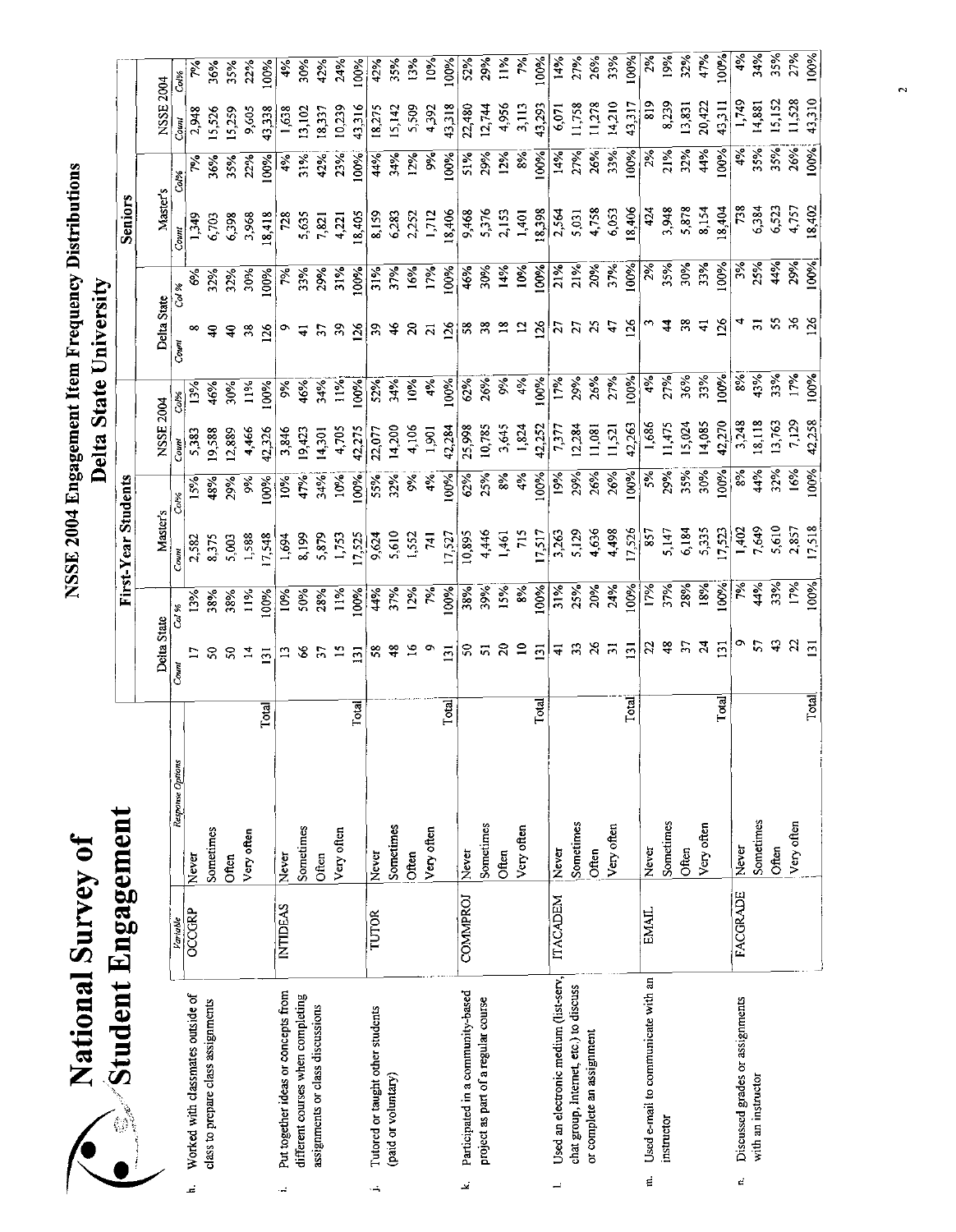| $\ddot{\bullet}$<br>rvev<br>$\overline{\mathbf{S}}$<br>ational | <b>Ungagement</b><br>Student |
|----------------------------------------------------------------|------------------------------|
|                                                                | <b>The Second Property</b>   |

| i.                                      |                                                                                                                                                                                                                                  |                                                                     |                                                       |                                         |                             | First-Year Students                                                                                                                          |                                                                                       |                                             |                                                                            |                                                     |                              | <b>Seniors</b>                                                                                                                                     |                                                              |                                              |                                                                                                                               |
|-----------------------------------------|----------------------------------------------------------------------------------------------------------------------------------------------------------------------------------------------------------------------------------|---------------------------------------------------------------------|-------------------------------------------------------|-----------------------------------------|-----------------------------|----------------------------------------------------------------------------------------------------------------------------------------------|---------------------------------------------------------------------------------------|---------------------------------------------|----------------------------------------------------------------------------|-----------------------------------------------------|------------------------------|----------------------------------------------------------------------------------------------------------------------------------------------------|--------------------------------------------------------------|----------------------------------------------|-------------------------------------------------------------------------------------------------------------------------------|
|                                         |                                                                                                                                                                                                                                  |                                                                     |                                                       |                                         |                             |                                                                                                                                              |                                                                                       |                                             |                                                                            |                                                     |                              |                                                                                                                                                    |                                                              |                                              |                                                                                                                               |
|                                         | Variable                                                                                                                                                                                                                         | Response Options                                                    |                                                       |                                         |                             |                                                                                                                                              |                                                                                       | Coun                                        | Co36                                                                       | Count                                               |                              | Count                                                                                                                                              | Col%                                                         |                                              | Col%                                                                                                                          |
| Worked with classmates outside of       |                                                                                                                                                                                                                                  | Never                                                               |                                                       |                                         | 13%                         | 2,582                                                                                                                                        | 15%                                                                                   | 5,383                                       | $13\%$                                                                     |                                                     | \$%                          | 1,349                                                                                                                                              |                                                              | 2,948                                        |                                                                                                                               |
| class to prepare class assignments      |                                                                                                                                                                                                                                  | Sometimes                                                           |                                                       | S                                       | 38%                         | 8,375                                                                                                                                        | 48%                                                                                   | 19,588                                      | 46%                                                                        | ੩                                                   | 32%                          | 6,703                                                                                                                                              | 36%                                                          | 15,526                                       | 36%                                                                                                                           |
|                                         |                                                                                                                                                                                                                                  | Often                                                               |                                                       | ຂ                                       | 38%                         | 5,003                                                                                                                                        | 29%                                                                                   | 2,889                                       | 30%                                                                        | ş                                                   | 32%                          |                                                                                                                                                    | 35%                                                          | 15,259                                       | 35%                                                                                                                           |
|                                         |                                                                                                                                                                                                                                  | Very often                                                          |                                                       | $\vec{a}$                               | 11%                         | 1,588                                                                                                                                        | $\frac{8}{3}$                                                                         | 4,466                                       | $\frac{5}{2}$                                                              | 38                                                  | 30%                          | 3,968                                                                                                                                              | 22%                                                          | 9,605                                        | 22%                                                                                                                           |
|                                         |                                                                                                                                                                                                                                  |                                                                     |                                                       | 131                                     | 00%                         | 7,548                                                                                                                                        | 100%                                                                                  | 42,326                                      | 100%                                                                       | 126                                                 | 100%                         | 18,418                                                                                                                                             | 60%                                                          | 43,338                                       | $\frac{88}{3}$                                                                                                                |
| Put together ideas or concepts from     | <b>INTIDEAS</b>                                                                                                                                                                                                                  | Never                                                               |                                                       |                                         | 10%                         | 1,694                                                                                                                                        | 10%                                                                                   | 3,846                                       | δg                                                                         | o                                                   | 7%                           | 728                                                                                                                                                | 4%                                                           | 1,638                                        | 4%                                                                                                                            |
|                                         |                                                                                                                                                                                                                                  |                                                                     |                                                       |                                         | 50%                         | 8,199                                                                                                                                        | 47%                                                                                   | 19,423                                      | 46%                                                                        | ₹                                                   | 33%                          | 5,635                                                                                                                                              | $31\%$                                                       | 13,102                                       | 30%                                                                                                                           |
|                                         |                                                                                                                                                                                                                                  |                                                                     |                                                       |                                         |                             | 5,879                                                                                                                                        | 34%                                                                                   | 14,301                                      | 34%                                                                        | P.                                                  |                              | 7,821                                                                                                                                              | 42%                                                          | 18,33                                        | 42%                                                                                                                           |
|                                         |                                                                                                                                                                                                                                  | Very often                                                          |                                                       | $\mathbf{r}$                            | 11%                         |                                                                                                                                              | 10%                                                                                   | 4,705                                       | 11%                                                                        | $\mathfrak{L}$                                      |                              | 4,221                                                                                                                                              | 23%                                                          | 10,239                                       | 24%                                                                                                                           |
|                                         |                                                                                                                                                                                                                                  |                                                                     |                                                       | $\Xi$                                   |                             | 17,525                                                                                                                                       | 100%                                                                                  |                                             | 6%                                                                         |                                                     |                              | 18,405                                                                                                                                             | 100%                                                         | 43,316                                       | 100%                                                                                                                          |
| Tutored or taught other students        | TUTOR                                                                                                                                                                                                                            | Never                                                               |                                                       | 58                                      | 44%                         | 9,624                                                                                                                                        | 55%                                                                                   | 22,077                                      | 52%                                                                        | $\mathfrak{L}$                                      | 31%                          | 8,159                                                                                                                                              | 44%                                                          | 18,27                                        | 42%                                                                                                                           |
|                                         |                                                                                                                                                                                                                                  | Sometimes                                                           |                                                       | 48                                      |                             | <b>010</b>                                                                                                                                   |                                                                                       | 14,200                                      | 34%                                                                        | $\frac{6}{4}$                                       |                              | 6,283                                                                                                                                              | 34%                                                          | 15,142                                       | 3.5%                                                                                                                          |
|                                         |                                                                                                                                                                                                                                  | Often                                                               |                                                       |                                         |                             | 1,552                                                                                                                                        | 9%                                                                                    | 4,106                                       | $10\%$                                                                     | $\mathbf{z}$                                        | 16%                          | 2,252                                                                                                                                              | 12%                                                          | 5,509                                        | 13%                                                                                                                           |
|                                         |                                                                                                                                                                                                                                  | Very often                                                          |                                                       |                                         | $50 -$                      | $\overline{1}$                                                                                                                               | 4%                                                                                    | 1,901                                       | 4%                                                                         | $\overline{z}$                                      | 17%                          | 1712                                                                                                                                               | $\frac{5}{26}$                                               | 4,392                                        | 10%                                                                                                                           |
|                                         |                                                                                                                                                                                                                                  |                                                                     |                                                       | 131                                     | 100%                        | 17,527                                                                                                                                       | 100%                                                                                  | 42,284                                      | 100%                                                                       | <u>126</u>                                          | 100%                         | 18,406                                                                                                                                             | 100%                                                         |                                              | 100%                                                                                                                          |
| Participated in a community-based<br>تح |                                                                                                                                                                                                                                  | Never                                                               |                                                       | 50                                      |                             |                                                                                                                                              | 62%                                                                                   | 25,998                                      | 62%                                                                        | $58\,$                                              | 46%                          | 9,468                                                                                                                                              | 51%                                                          |                                              | 52%                                                                                                                           |
|                                         |                                                                                                                                                                                                                                  | Sometimes                                                           |                                                       | 5                                       |                             | 4,446                                                                                                                                        | 25%                                                                                   |                                             | 26%                                                                        | $\frac{8}{2}$                                       | 30%                          |                                                                                                                                                    | 29%                                                          |                                              | 29%                                                                                                                           |
|                                         |                                                                                                                                                                                                                                  | Often                                                               |                                                       | $\approx$                               | 15%                         | 1,461                                                                                                                                        | $8\%$                                                                                 | 3,645                                       | 9%                                                                         | $\approx$                                           |                              | 2,153                                                                                                                                              | 12%                                                          | 4,956                                        | $11\%$                                                                                                                        |
|                                         |                                                                                                                                                                                                                                  | Very often                                                          |                                                       | $\approx$                               |                             |                                                                                                                                              |                                                                                       |                                             | 4%                                                                         | $\mathbf{a}$                                        |                              | 1,401                                                                                                                                              | $\frac{1}{8}$                                                |                                              | $\frac{5}{6}$                                                                                                                 |
|                                         |                                                                                                                                                                                                                                  |                                                                     |                                                       | <u>ថា</u>                               |                             |                                                                                                                                              | 100%                                                                                  | 42,252                                      | 100%                                                                       | 26                                                  |                              |                                                                                                                                                    | 100%                                                         | 43,293                                       | 100%                                                                                                                          |
| Used an electronic medium (list-serv,   | <b>ITACADEM</b>                                                                                                                                                                                                                  | Never                                                               |                                                       | ╤                                       |                             | 3,263                                                                                                                                        | 19%                                                                                   | 7,377                                       | 17%                                                                        | 57                                                  |                              | 2,564                                                                                                                                              | 14%                                                          | 6,071                                        | 14%                                                                                                                           |
|                                         |                                                                                                                                                                                                                                  | Sometimes                                                           |                                                       |                                         | 25%                         | 5,129                                                                                                                                        | 29%                                                                                   | 12,284                                      | 29%                                                                        |                                                     |                              | 5,031                                                                                                                                              | 27%                                                          | 11,758                                       | 27%                                                                                                                           |
|                                         |                                                                                                                                                                                                                                  | Often                                                               |                                                       | $\frac{8}{3}$                           |                             | 4,636                                                                                                                                        | 26%                                                                                   | 11,081                                      | 26%                                                                        | $\mathfrak{Z}$                                      |                              | 4,758                                                                                                                                              | 26%                                                          | 11,278                                       | 26%                                                                                                                           |
|                                         |                                                                                                                                                                                                                                  | Very often                                                          |                                                       | $\overline{5}$                          |                             |                                                                                                                                              | 26%                                                                                   | 11,521                                      |                                                                            | 47                                                  |                              | 6,0.3                                                                                                                                              |                                                              | 14,210                                       | 33%                                                                                                                           |
|                                         |                                                                                                                                                                                                                                  |                                                                     | Total                                                 |                                         | 100%                        | 17,526                                                                                                                                       | 100%                                                                                  | 42,263                                      | 100%                                                                       |                                                     | 100%                         | 18,406                                                                                                                                             | 100%                                                         | 43,317                                       | 100%                                                                                                                          |
| Used e-mail to communicate with an<br>E |                                                                                                                                                                                                                                  | Never                                                               |                                                       |                                         |                             | 857                                                                                                                                          | š                                                                                     | 1,686                                       | 4%                                                                         |                                                     | 2%                           | 424                                                                                                                                                | 2%                                                           | 819                                          | 2%                                                                                                                            |
| instructor                              |                                                                                                                                                                                                                                  | Sometimes                                                           |                                                       | Ҿ                                       |                             | 5,147                                                                                                                                        | 29%                                                                                   |                                             |                                                                            | \$                                                  | 35%                          | 3,948                                                                                                                                              | 21%                                                          |                                              | 19%                                                                                                                           |
|                                         |                                                                                                                                                                                                                                  | Often                                                               |                                                       |                                         | 28%                         | 6,184                                                                                                                                        | 35%                                                                                   | 15,024                                      | 36%                                                                        | 38                                                  | 30%                          | 5,878                                                                                                                                              | 32%                                                          | 13,831                                       | 32%                                                                                                                           |
|                                         |                                                                                                                                                                                                                                  | Very often                                                          |                                                       | $\mathbf{z}$                            |                             |                                                                                                                                              | 30%                                                                                   |                                             |                                                                            | $\Delta$                                            |                              |                                                                                                                                                    | 44%                                                          |                                              | 47%                                                                                                                           |
|                                         |                                                                                                                                                                                                                                  |                                                                     | Total                                                 | $\overline{5}$                          | 100%                        | 17,523                                                                                                                                       | 100%                                                                                  | 42,270                                      | 100%                                                                       | $\frac{26}{5}$                                      | 100%                         | 18,404                                                                                                                                             | 100%                                                         |                                              | 100%                                                                                                                          |
| Discussed grades or assignments<br>d    |                                                                                                                                                                                                                                  | Never                                                               |                                                       |                                         | P%                          | 1,402                                                                                                                                        | $\frac{8}{6}$                                                                         | 3,248                                       | $\frac{8}{6}$                                                              |                                                     | $\mathcal{S}_{\mathcal{C}}$  | 738                                                                                                                                                | 4%                                                           | 1,749                                        | 4%                                                                                                                            |
|                                         |                                                                                                                                                                                                                                  | Sometimes                                                           |                                                       | 5                                       |                             | 7,649                                                                                                                                        | 44%                                                                                   | 18,118                                      |                                                                            | ಸ                                                   |                              |                                                                                                                                                    |                                                              |                                              | 34%                                                                                                                           |
|                                         |                                                                                                                                                                                                                                  | Often                                                               |                                                       |                                         |                             |                                                                                                                                              |                                                                                       |                                             |                                                                            | 55                                                  |                              |                                                                                                                                                    |                                                              |                                              | 35%                                                                                                                           |
|                                         |                                                                                                                                                                                                                                  |                                                                     |                                                       |                                         |                             |                                                                                                                                              |                                                                                       |                                             |                                                                            |                                                     |                              |                                                                                                                                                    |                                                              |                                              | 27%                                                                                                                           |
|                                         |                                                                                                                                                                                                                                  |                                                                     | Total                                                 | $\overline{2}$                          | 100%                        |                                                                                                                                              | 100%                                                                                  |                                             | $100\%$                                                                    | $\frac{26}{2}$                                      |                              | 18,402                                                                                                                                             |                                                              |                                              | 100%                                                                                                                          |
|                                         | chat group, Internet, etc.) to discuss<br>different courses when completing<br>project as part of a regular course<br>assignments or class discussions<br>or complete an assignment<br>(paid or voluntary)<br>with an instructor | <b>FACGRADE</b><br><b>COMMPROJ</b><br><b>OCCGRP</b><br><b>EMAIL</b> | pinaeur musasemen<br>Very often<br>Sometimes<br>Often | <b>Total</b><br>Total<br>Total<br>Total | g<br>$\overline{5}$<br>Comi | 44%<br>33%<br>17%<br>18%<br>24%<br>37%<br>17%<br>39%<br>8%<br>100%<br>38%<br>31%<br>20%<br>12%<br>28%<br>37%<br>100%<br>Co. %<br>Delta State | 5,610<br>17,518<br>2,857<br>5,335<br>715<br>4,498<br>17,517<br>10,895<br>1,753<br>Com | 32%<br>16%<br>4%<br>32%<br>Co.%<br>Master's | 13,763<br>7,129<br>42,258<br>14,085<br>11,475<br>1,824<br>10,785<br>42,275 | 43%<br>33%<br>17%<br>33%<br>27%<br>27%<br>NSSE 2004 | 126<br>$\overline{z}$<br>126 | 25%<br>44%<br>29%<br>$100\%$<br>33%<br>$\frac{21\%}{21\%}$<br>37%<br>10%<br>100%<br>20%<br>14%<br>29%<br>31%<br>60%<br>37%<br>Col %<br>Delta State | 6,384<br>4,757<br>8,154<br>6,523<br>5,376<br>18,398<br>6,398 | 35%<br>26%<br>35%<br>100%<br>33%<br>Master's | NSSE 2004<br>43,310<br>8,239<br>20,422<br>15,152<br>1,528<br>14,881<br>3,113<br>43,311<br>12,744<br>43,318<br>22,480<br>Count |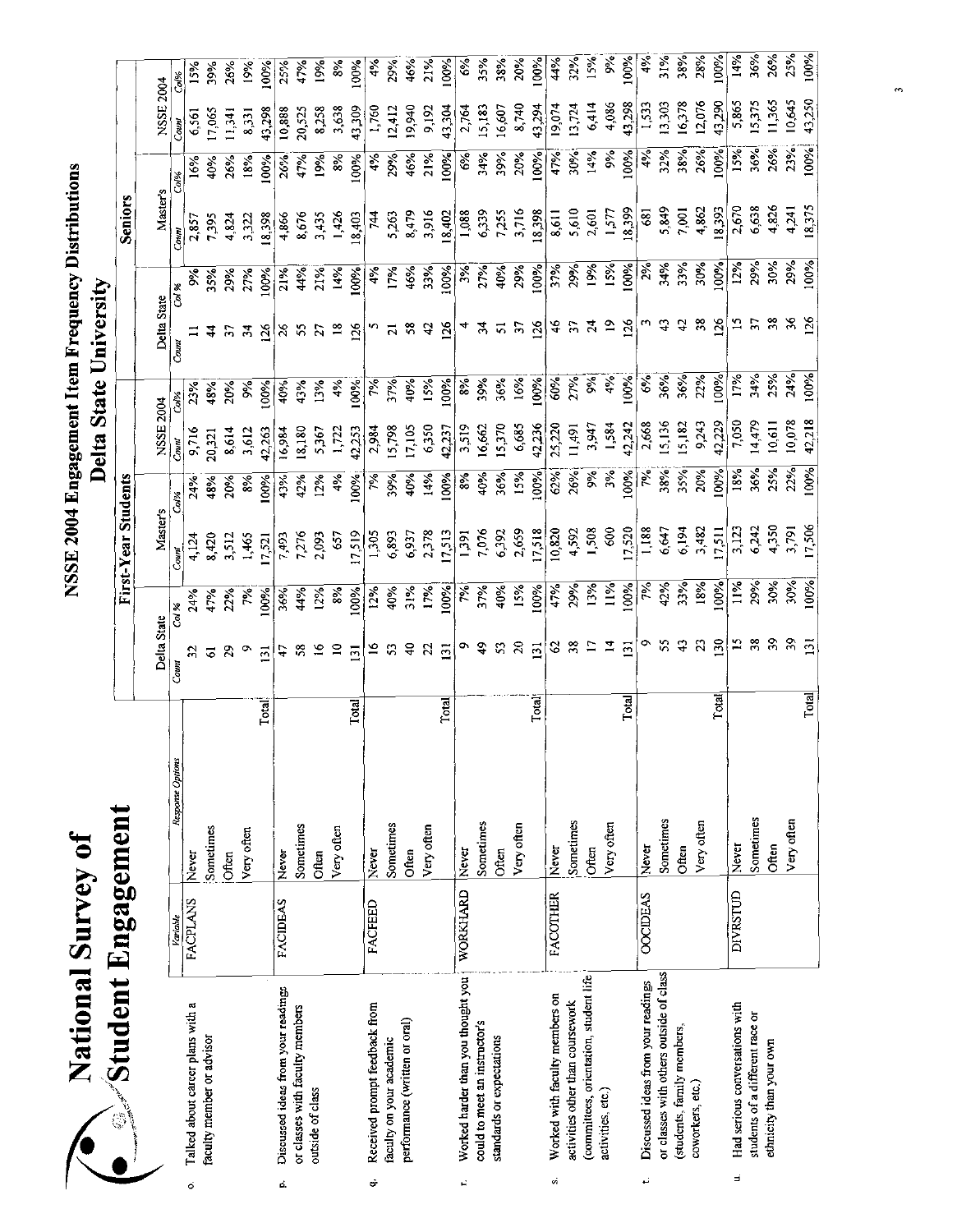| <b>Survey of</b> | . Engagemer |
|------------------|-------------|
| ational          | student     |
|                  |             |

|    | <b>Mark Student Engagement</b>          |                 |                  |                  |               | First-Year Students |                |                 |                  |                |                   | <b>Seniors</b> |               |           |               |
|----|-----------------------------------------|-----------------|------------------|------------------|---------------|---------------------|----------------|-----------------|------------------|----------------|-------------------|----------------|---------------|-----------|---------------|
|    |                                         |                 |                  | Delta State      |               | Master's            |                | NSSE 2004       |                  | Delta State    |                   | Master's       |               | NSSE 2004 |               |
|    |                                         | Variable        | Response Options | Count            | $\frac{8}{3}$ | Couni               | Co.%           | Count           | Col%             | Count          | Col %             | Coun           | Col%          | Count     | Col%          |
| ö  | Talked about career plans with a        | <b>FACPLANS</b> | Never            |                  | 24%           | 4,124               | 24%            | 9,716           | 23%              |                |                   | 2,857          | 16%           | 6,561     | 15%           |
|    | faculty member or advisor               |                 | Sometimes        | उ                | 47%           | 8,420               | 48%            | 20,321          | 48%              |                | 35%               | 7,395          | 40%           | 17,065    | 39%           |
|    |                                         |                 | Often            | $\boldsymbol{5}$ | 22%           | 3,512               | 20%            | 8,614           | $20\%$           | F.             | 29%               | 4,824          | 26%           | 11,341    | 26%           |
|    |                                         |                 | Very often       |                  | 斧             | 1,465               | $\frac{8}{6}$  | 3,612           | $\frac{5}{6}$    |                | 27%               | 3,322          | 18%           | 8,331     | $\tilde{5}$   |
|    |                                         |                 | Total            | $\overline{131}$ | 100%          | 1,521               | 100%           | 42,263          | 100%             | $\frac{2}{6}$  | Š                 | 18,398         | 100%          | 43,298    | $\frac{8}{8}$ |
| ċ. | Discussed ideas from your readings      | <b>FACIDEAS</b> | Never            | 47               | 36%           | 7,493               | 43%            | 16,984          | 40%              | $\frac{8}{5}$  | 21%               | 4,866          | 26%           | 10,888    | 25%           |
|    | or classes with faculty members         |                 | Sometimes        |                  | 44%           | 7,276               | 42%            | 18,180          | 43%              |                | $4\%$             | 8,676          | 47%           | 20,525    | 47%           |
|    | outside of class                        |                 | Often            |                  | 12%           | 2,093               | 12%            | 5,367           | 13%              |                | 21%               | 3,435          | 19%           | 8,258     | 19%           |
|    |                                         |                 | Very often       |                  | 8%            | 657                 | 4%             | 1.722           | 4%               |                | 14%               | 1,426          | 8%            | 3,638     | $\frac{8}{8}$ |
|    |                                         |                 | Total            | $\overline{5}$   | 100%          | 17,519              | 100%           | 42,253          | 100%             | 126            | 100%              | 18,403         | 100%          | 43,309    | 100%          |
| Ġ  | Received prompt feedback from           | <b>FACFEED</b>  | Never            |                  | 12%           | 1,30                | $\frac{5}{26}$ | 2,984           | ž                |                | 4%                | $\frac{1}{4}$  | 4%            | 1,760     | $\frac{5}{2}$ |
|    | faculty on your academic                |                 | Sometimes        |                  | 40%           | 6,893               | 39%            | 15,798          | 37%              | ឝ              | 17%               | 5,263          | 29%           | 12,412    | 29%           |
|    | performance (written or oral)           |                 | Often            |                  | 31%           | 6,937               | 40%            | 17,105          | $rac{6}{3}$      | ొ              | 46%               | 8,479          | 46%           | 19,940    | 46%           |
|    |                                         |                 | Very often       |                  | 17%           | 2,378               | 14%            | 6350            | 15%              | 4              | 33%               | 3,916          | 21%           | 9,192     | 21%           |
|    |                                         |                 | Total            | $\overline{31}$  | 100%          | 17,513              | 100%           | 42,237          | 100%             | 126            | 100%              | 18,402         | 100%          | 43,304    | 100%          |
| Ê, | Worked harder than you thought you      | WORKHARD        | Never            |                  | $\approx$     | 1,391               | 8%             | 3,519           | $\frac{8}{6}$    |                | $3\%$             | 1,088          | $\frac{6}{6}$ | 2,764     | E,            |
|    | could to meet an instructor's           |                 | Sometimes        |                  | 37%           |                     | 40%            | 16,662          | 39%              | र्न            | 27%               | 6,339          | 34%           | 15,183    | 3.5%          |
|    | standards or expectations               |                 | Often            |                  | 40%<br>15%    | 7,076<br>6,392      | 36%<br>15%     | 15,370<br>6,685 | 36%              | ದ              | $40%$<br>29%      | 7,255<br>3,716 | 39%           | 16,607    | 38%           |
|    |                                         |                 | Very often       | $\approx$        |               | 2,659               |                |                 | 16%              | 57             |                   |                | 20%           | 8,740     | 20%           |
|    |                                         |                 | Total            | $\overline{13}$  | 100%          | 17,518              | 100%           | 42,236          | 100%             | $\frac{8}{2}$  | 100%              | 18,398         | 100%          | 43,294    | 100%          |
| ú  | Worked with faculty members on          | <b>FACOTHER</b> | Never            |                  | 47%           | 10,820              | 62%            | 25,220          | 60%              | 46             | $\frac{37%}{29%}$ | 8,611          | 47%           | 19,074    | 44%           |
|    | activities other than coursework        |                 | Sometimes        |                  | 29%           | 4,592               | 26%            | 11,491          | 27%              | $\mathcal{L}$  |                   | 5,610          | 30%           | 13,724    | 32%           |
|    | (committees, orientation, student life  |                 | Often            |                  | 13%           | 1,508               | š              | 3,947           | $\frac{5}{3}$    |                | 19%               | 2,601          | 14%           | 6,414     | 15%           |
|    | activities, etc.)                       |                 | Very often       |                  | 11%           | 600                 | $\frac{5}{3}$  | 1,584           | 4%               | $\tilde{z}$    | 15%               | 1,577          | 9%            | 4,086     | %             |
|    |                                         |                 | <b>Total</b>     | $\Xi$            | 100%          | 17,520              | 100%           | 42,242          | 100 <sup>8</sup> | 126            | 100%              | 18,399         | 100%          | 43,298    | 100%          |
|    | Discussed ideas from your readings      | <b>OOCIDEAS</b> | Never            |                  | ζé<br>Γ       | 1,188               | 交              | 2,668           | $\frac{6}{6}$    |                | $2\%$             | 681            | $4\%$         | 1,533     | 4%            |
|    | or classes with others outside of class |                 | Sometimes        |                  | 42%           | 6,647               | 38%            | 15,136          | 36%              | Ģ              | 34%               | 5,849          | 32%           | 13,303    | 31%           |
|    | students, family members,               |                 | Often            |                  | 33%           | 6,194               | 35%            | 15,182          | 36%              | a,             | 33%<br>30%        | 7,001          | 38%           | 16,378    | 38%           |
|    | coworkers, etc.)                        |                 | Very often       | S                | 18%           | 3,482               | 20%            | 9,243           | 22%              | $\frac{8}{2}$  |                   | 4,862          | 26%           | 12,076    | 28%           |
|    |                                         |                 | Total<br>T       | $\tilde{E}$      | 100%          | 7,511               | 100%           | 42,229          | 00%              | 126            | 00%               | 18,393         | 100%          | 43,290    | 100%          |
| E  | Had serious conversations with          | DIVRSTUD        | Never            |                  | 11%           | 3,123               | 18%            | 7050            | 17%              |                | 12%               | 2,670          | 15%           | 5,865     | 14%           |
|    | students of a different race or         |                 | Sometimes        |                  | 29%           | 6,242               | 36%            | 14,479          | 34%              | F              | 29%               | 6,638          | 36%           | 15,375    | 36%           |
|    | ethnicity than your own                 |                 | Often            |                  | 30%           | 4,350               | 25%            | 10,611          | 2.5%             |                | 30%               | 4,826          | 26%           | 11,365    | 26%           |
|    |                                         |                 | Very often       |                  | 30%           | 3.791               | 22%            | 10,078          | 24%              |                | 29%               | 4,241          | 23%           | 10,645    | 25%           |
|    |                                         |                 | Total            |                  | 100%          | 17,506              | 100%           | 42,218          | 100%             | $\frac{56}{5}$ | 100%              | 18,37          | 100%          | 43,250    | 100%          |
|    |                                         |                 |                  |                  |               |                     |                |                 |                  |                |                   |                |               |           |               |

 $\ddot{ }$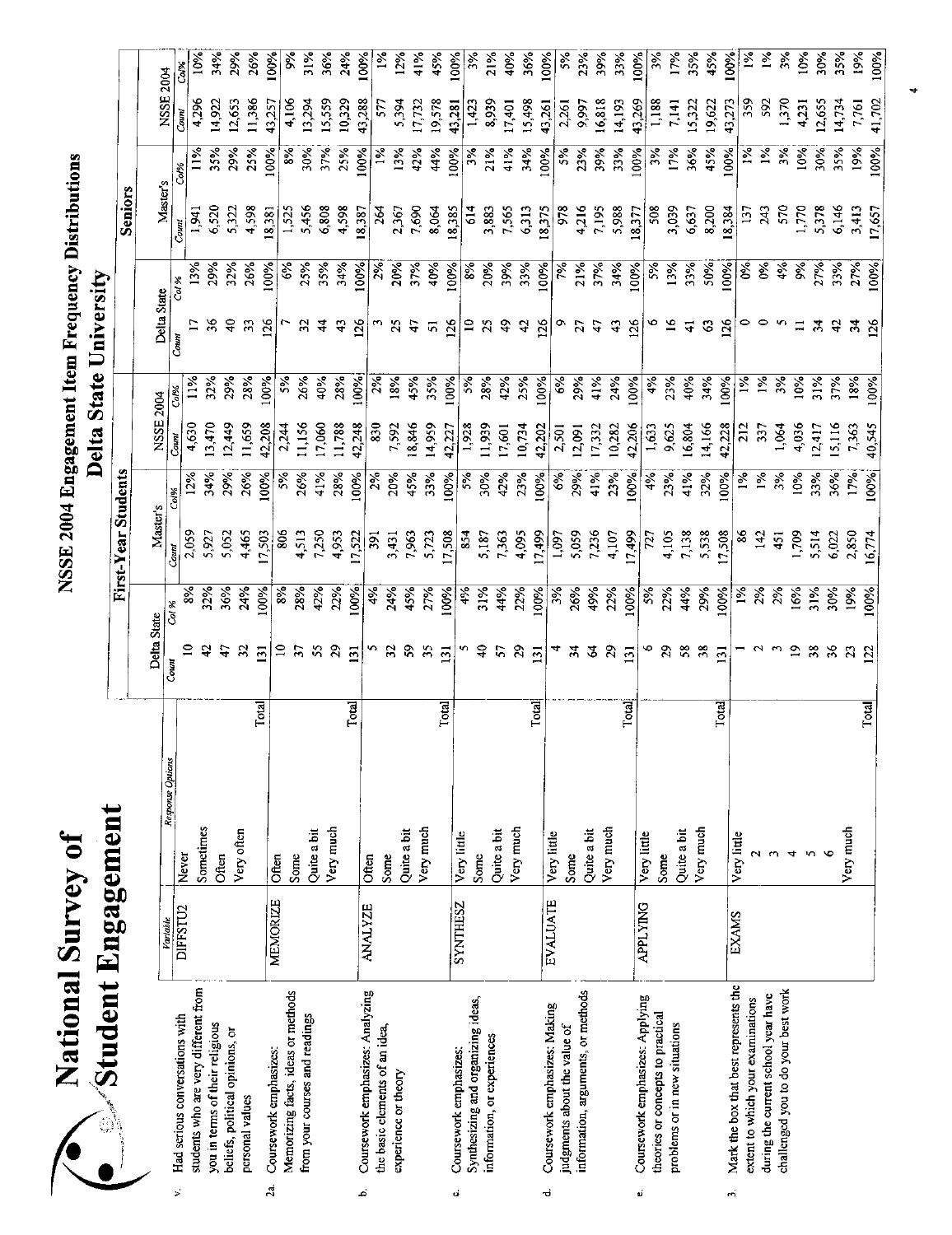| National Survey of                                      |                 |                  |                                              |               | NSSE 2004 Engagement Item Frequency Distributions |               |                 |               |                                           |          |                   |               |                |                |
|---------------------------------------------------------|-----------------|------------------|----------------------------------------------|---------------|---------------------------------------------------|---------------|-----------------|---------------|-------------------------------------------|----------|-------------------|---------------|----------------|----------------|
| $\sqrt{3}$ tudent Engagement                            |                 |                  |                                              |               |                                                   |               |                 |               | Delta State University                    |          |                   |               |                |                |
|                                                         |                 |                  |                                              |               | First-Year Students                               |               |                 |               |                                           |          | <b>Seniors</b>    |               |                |                |
|                                                         |                 |                  | Delta State                                  |               | Master's                                          |               | NSSE 2004       |               |                                           |          |                   |               |                |                |
| Had serious conversations with<br>$\mathbf{p}^{\prime}$ | Variable        | Response Options | $_{CoulM}$                                   | Col %         | Conv                                              | Col%          | Count           |               | Delta State<br>$\overline{\mathbf{C}}$ am | Col %    | Master's<br>Count | Co.%          | NSSE 2004      |                |
| students who are very different from                    | DIFFSTU2        | Never            |                                              |               | 2,059                                             | $12\%$        | 4,630           | $\frac{5}{2}$ |                                           | 13%      | 1,941             | <u>11%</u>    | 4,296<br>Count | Co/%           |
| you in terms of their religious                         |                 | Sometimes        | $\ddot{ }$                                   | 32%           | 5,927                                             | 34%           | 13,470          | 32%           | 36                                        | 29%      | 6,520             | 35%           | 14,922         | $10\%$<br>34%  |
| beliefs, political opinions, or                         |                 | Often            | 47                                           | 36%           | 5,052                                             | 29%           | 12,449          | 29%           | $\overline{4}$                            | 32%      | 5,322             | 29%           | 12,653         | 29%            |
| personal values                                         |                 | Very often       | $\mathfrak{L}% _{0}^{\ast}(\mathbb{R}^{2n})$ | 24%           | 4,465                                             | 26%           | 11,659          | 28%           | $\Omega$                                  | 26%      | 4,598             | 25%           | 11,386         | 26%            |
| Coursework emphasizes:<br>2a.                           | <b>MEMORIZE</b> | Total<br>Often   | $\overline{5}$                               | 100%          | 17,503                                            | Š             | 42,208          | 100%          | 126                                       | 100%     | 18,381            | 100%          | 43,257         | 100%           |
| Memorizing facts, ideas or methods                      |                 | Some             | $\Xi$                                        | $\frac{8}{3}$ | \$                                                | $5\%$         | 2,244           | 5%            |                                           | కీ       | 1,525             | 8%            | 4,106          | š              |
| from your courses and readings                          |                 | Quite a bit      | 57                                           | 28%           | 4,513                                             | 26%           | 11,156          | 26%           | ς                                         | 25%      | 5,456             | 30%           | 13,294         | $\frac{5}{21}$ |
|                                                         |                 | Very much        | 55<br>$\boldsymbol{\mathcal{Z}}$             | 42%           | 7250                                              | 41%           | 17,060          | 40%           | 4                                         | 35%      | 6,808             | 37%           | 15,559         | 36%            |
|                                                         |                 | Total            | $\overline{5}$                               | 22%<br>100%   | 4,953<br>17,522                                   | 28%           | 11,788          | 28%           | 43                                        | 34%      | 4,598             | 25%           | 10,329         | 24%            |
| Coursework emphasizes: Analyzing<br>ئم                  | <b>ANALYZE</b>  | Often            |                                              | 4%            |                                                   | 100%          | 42,248          | 100%          | $\frac{26}{2}$                            | 100%     | 18,387            | 100%          | 43,288         | 100%           |
| the basic elements of an idea,                          |                 | Some             | s                                            |               | 391                                               | 2%            | 830             | 2%            |                                           | 2%       | 264               | $\frac{5}{2}$ | 577            | $\frac{5}{5}$  |
| experience or theory                                    |                 | Quite a bit      | S<br>$\mathfrak{L}$                          | 24%           | 3,431                                             | 20%           | 7,592           | 18%           | $\mathfrak{L}$                            | 20%      | 2,367             | 13%           | 5,394          | 12%            |
|                                                         |                 | Very much        | 55                                           | 45%           | 7,963                                             | 45%           | 18,846          | 4.5%          | $\frac{1}{4}$                             | 3.96     | 7,690             | 42%           | 17,732         | 41%            |
|                                                         |                 | <b>Total</b>     | $\overline{131}$                             | 27%           | 5,723                                             | 33%           | 14,959          | 35%           | $\overline{5}$                            | 40%      | 8,064             | 44%           | 19578          | 45%            |
| Coursework emphasizes:<br>d                             | <b>SYNTHESZ</b> | Very little      |                                              | 100%          | 17,508                                            | 100%          | 42,227          | 100%          | 126                                       | 100%     | 18,385            | 100%          | 43,281         | 100%           |
| Synthesizing and organizing ideas,                      |                 | Some             |                                              | 4%<br>31%     | 854                                               | 5%            | 1,928           | 5%            | $\mathbf{r}$                              | 8%       | $\frac{4}{14}$    | $\frac{5}{6}$ | 1,423          | 3%             |
| information, or experiences                             |                 | Quite a bit      | ş<br>57                                      |               | 5,187                                             | 30%           | 11,939          | 28%           | 25                                        | 20%      | 3,883             | 21%           | 8,939          | 21%            |
|                                                         |                 | Very much        | $\boldsymbol{\mathcal{E}}$                   | 44%           | 1,363                                             | 42%           | 17,601          | 42%           | \$                                        | 39%      | 7,565             | 41%           | 17,401         | 40%            |
|                                                         |                 | Total            |                                              | 22%           | 4,095                                             | 23%           | 10,734          | 25%           | $\boldsymbol{\hat{\tau}}$                 | 33%      | 6,313             | 34%           | 15,498         | 36%            |
| Coursework emphasizes: Making<br>ರ                      | EVALUATE        | Very little      | $\overline{5}$                               | 100%          | 17,499                                            | 100%          | 42,202          | 100%          | 126                                       | 100%     | 18,375            | 100%          | 43,261         | 100%           |
| judgments about the value of                            |                 | Some             |                                              | 3%<br>26%     | 1,097                                             | $\frac{8}{3}$ | 2,501           | ę,            | Φ                                         | 7%       | 978               | 5%            | 2,261          | 5%             |
| information, arguments, or methods                      |                 | Quite a bit      | 24<br>2                                      | 49%           | 5,059                                             | 29%           | 12,091          | 29%           | $\overline{27}$                           | 21%      | 4,216             | 23%           | 9,997          | 23%            |
|                                                         |                 | Very much        | $\mathcal{E}$                                | 22%           | 7,236                                             | 41%           | 17,332          | 41%           | $\ddot{t}$                                | 37%      | 7,195             | 39%           | 16,818         | 39%            |
|                                                         |                 | Total            | $\overline{131}$                             | 100%          | 4,107                                             | 23%           | 10,282          | 24%           | $\ddot{ }$                                | 34%      | 5,988             | 33%           | 14,193         | 33%            |
| Coursework emphasizes: Applying<br>$\pmb{\omega}$       | <b>APPLYING</b> | Very little      | Φ                                            | 5%            | 7,499<br>727                                      | 100%<br>4%    | 42,206          | 100%          | 126                                       | 100%     | 18,377            | 100%          | 43,269         | 100%           |
| theories or concepts to practical                       |                 | Some             | 29                                           | 22%           | 4,105                                             |               | 1,633           | 4%            |                                           | 5%       | 508               | 3%            | 1,188          | $3\%$          |
| problems or in new situations                           |                 | Quite a bit      | 58                                           | 44%           | 7,138                                             | 23%<br>41%    | 9,625<br>16,804 | 23%           | $\tilde{=}$                               | 13%      | 3,039             | 17%           | 7,141          | 17%            |
|                                                         |                 | Very much        | $\sim 8$                                     | 29%           |                                                   |               |                 | 40%           | 4                                         | 33%      | 6,637             | 36%           | 15,322         | 35%            |
|                                                         |                 | Total            | $\overline{131}$                             |               | 5,538                                             | 32%           | 14,166          | 34%           | 3                                         | 50%      | 8,200             | 45%           | 19,622         | 45%            |
| Mark the box that best represents the<br>ċ,             | <b>EXAMS</b>    | Very little      |                                              | 100%          | 17,508                                            | 100%          | 42,228          | 100%          | 126                                       | 100%     | 18,384            | 100%          | 43,273         | 100%           |
| extent to which your examinations                       |                 |                  |                                              | $\frac{5}{6}$ | $\frac{8}{3}$                                     | $1\%$         | 212             | $\frac{5}{2}$ |                                           | $\delta$ | 137               | $\frac{5}{6}$ | 359            | $\tilde{z}$    |
| during the current school year have                     |                 | $\sim$           |                                              | 2%            | $\frac{142}{142}$                                 | $\frac{5}{6}$ | 337             | 1%            |                                           | $6\%$    | 243               | $\frac{5}{6}$ | <b>S92</b>     | $\frac{5}{2}$  |
| challenged you to do your best work                     |                 | $\overline{4}$   |                                              | $2\%$         | 451                                               | 3%            | 1,064           | 3%            |                                           | 4%       | 570               | 3%            | 1,370          | 3%             |
|                                                         |                 |                  | $\mathbf{a}$                                 | 16%           | 1,709                                             | 10%           | 4,036           | 10%           |                                           | 9%       | 1,770             | 10%           | 4,231          | 10%            |
|                                                         |                 |                  | 38                                           | 31%           | 5,514                                             | 33%           | 12,417          | 31%           | $\mathcal{L}$                             | 27%      | 5,378             | 30%           | 12,655         | 30%            |
|                                                         |                 | Very much        | $\sim$                                       | 30%           | 6,022                                             | 36%           | 15,116          | 37%           | a,                                        | 33%      | 6,146             | 35%           | 14,734         | 35%            |
|                                                         |                 |                  | $\mathbb{Z}$<br>$\overline{2}$               | 19%           | 2,850                                             | 17%           | 7,363           | 18%           | $\mathcal{A}$                             | 27%      | 3,413             | 19%           | 7,761          | 19%            |
|                                                         |                 | Total            |                                              | 6%            | 16,774                                            | 100%          | 40,545          | 100%          | 126                                       | 100%     | 17,657            | 100%          | 41,702         | 100%           |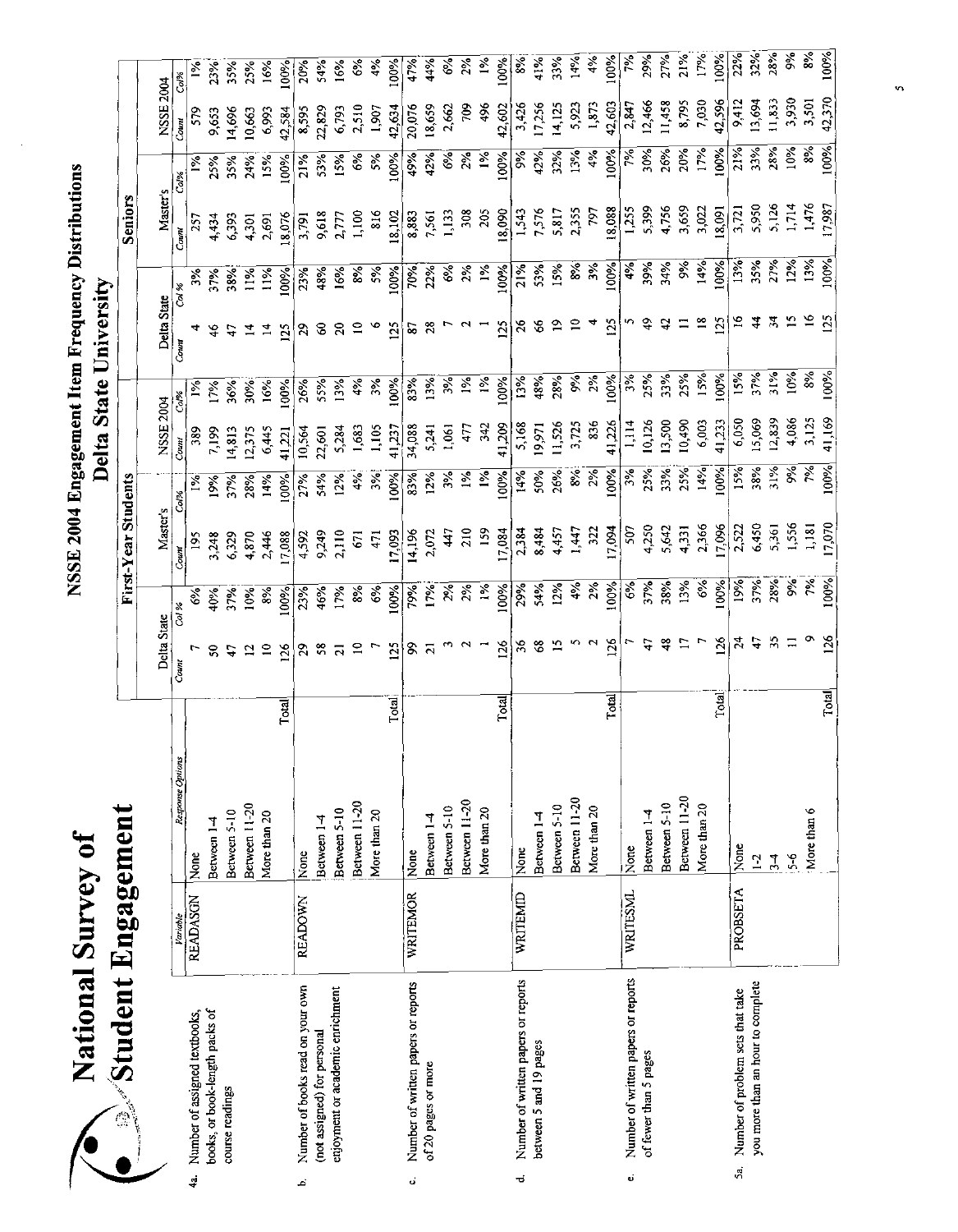| <b>Continued in the Continued State</b> |
|-----------------------------------------|

|       |                                     |                 |                  |              |                 |                           |                        |                   |             |                            | Delta State University |                       |                                 |                |                  |                   |
|-------|-------------------------------------|-----------------|------------------|--------------|-----------------|---------------------------|------------------------|-------------------|-------------|----------------------------|------------------------|-----------------------|---------------------------------|----------------|------------------|-------------------|
|       | $\mathcal{N}$ Student Engagement    |                 |                  |              |                 |                           | First-Year Students    |                   |             |                            |                        |                       | Seniors                         |                |                  |                   |
|       |                                     |                 |                  |              | Delta State     |                           | Master's               |                   | NSSE        | 2004                       | Delta State            |                       | Master's                        |                | <b>NSSE 2004</b> |                   |
|       |                                     | Variable        | Response Options |              | $_{Cam}$        | Col %                     | Count                  | Col%              | Count       |                            | $_{Comm}$              | Col %                 | Count                           | Col%           | Count            | Col%              |
| <br>국 | Number of assigned textbooks,       | <b>READASCN</b> | None             |              |                 | ઙઁ                        | 195                    |                   | 389         | $\frac{5}{2}$              |                        | ૐ                     | 257                             |                | 579              |                   |
|       | books, or book-length packs of      |                 | Between 1-4      |              | g               | 40%                       | 3,248                  | 19%               | 7,199       | 17%                        |                        | 37%                   | 4,434                           | 25%            | 9,653            | 23%               |
|       | course readings                     |                 | Between 5-10     |              |                 | 37%                       | 6,329                  | 37%               | 4,813       | 36%                        |                        | 38%                   |                                 | 35%            | 14,696           | 35%               |
|       |                                     |                 | Between 11-20    |              |                 | 10%                       | 4,870                  | 28%               | 2,375       | 30%                        |                        | $\frac{5}{2}$         | 6,393<br>4,301                  | 24%            | 10,663           | 25%               |
|       |                                     |                 | More than 20     |              |                 | 8%                        | 2,446                  | 14%               | 6,445       | 16%                        | $\overline{14}$        | $1\%$                 | 2,691                           | 15%            | 6,993            | 16%               |
|       |                                     |                 |                  | Total        | 126             | 100%                      | 17,088                 | 100%              | 41,221      | 100%                       | 125                    | 100%                  | 18,076                          | 100%           | 42,584           | 00%               |
| ه.    | Number of books read on your own    | <b>READOWN</b>  | None             |              | $\mathbb{S}^2$  | 23%                       | 4,592                  | 27%               | 10,564      | 26%                        | $\mathcal{L}$          | 23%                   | 3,791                           | 21%            | 8,595            | 20%               |
|       | (not assigned) for personal         |                 | Between 1-4      |              |                 | 46%                       | 9,249                  | 54%               | 22,601      | 55%                        | $\infty$               | 48%                   | 9,618                           | 53%            | 22,829           | 54%               |
|       | enjoyment or academic enrichment    |                 | Between 5-10     |              |                 | 17%                       | 2,110                  | 12%               | 5,284       | 13%                        | $\mathbf{S}$           | 16%                   | 2,777                           | 15%            | 6,793            | 16%               |
|       |                                     |                 | Between 11-20    |              | $\approx$       | $8\%$                     | 57                     | 4%                | 1,683       | 4%                         | $\frac{1}{2}$ $\circ$  | 8%<br>5%<br>100%      | 1,100                           | 6%             | 2,510            | $\frac{6}{3}$     |
|       |                                     |                 | More than 20     |              |                 | $\mathcal{C}^{\bullet}$   | 471                    | 3%                | 1,105       | 3%                         |                        |                       | 816                             | 5%             | 1,907            | 4%                |
|       |                                     |                 |                  | Total        | 125             | 100%                      | 17,093                 | 100%              | 41,237      | 100%                       | 125                    |                       | 18,102                          | 100%           | 42,634           | 100%              |
| ن     | Number of written papers or reports | WRITEMOR        | None             |              | 8               |                           | 14,196                 | 83%               | 34,088      | 83%                        | $\boldsymbol{s}$       | 70%<br>22%            | 8,883                           | 49%            | 20,076           | 4.96              |
|       | of 20 pages or more                 |                 | Between 1-4      |              |                 | 17%<br>17%                | 2,072                  | 12%               | 5,241       | 13%                        | $\boldsymbol{28}$      |                       | 7,561                           | 42%            | 18,659           | 44%               |
|       |                                     |                 | Between 5-10     |              |                 | 2%                        | 47                     | $5\%$             | 1,061       | $\mathcal{S}_{\mathbf{c}}$ |                        |                       | 1,133                           | $\mathscr{E}$  | 2,662            | $\frac{6}{5}$     |
|       |                                     |                 | Between 11-20    |              |                 |                           | $\overline{210}$       | $\frac{5}{6}$     | 477         | $1\%$                      |                        | $6%$<br>$2%$          | 308                             | 2%             | 709              | 2%                |
|       |                                     |                 | More than 20     |              |                 | 1%                        | 159                    | $1\%$             | $\tilde{a}$ | 1%                         |                        | $\frac{5}{26}$        | 205                             | $1\%$          | 496              | $\frac{5}{6}$     |
|       |                                     |                 |                  | Total        | $\frac{126}{5}$ | 100%                      | 17,084                 | 100%              | 41,209      | 100%                       | 125                    | 100%                  |                                 | 100%           | 42,602           | 100%              |
| ಕ     | Number of written papers or reports | WRITEMID        | None             |              | $36$            | 29%                       | 2,384                  | 14%               | 5,168       | 13%                        | $\frac{9}{2}$          | 21%                   | $\frac{18,090}{1,543}$<br>7.576 | $\frac{5}{26}$ | 3,426            | $\frac{8}{3}$     |
|       | between 5 and 19 pages              |                 | Between 1-4      |              | $\mathbf{68}$   | 54%<br>12%                | 8,484                  | 50%<br>26%        | 19,971      | 48%                        | S,                     | 53%                   |                                 | 42%            | 17,256           | 41%               |
|       |                                     |                 | Between 5-10     |              |                 |                           | 4,457                  |                   | 11,526      | 28%                        | $\tilde{\mathbf{c}}$   | 15%                   | 5,817                           | 32%            | 14,125           | 3.3%              |
|       |                                     |                 | Between 11-20    |              |                 |                           | 1447                   | $\frac{8\%}{2\%}$ | 3,725       | $5\frac{8}{2}\%$           |                        | 8%<br>3%              | 2,355                           | 13%            | 5,923            | 14%               |
|       |                                     |                 | More than 20     |              |                 | $4\%$<br>$2\%$<br>$100\%$ | 322                    |                   | 836         |                            |                        |                       | 797                             | 4%             | 1,873            | $\frac{5}{4}$     |
|       |                                     |                 |                  | <b>Total</b> | 126             |                           | 17,094                 | 100%              | 41,226      | $\frac{100\%}{3\%}$        | 125                    | 100%                  | 18,088                          | 100%           | 42,603           | 100%              |
| Ú     | Number of written papers or reports | WRITESML        | None             |              |                 | <b>6%</b><br>37%          | 507                    | $3\%$             | 1.114       |                            |                        | $4%$<br>39%           | $\frac{1}{255}$                 | $\approx$      | 2,847            | $ \tilde{\zeta} $ |
|       | of fewer than 5 pages               |                 | Between 1-4      |              |                 |                           | 4,250                  | 25%               | 10,126      | 25%                        |                        |                       | 5,399                           | 30%            | 12,466           | 29%               |
|       |                                     |                 | Between 5-10     |              | इ               | 38%                       | 5,642                  | 33%               | 13,500      | 33%                        |                        | 34%                   | 4,756                           | 26%            | 11,458           | 27%               |
|       |                                     |                 | Between 11-20    |              |                 | 13%                       | 4,331<br>2,366         | 25%               | 10,490      | 2.5%                       |                        | $\delta^{\diamond}_0$ | 3,659<br>3,022                  | 20%            | 8,795            | 21%               |
|       |                                     |                 | More than 20     |              |                 | $6\%$                     |                        | 14%               | 6,003       | 15%                        |                        | 14%                   |                                 | 17%            | 7,030            | 17%               |
|       |                                     |                 |                  | Total        | 126             | 100%<br>37%<br>37%        | $\frac{17,096}{2,522}$ | 100%              | 41,233      | 100%                       |                        | 100%                  | 18,091                          | 100%           | 42,596           | 100%              |
| 5a    | Number of problem sets that take    | PROBSETA        | None             |              |                 |                           |                        | 15%               | 6,050       | 15%                        |                        | 13%                   | 3,721                           | 21%            | 9,412            | 22%               |
|       | you more than an hour to complete   |                 | $\mathbf{L}$     |              |                 |                           | 6,450                  | 38%               | 15,069      | 37%                        |                        | 35%                   | 5,950                           | 33%            | 13,694           | 32%               |
|       |                                     |                 | $\frac{3}{4}$    |              |                 |                           | 5,361                  | 31%               | 12,839      | 31%                        |                        | 2.%                   | 5,126                           | 28%            | 11,833           | 28%               |
|       |                                     |                 | $5-6$            |              |                 | 9%                        | 1,556                  | 9%                | 4,086       | 10%                        |                        | 12%                   |                                 | 10%            | 3,930            | 9%                |
|       |                                     |                 | More than 6      |              |                 | $\widetilde{r}$           | 1,181                  | ž                 | 3,125       | 8%                         |                        | 13%                   | 1,476<br>17,987                 | 8%             | 3,501            |                   |
|       |                                     |                 |                  | Total        |                 | 100%                      | 17,070                 | 100%              | 41,169      | 100%                       |                        | 60%                   |                                 | 100%           | 42,370           | 100%              |

 $\ddot{\mathbf{5}}$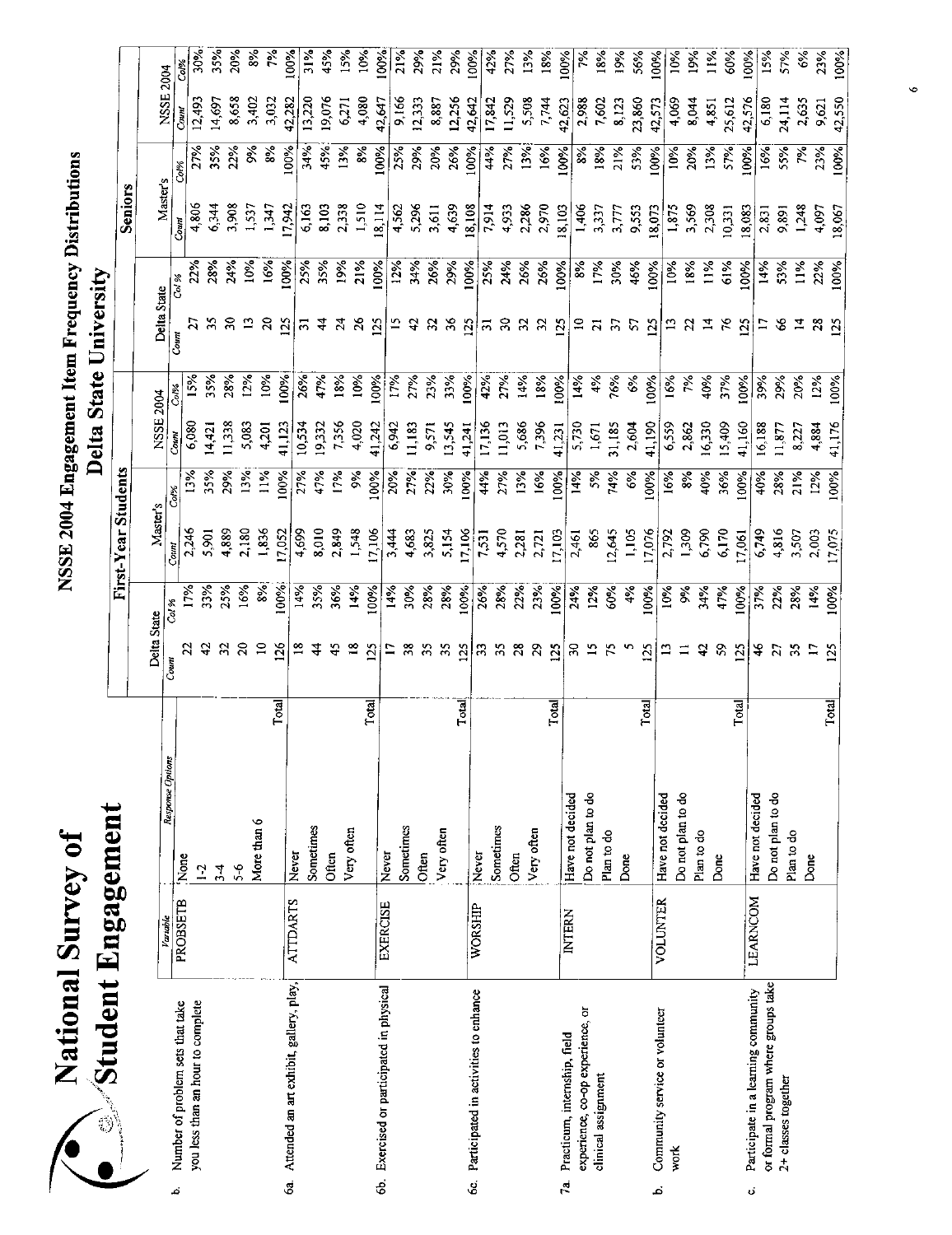| <b>Survey o</b><br>lational | . Engagement<br>student |
|-----------------------------|-------------------------|
|                             |                         |
|                             |                         |

|                                              | printent Fußageweut |                           |                |                  |                     |                            |                |      |                            |                |                |            |                  |               |
|----------------------------------------------|---------------------|---------------------------|----------------|------------------|---------------------|----------------------------|----------------|------|----------------------------|----------------|----------------|------------|------------------|---------------|
|                                              |                     |                           |                |                  | First-Year Students |                            |                |      |                            |                | Seniors        |            |                  |               |
|                                              |                     |                           | Delta State    |                  | Master's            |                            | NSSE 2004      |      | Delta State                |                | Master's       |            | <b>NSSE 2004</b> |               |
| Number of problem sets that take<br>ند       | Variable            | Response Options          | Count          | Col %            | Count               | Col%                       | Court          | Col% | Count                      | 701 86         | Coun           | Col%       |                  |               |
| you less than an hour to complete            | PROBSETB            | None<br>$\overline{12}$   |                |                  | 2,246               | 13%                        | 6,080          | 15%  |                            | 22%            | 4,806          | 2.9%       | 12,493<br>Count  | 30%<br>Col%   |
|                                              |                     |                           |                | 33%              | 5,901               | 35%                        | 4,42           | 35%  |                            | 28%            | 6,344          | 35%        | 14.697           | 35%           |
|                                              |                     | $5-6$<br>$\frac{1}{2}$    |                | 25%              | 4,889               | 29%                        | 1,338          | 28%  |                            | 24%            | 3,908          | 22%        | 8,658            | 20%           |
|                                              |                     |                           |                | 16%              | 2,180               | 13%                        | 5,083          | 12%  |                            | 10%            | 1,537          | 9%         | 3,402            | $\frac{8}{3}$ |
|                                              |                     | More than 6               | $\Xi$          | $\frac{5}{8}$    | 1,856               | $11\%$                     | 4,201          | 10%  |                            | 16%            | 1,347          | 8%         | 3,032            | ž             |
| 6a. Attended an art exhibit, gallery, play,  | <b>ATTDARTS</b>     | Total                     | 126            | 100%             | 17,052              | 100%                       | 41,12.         | 100% | <b>25</b>                  | 100%           | 17,942         | 100%       | 42,282           | 100%          |
|                                              |                     | Sometimes<br>Never        |                | 14%              | 4,699               | 27%                        | 10,534         | 26%  | ᆔ                          | 25%            | 6,163          | 34%        | 13,220           | 31%           |
|                                              |                     | Often                     |                | 35%              | 8,010               | 47%                        | 19,332         | 47%  |                            | 35%            | 8,103          | 45%        | 19,076           | 45%           |
|                                              |                     | Very often                |                | 36%              | 2,849               | 17%                        | 7,356          | 18%  |                            |                |                | 13%        | 6,271            | 15%           |
|                                              |                     |                           |                | 14%              | 1,548               | $\frac{5}{26}$             | 4,020          | 10%  |                            | $19%$<br>$21%$ | 2,338<br>1,510 | 8%         | 4,080            | $\frac{5}{2}$ |
| 6b. Exercised or participated in physical    | <b>EXERCISE</b>     | Total                     | 125            | 100%             | 17,106              | 100%                       | 41,242         | 100% | $\frac{25}{2}$             | 100%           | 18,114         | 100%       | 42,647           | 100%          |
|                                              |                     | Never                     |                | 14%              | 3,444               | 20%                        | 6,942          | 17%  |                            | 12%            |                | 2.5%       | 9,166            | 21%           |
|                                              |                     | Sometimes<br>Often        |                | 30%              | 4,683               | 27%                        | 11,183         | 27%  |                            | 34%            | 4,562<br>5,296 | 29%        | 12,333           | 29%           |
|                                              |                     |                           | 55             | 28%              | 3,825               | 22%                        | 9,571          | 23%  |                            | 26%            | 3,611          | 20%        | 8,887            | 21%           |
|                                              |                     | Very often                | 55             | 28%              | 5,154               | 30%                        | 13,545         | 33%  |                            | 29%            | 4,639          | 26%        | 12,256           | 29%           |
| 6c. Participated in activities to enhance    | WORSHIP             | Total                     | 125            | 100%             | 17,106              | 100%                       | 41,241         | 100% | $\tilde{\mathbf{z}}$       | 100%           | 18,108         | 100%       | 42,642           | 100%          |
|                                              |                     | Never                     | $\mathbb{S}$   | 26%              | 7,531               | 4%                         | 17,136         | 42%  | ಸ                          | 25%            | 7,914          | 44%        | 17,842           | 42%           |
|                                              |                     | Sometimes<br>Often        | 55             | 28%              | 4,570               | 27%                        | 11,013         | 27%  | $\boldsymbol{\mathcal{E}}$ | 24%            | 4,933          | 27%        | 11,529           | 27%           |
|                                              |                     | Very often                | ని             | 22%<br>23%       | 2,281               | 13%                        | 5,686<br>7,396 | 14%  |                            | 26%            | 2,286          | 13%        | 5,508            | 13%           |
|                                              |                     |                           | 29             |                  | 2,721               | 16%                        |                | 18%  |                            | 26%            | 2,970          | 16%        | 7,744            | 18%           |
| Practicum, internship, field<br>$\mathbf{r}$ | <b>INTERN</b>       | Total<br>Have not decided | 125            | 100%             | 17,103              | 100%                       | 41,231         | 100% | 125                        | 100%           | 18,103         | 100%       | 42,623           | 100%          |
| experience, co-op experience, or             |                     | Do not plan to do         | <u>ន</u>       | 24%              | 2,461               | 14%                        | 5,730          | 14%  | $\Xi$                      | 8%             | 1,406          | 8%         | 2,988            | ř             |
| clinical assignment                          |                     | Plan to do                |                | 12%              | 865                 | $5\%$                      | 1,671          | 4%   |                            | 17%            | 3,337          | 18%        | 7,602            | 18%           |
|                                              |                     | Done                      |                | 60%              | 12,645              | 74%                        | 31,185         | 76%  |                            | 30%            | 3,777<br>9,553 | 21%        | 8,123            | 19%           |
|                                              |                     |                           |                | 4%               | 1,105               | $\mathcal{E}_{\mathbf{e}}$ | 2,604          | 6%   |                            | 45%            |                | 53%        | 23,860           | 56%           |
| Community service or volunteer<br>نم         | <b>VOLUNTER</b>     | Total<br>Have not decided | $\frac{25}{2}$ | 100%             | 17,076              | 100%                       | 41,190         | 100% |                            | 100%           | 18,073         | 100%       | 42,573           | 100%          |
| work                                         |                     | Do not plan to do         |                | 10%              | 2,792               | 16%                        | 6,559          | 16%  |                            | 10%            | 1,875<br>3,569 | 10%        | 4,069            | $10\%$        |
|                                              |                     | Plan to do                |                | र्डें            | 1,309               | 8%                         | 2,862          | 7%   |                            | 18%            |                | 20%        | 8,044            | 5%            |
|                                              |                     | Done                      | ₽              | 34%              | 6,790               | 40%                        | 16,330         | 40%  |                            | 11%            | 2,308          | 13%        | 4,851            | $11\%$        |
|                                              |                     |                           | S              | 47%              | 6,170               | 36%                        | 15,409         | 37%  |                            | 61%            | 10,331         | 57%        | 25,612           | 60%           |
| Participate in a learning community<br>ö     | LEARNCOM            | Total                     | 125            | 00%              | 17,061              | 100%                       | 41,160         | 100% | <u> 25</u>                 | 100%           | 18,083         | 100%       | 42,576           | 100%          |
| or formal program where groups take          |                     | Have not decided          | 46             | 37%              | 6,749               | 40%                        | 16,188         | 39%  |                            | 14%            | 2,831          | 16%        | 6,180            | 15%           |
| 2+ classes together                          |                     | Do not plan to do         |                | 22%              | 4,816               | 28%                        | 1,877          | 29%  |                            | 5.3%           | 9,891          | 55%        | 24,114           | 57%           |
|                                              |                     | Plan to do<br>Done        |                | 28%              | 3,507               | 21%                        | 8,227          | 20%  |                            | 11%            | 1,248          | $\epsilon$ | 2,635            | ઙઁ            |
|                                              |                     |                           |                | 14%              | 2,003               | 12%                        | 4,884          | 12%  |                            | 22%            | 4,097          | 23%        | 9,62             | 23%           |
|                                              |                     | Total                     |                | 100 <sub>6</sub> | 170 <sup>2</sup>    | 100%                       | 41,176         | 60%  |                            | 100%           | 18,067         | 100%       | 42,350           | $100\%$       |

 $\ddot{\bullet}$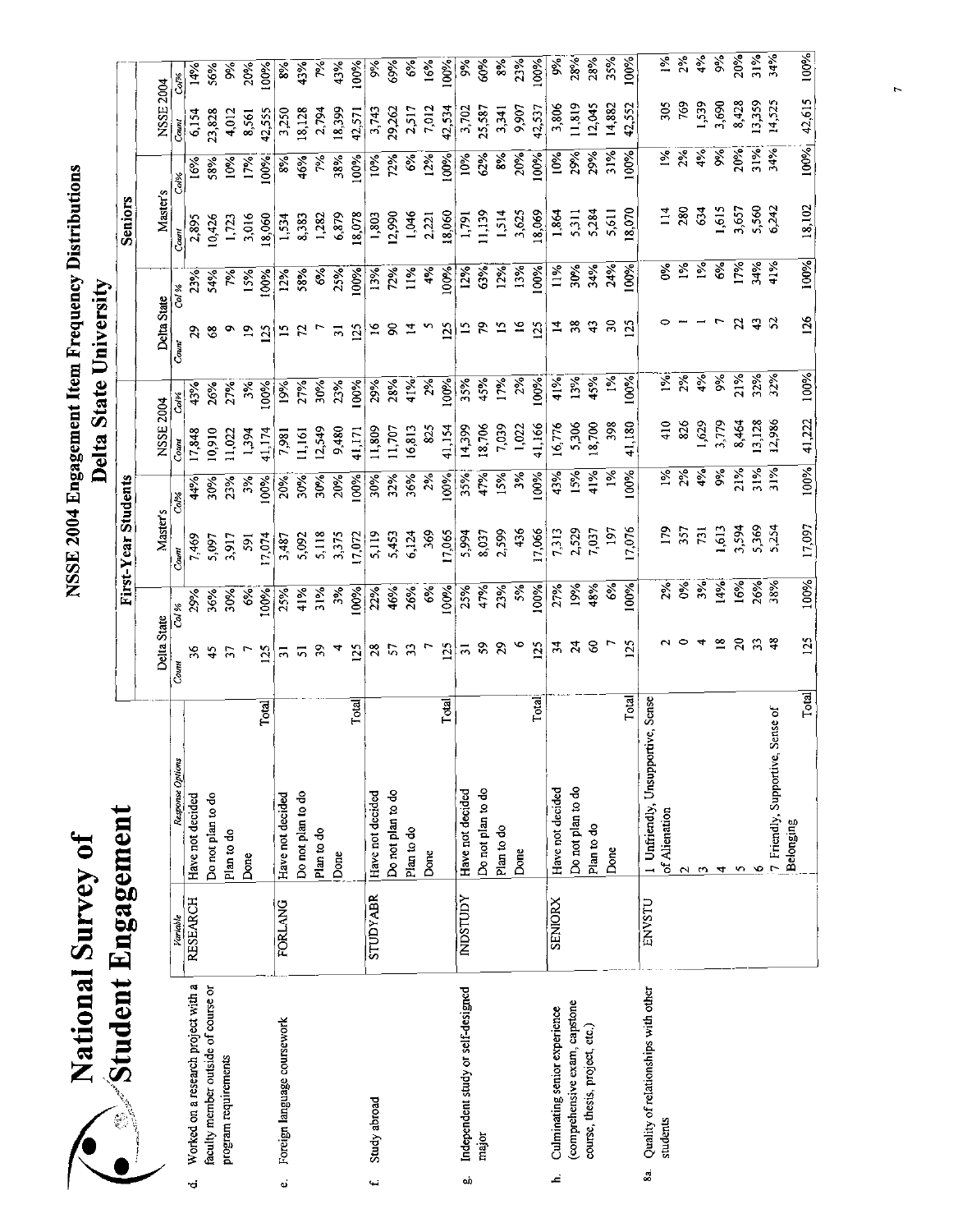|    |                                     |                 |                                     |       |                         |               |                            |               | <b>1144</b> | $\frac{1}{2}$  |                 |               |                 |            |           |                  |
|----|-------------------------------------|-----------------|-------------------------------------|-------|-------------------------|---------------|----------------------------|---------------|-------------|----------------|-----------------|---------------|-----------------|------------|-----------|------------------|
|    | $\gg$ Student Engagement            |                 |                                     |       |                         |               | First-Year Students        |               |             |                |                 |               | Seniors         |            |           |                  |
|    |                                     |                 |                                     |       | Delta State             |               | <b>Master</b> <sub>s</sub> |               | NSSE 2004   |                | Delta State     |               | Master's        |            | NSSE 2004 |                  |
|    |                                     | Variable        | Response Options                    | Count |                         | Co. %         | Count                      | Co. %         | Count       | Co.%           | Count           | Col %         | Coun.           | Col%       | Count     |                  |
| ٣, | Worked on a research project with a | <b>RESEARCH</b> | Have not decided                    |       | $\frac{8}{5}$           | 29%           | 7,469                      | 44%           | 17,848      | 43%            | 29              | 23%           | 2,895           | 16%        | 6,154     | 14%              |
|    | faculty member outside of course or |                 | Do not plan to do                   |       | 45                      | 36%           | 5,097                      | 30%           | 0,910       | 26%            | 3               | 54%           | 10,426          | 58%        | 23,828    | 56%              |
|    | program requirements                |                 | Plan to do                          |       | 57                      | 30%           | 1,917                      | 23%           | 1,022       | 27%            | o               | 7%            | 1,723           | 10%        | 4,012     | $\delta_{\rm e}$ |
|    |                                     |                 | Done                                |       |                         | $\frac{6}{6}$ | 591                        | 3%            | 1,394       | 3%             | $\mathbf{r}$    | 15%           | 3,016           | 17%        | 8,561     | 20%              |
|    |                                     |                 |                                     | Total | 125                     | 100%          | 17,074                     | 100%          | 41,174      | 00%            | $\Omega$        | 100%          | 18,060          | 60%        | 42,555    | 100%             |
| ö  | Foreign language coursework         | <b>FORLANG</b>  | Have not decided                    |       | 51                      | 25%           | 3,487                      | 20%           | 7,981       | 19%            | $\overline{15}$ | 12%           | 1,534           | 8%         | 3,250     | 8%               |
|    |                                     |                 | Do not plan to do                   |       | $\overline{\mathbf{5}}$ | 41%           | 5,092                      | 30%           | 11,161      | 27%            | $\mathcal{L}$   | 58%           | 8,383           | 46%        | 18,128    | 43%              |
|    |                                     |                 | Plan to do                          |       | 39                      | 31%           | 5,118                      | 30%           | 12,549      | 30%            | $\overline{ }$  | $6\%$         | 1,282           | $\gamma_2$ | 2,794     | 飞                |
|    |                                     |                 | Done                                |       | 4                       | 3%            | 3,375                      | 20%           | 9,480       | 23%            | $\frac{1}{2}$   | 25%           | 6,879           | 38%        | 18,399    | 43%              |
|    |                                     |                 |                                     | Total | 25                      | 100%          | 17,072                     | 100%          | 41,171      | 100%           | 125             | 100%          | 18,078          | 100%       | 42,571    | 100%             |
| ſ  | Study abroad                        | <b>STUDYABR</b> | Have not decided                    |       |                         | 22%           | 5,119                      | 30%           | 11,809      | 29%            | $\tilde{a}$     | 13%           | 1,803           | 10%        | 3,743     | $\frac{6}{3}$    |
|    |                                     |                 | Do not plan to do                   |       | 28                      | 46%           | 5,453                      | 32%           | 11,707      | 28%            | g               | 72%           | 12,990          | 72%        | 29,262    | 69%              |
|    |                                     |                 | Plan to do                          |       | $\mathfrak{L}$          | 26%           | 6,124                      | 36%           | 16,813      | 41%            | 14              | 11%           | 1,046           | 6%         | 2,517     | $6\%$            |
|    |                                     |                 | Done                                |       | $\mathbf{r}$            | 6%            | 369                        | 2%            | 825         | 2%             | n               | 4%            | 2,221           | 12%        | 7,012     | 16%              |
|    |                                     |                 |                                     | Total | 125                     | 100%          | 17,065                     | 100%          | 41,154      | 100%           | 125             | 100%          | 18,060          | 100%       | 42,534    | $100\%$          |
| cÒ | Independent study or self-designed  | NDSTUDY         | Have not decided                    |       | $\overline{5}$          | 25%           | 5,994                      | 35%           | 14,399      | 35%            | $\overline{15}$ | 12%           | 1,791           | 10%        | 3,702     | રૂ               |
|    | major                               |                 | Do not plan to do                   |       | 59                      | 47%           | 8,037                      | 47%           | 18,706      | 45%            | 5               | 63%           | 11,139          | 62%        | 25,587    | 60%              |
|    |                                     |                 | Plan to do                          |       | 29                      | 23%           | 2,599                      | 15%           | 7.039       | 17%            | $\overline{5}$  | 12%           | 1,514           | 8%         | 3,341     | $\frac{8}{6}$    |
|    |                                     |                 | Done                                |       | $\circ$                 | 5%            | 436                        | 3%            | 1,022       | 2%             | $\approx$       | 13%           | 3,625           | 20%        | 9,907     | 23%              |
|    |                                     |                 |                                     | Total | 125                     | 100%          | 7,066                      | 100%          | 41,166      | 100%           | 125             | 00%           | 18,069          | 100%       | 42,537    | 100%             |
| نے | Culminating senior experience       | <b>SENIORX</b>  | Have not decided                    |       | 34                      | 27%           | 7,313                      | 43%           | 16.776      | 41%            | 4               | $1\%$         | 1,864           | $10\%$     | 3,806     | 9%               |
|    | (comprehensive exam, capstone       |                 | Do not plan to do                   |       | 24                      | 19%           | 2,529                      | 15%           | 5,306       | 13%            | 38              | 30%           | 5.311           | 29%        | 11,819    | 28%              |
|    | course, thesis, project, etc.)      |                 | Plan to do                          |       | $\mathcal{C}$           | 48%           | 7,037                      | 41%           | 18,700      | 45%            | $\ddot{ }$      | 34%           | 5,284           | 29%        | 12,045    | 28%              |
|    |                                     |                 | Done                                |       |                         | 6%            | 197                        | $\frac{5}{6}$ | 398         | $\frac{5}{2}$  | నె              | 24%           | 5,611           | 31%        | 14,882    | 35%              |
|    |                                     |                 |                                     | Total | 125                     | 100%          | 17,076                     | 100%          | 41,180      | $\frac{5}{8}$  | 125             | $\frac{8}{8}$ | 18,070          | 100%       | 42,552    | 100%             |
| S. | Quality of relationships with other | ENVSTU          | 1 Unfriendly, Unsupportive, Sense   |       |                         |               |                            |               |             |                |                 |               |                 |            |           |                  |
|    | students                            |                 | of Alienation                       |       |                         | $2\%$         | 179                        | $\frac{5}{6}$ | 410         | $\frac{5}{26}$ |                 | Š             | $\frac{14}{14}$ | $1\%$      | 305       | $\frac{5}{2}$    |
|    |                                     |                 |                                     |       |                         | $6\%$         | 357                        | 2%            | 826         | $2\%$          |                 | $\frac{5}{2}$ | 280             | 2%         | 769       | 2%               |
|    |                                     |                 | ω                                   |       |                         | 3%            | 731                        | 4%            | 1,629       | 4%             |                 | $1\%$         | 634             | $4\%$      | 1,539     | $4\%$            |
|    |                                     |                 | 4                                   |       | $\overline{18}$         | 14%           | 1,613                      | 9%            | 3,779       | 9%             |                 | 6%            | 1,615           | 9%         | 3,690     | $\frac{1}{26}$   |
|    |                                     |                 | S                                   |       | $\Omega$                | 16%           | 3,594                      | 21%           | 8,464       | 21%            | $\mathbf{z}$    | 17%           | 3,657           | 20%        | 8,428     | 20%              |
|    |                                     |                 |                                     |       | $\mathfrak{L}$          | 26%           | 5,369                      | $31\%$        | 13,128      | 32%            | $\ddot{a}$      | 34%           | 5,560           | 31%        | 13,359    | $31\%$           |
|    |                                     |                 | Sense of<br>7 Friendly, Supportive, |       | $\frac{8}{4}$           | 38%           | 5,254                      | 31%           | 12,986      | 32%            | 52              | 41%           | 6,242           | 34%        | 14,525    | 34%              |
|    |                                     |                 | Belonging                           | Total | 125                     | 100%          | 17,097                     | 100%          | 41,222      | 100%           | 126             | 100%          | 18,102          | 100%       | 42,615    | 100%             |

 $\ddot{\phantom{0}}$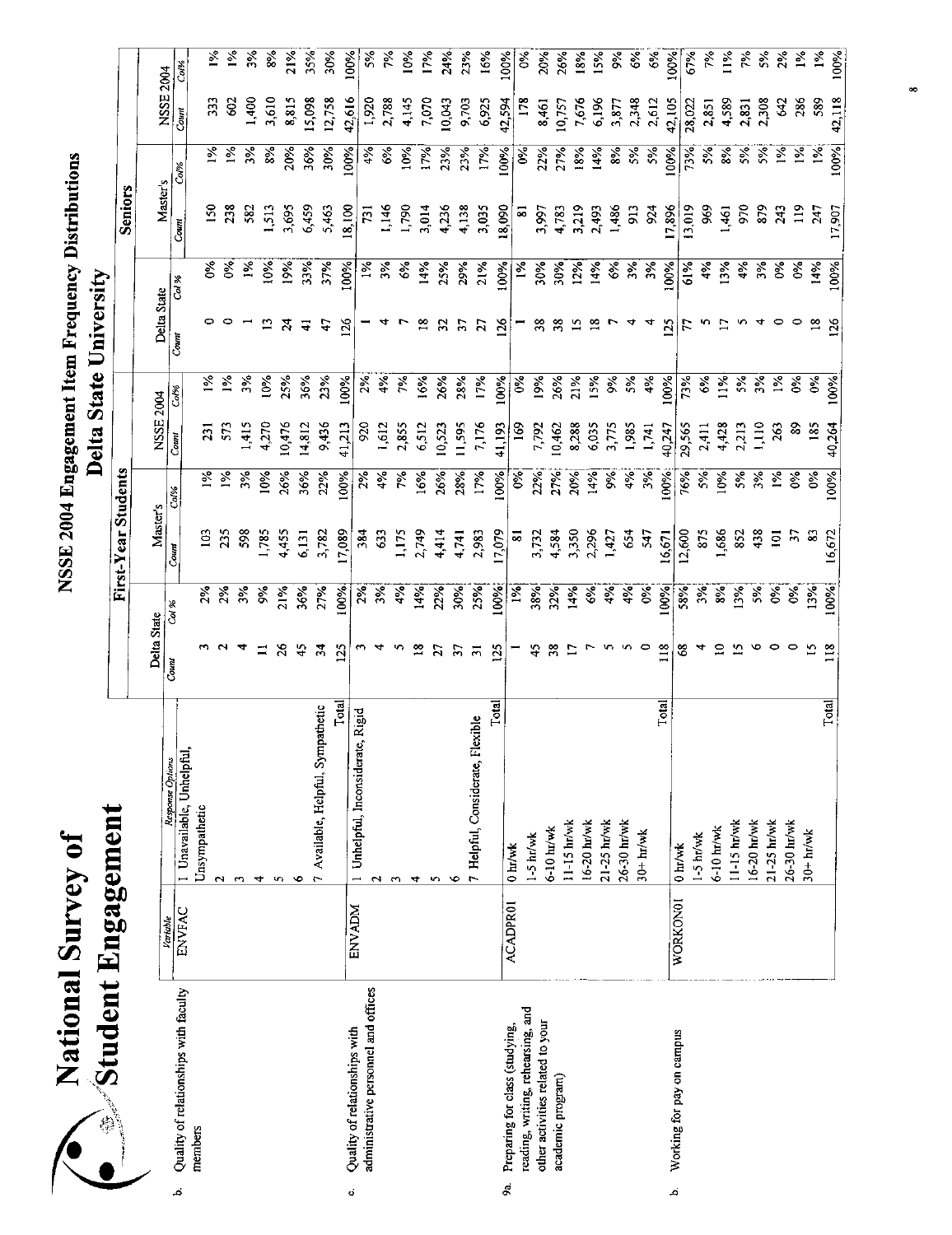| Survey o | Engagement |
|----------|------------|
| ational  | student    |
|          |            |

| Student Engagement                          |                 |                                     |                  |               |                      |               |                 |               |                  |               |               |               |           |                             |
|---------------------------------------------|-----------------|-------------------------------------|------------------|---------------|----------------------|---------------|-----------------|---------------|------------------|---------------|---------------|---------------|-----------|-----------------------------|
|                                             |                 |                                     |                  |               | First-Year Students  |               |                 |               |                  |               | Seniors       |               |           |                             |
|                                             |                 |                                     | Delta State      |               | Master's             |               | NSSE 2004       |               | Delta State      |               | Master's      |               |           |                             |
| Quality of relationships with faculty<br>نم | Variable        | Response Options                    | Count            | Coi %         | Count                | Col%          | Count           | Col%          | Coun             | Col %         | Count         | Col%          | NSSE 2004 |                             |
| members                                     | ENVFAC          | I Unavailable, Unhelpful,           |                  |               |                      |               |                 |               |                  |               |               |               | Count     | Col%                        |
|                                             |                 | Unsympathetic                       |                  | $\frac{2}{3}$ | $\Xi$                | $\frac{5}{6}$ | $\overline{3}$  | $\frac{1}{6}$ |                  | Š             | <b>SO</b>     | $\frac{5}{6}$ | 33        | $\frac{5}{6}$               |
|                                             |                 | N                                   |                  | $2\%$         | 235                  | $\frac{5}{2}$ | 573             | $\frac{5}{2}$ |                  | $\frac{8}{3}$ | 238           | 1%            | Ş,        | $\lceil \frac{9}{6} \rceil$ |
|                                             |                 | 3                                   |                  | 3%            | 598                  | $5\%$         | 1,415           | 3%            |                  | $\frac{5}{2}$ | 582           | 3%            | 1,400     | 3%                          |
|                                             |                 | 4                                   | ≍                | ૪             | 1,785                | 10%           | 4,270           | 10%           | $\Xi$            | 10%           | 1,513         | 8%            | 3,610     | 8%                          |
|                                             |                 | S                                   | $\frac{8}{2}$    | 21%           | 4,455                | 26%           | 10,476          | 25%           | $\overline{24}$  | 19%           | 3,695         | 20%           | 8,815     | 21%                         |
|                                             |                 | G                                   | 45               | 36%           | 6,131                | 36%           | 14,812          | 36%           | ╤                | 33%           | 6,459         | 36%           | 15,098    | 35%                         |
|                                             |                 | 7 Available, Helpful, Sympathetic   | $\boldsymbol{z}$ | 27%           | 3,782                | 22%           | 9,436           | 23%           | $\ddot{t}$       | 37%           | 5,463         | 30%           | 12,758    | 30%                         |
| Quality of relationships with<br>Ģ          | <b>ENVADM</b>   | Total                               | 125              | 100%          | 17,089               | 100%          | 41,213          | 100%          | 126              | 100%          | 18,100        | 100%          | 42,616    | 100%                        |
| administrative personnel and offices        |                 | 1 Unhelpful, Inconsiderate, Rigid   |                  | 2%            | 384                  | 2%            | 920             | 2%            |                  | $\frac{5}{6}$ | 731           | 4%            | 1,920     | 5%                          |
|                                             |                 | ç                                   |                  | 3%            | 63                   | $4\%$         | 1,612           | $\frac{5}{4}$ |                  | 3%            | 1,146         | 6%            | 2,788     | 7%                          |
|                                             |                 |                                     |                  | 4%            | 1,175                | ζę            | 2,855           | 7%            |                  | 6%            | 1,790         | 10%           | 4145      | 10%                         |
|                                             |                 | ෑ                                   | $\frac{8}{18}$   | 14%           | 2,749                | 16%           | 6,512           | 16%           | $\frac{8}{16}$   | 14%           | 3,014         | 17%           | 7,070     | 17%                         |
|                                             |                 | S                                   | 57               | 22%           | 4,414                | 26%           | 10,523          | 26%           | 32               | 25%           | 4,236         | 23%           | 10,043    | 24%                         |
|                                             |                 | ७                                   | 57               | 30%           | 4.741                | 28%           | 11,595          | 28%           | $\tilde{\bm{5}}$ | 29%           | 4,138         | 23%           | 9703      | 23%                         |
|                                             |                 | Flexible<br>7 Helpful, Considerate, | $\overline{5}$   | 25%           | 2,983                | 17%           | 7,176           | 17%           | 27               | 21%           | 3,035         | 17%           | 6,925     | 16%                         |
| Preparing for class (studying,<br>\$ã.      | <b>ACADPROI</b> | Total                               | $\frac{25}{25}$  | 100%          | 17,079               | 100%          | 41,193          | 100%          | $\frac{1}{2}$    | 100%          | 18,090        | 100%          | 42,594    | 100%                        |
| reading, writing, rehearsing, and           |                 | $0 \text{ hr/wk}$                   |                  | 1%            | $\overline{\bullet}$ | $\frac{8}{3}$ | $\frac{169}{2}$ | $\delta$      |                  | $\frac{5}{6}$ | 5             | Š             | 178       | $\delta$                    |
| other activities related to your            |                 | $1 - 5$ hr/wk                       | 45               | 38%           | 3,732                | 22%           | 7,792           | 19%           | 38               | 30%           | 3,997         | 22%           | 8,461     | 20%                         |
| academic program)                           |                 | 6-10 hr/wk                          | $\frac{8}{2}$    | 32%           | 4,584                | 27%           | 10,462          | 26%           | 38               | 30%           | 4,783         | 27%           | 10,757    | 26%                         |
|                                             |                 | $11-15$ $hr/wk$                     |                  | 14%           | 3,350                | 20%           | 8,288           | 21%           | $\overline{a}$   | 12%           | 3,219         | 18%           | 7,676     | 18%                         |
|                                             |                 | 16-20 hr/wk                         |                  | $\frac{6}{6}$ | 2,296                | 14%           | 6,035           | 15%           |                  | 14%           | 2,493         | 14%           | 6.196     | 15%                         |
|                                             |                 | 21-25 hr/wk<br>26-30 hr/wk          |                  | 4%            | 1,427                | š             | 3,775           | $\%$          |                  | $6\%$         | 1,486         | 8%            | 3,877     | $\frac{8}{3}$               |
|                                             |                 | $30+hr$ /wk                         |                  | 4%            | 654                  | 4%            | 1,985           | 5%            |                  | $\frac{5}{6}$ | 913           | 5%            | 2,348     | 6%                          |
|                                             |                 |                                     | 0                | $\delta$      | 547                  | $3\%$         | 1,741           | 4%            |                  | 3%            | 924           | 5%            | 2,612     | $6\%$                       |
| Working for pay on campus<br>نم             | WORKON01        | <b>Total</b><br>$0 \text{ hr/wk}$   | 118              | 00%           | 16,671               | 100%          | 40,247          | 100%          | 125              | 100%          | 17,896        | 100%          | 42,105    | 100%                        |
|                                             |                 | 1-5 hr/wk                           | 3                | 58%           | 12,600               | 76%           | 29,565          | 73%           | F                | 61%           | 13,019        | 73%           | 28,022    | 67%                         |
|                                             |                 | 6-10 hr/wk                          |                  | 3%            | 875                  | 5%            | 2,411           | 6%            | m                | 4%            | 969           | 5%            | 2,851     | 7%                          |
|                                             |                 | 11-15 hr/wk                         | ≘                | 8%            | 1,686                | $10\%$        | 4,428           | 11%           |                  | 13%           | 1,461         | 8%            | 4.589     | $1\%$                       |
|                                             |                 | 16-20 hr/wk                         |                  | 13%           | 852                  | $5\%$         | 2,213           | 5%            |                  | 4%            | 970           | 5%            | 2,831     | 7%                          |
|                                             |                 | 21-25 hr/wk                         |                  | 5%            | 438                  | 3%            | 1,110           | 3%            |                  | 5%            | 879           | 5%            | 2,308     | 5%                          |
|                                             |                 | 26-30 hr/wk                         |                  | $\delta$      | $\Xi$                | $\tilde{z}$   | 263             | $\frac{5}{6}$ | ∘                | Ò,            | 243           | 1%            | 542       | $2\%$                       |
|                                             |                 | $30+ln/wk$                          |                  | $\delta$      | $\mathcal{L}$        | క             | 8               | $\frac{5}{6}$ |                  | $\frac{6}{5}$ | $\frac{1}{2}$ | 1%            | 286       | $1\%$                       |
|                                             |                 |                                     | $\mathbf{5}$     | 13%           | $\mathbb{S}$         | $\delta$      | 185             | $\delta$      | $\frac{8}{18}$   | 14%           | 247           | $1\%$         | 589       | $1\%$                       |
|                                             |                 | Total                               | 118              | 100%          | 16,672               | 100%          | 40,264          | 100%          | 126              | 100%          | 17,907        | 100%          | 42,118    | 100%                        |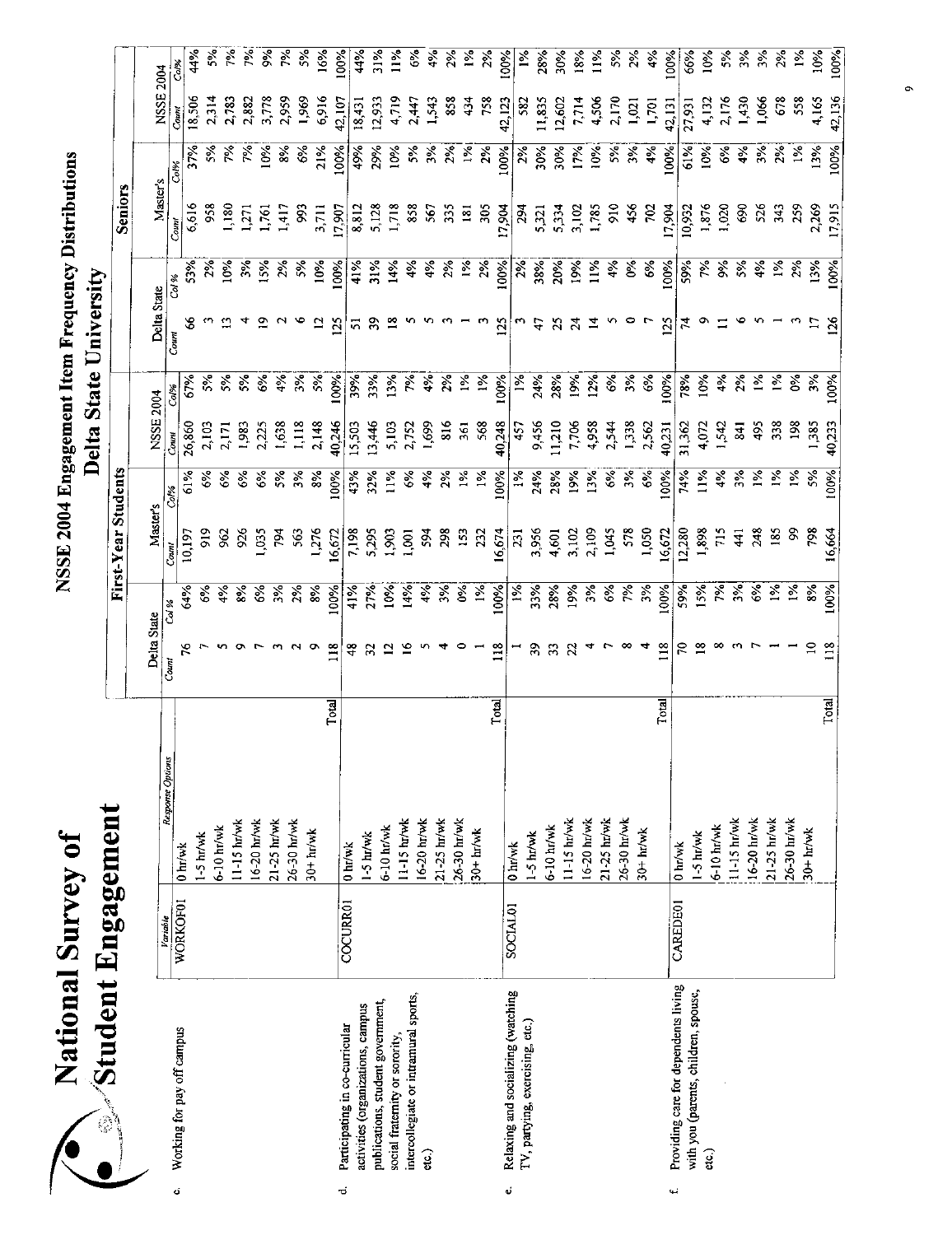| $\bullet$<br>valvin<br>ational | ngagemen'<br>studeni |
|--------------------------------|----------------------|
|                                |                      |

|      | Dinningastring<br>اللمعي بتعاييبها                                    |                      |                   |       |                 |                            | First-Year Students |                       |                |                  |               |                | <b>Seniors</b> |                |           |                       |
|------|-----------------------------------------------------------------------|----------------------|-------------------|-------|-----------------|----------------------------|---------------------|-----------------------|----------------|------------------|---------------|----------------|----------------|----------------|-----------|-----------------------|
|      |                                                                       |                      |                   |       |                 |                            |                     |                       |                |                  |               |                |                |                |           |                       |
|      |                                                                       | Variable             | Response Options  |       | Delta State     |                            | Master's            |                       | NSSE 2004      |                  | Delta State   |                | Master's       |                | NSSE 2004 |                       |
| ö    | Working for pay off campus                                            | <b>WORKOF01</b>      | $0 \text{ hr}$ wk |       | Count           | Col %                      | Count               | Co <sup>19</sup> 6    | Comt           | Col%             | Court         | Col %          | Count          | Col%           | Count     | Col%                  |
|      |                                                                       |                      |                   |       | مر              | 64%                        | 10,197              | 61%                   | 26,860         | 67%              | 3             | 53%            | 6,616          | 37%            | 18,506    | 44%                   |
|      |                                                                       |                      | $1-5$ hr/wk       |       |                 | ૬                          | $\frac{2}{5}$       | ૹ૾                    | 2,103          | રું              |               | 2%             | 958            | $\frac{5}{6}$  | 2,314     | 5%                    |
|      |                                                                       |                      | $6 - 10$ hr/wk    |       |                 | 4%                         | $\mathfrak{Z}$      | $6\%$                 | 2,171          | $5\%$            |               | 10%            | 1,180          | 7%             | 2,783     | 7%                    |
|      |                                                                       |                      | 11-15 hr/wk       |       |                 | $\frac{8}{6}$              | 926                 | ઙઁ                    | 1,983          | 5%               |               | $\frac{5}{2}$  | 1271           |                | 2,882     | 7%                    |
|      |                                                                       |                      | 16-20 hr/wk       |       |                 | ેર                         | 0.55                | $\mathcal{E}$         | 2,225          | $\frac{6}{3}$    |               | 15%            | 1,761          | 10%            | 3,778     | $\frac{8}{3}$         |
|      |                                                                       |                      | 21-25 hr/wk       |       |                 | 3%                         | 784                 | $5\%$                 | 1,638          | 4%               |               | 2%             | 1,417          | $\frac{6}{36}$ | 2,959     | 7%                    |
|      |                                                                       |                      | 26-30 hr/wk       |       |                 | 2%                         | 563                 | ર્ક્                  | 1,118          | 3%               |               | 5%             | 993            | 6%             | 1,969     | $5\%$                 |
|      |                                                                       |                      | $30+ h_V$ wk      |       |                 | 8%                         | 1,276               | 8%                    | 2,148          | 5%               | ≌             | 10%            | 3,711          | 21%            | 6,916     | 16%                   |
| ಕ    | Participating in co-curricular                                        | COCURR01             |                   | Total | 118             | 100%                       | 16,672              | 100%                  | 40,246         | 100%             | 125           | 100%           | 17,907         | 100%           | 42,10,    | $100\%$               |
|      | activities (organizations, campus                                     |                      | 0 hr/wk           |       | \$              | 41%                        | 7,198               | 43%                   | 15,503         | 39%              | 51            | 41%            | 8,812          | 49%            | 18,431    | 44%                   |
|      | publications, student government,                                     |                      | $1-5$ hr/wk       |       |                 | 27%                        | 5,295               | 32%                   | 13,446         | 33%              | 39            | 31%            | 5,128          | 29%            | 12,933    | 31%                   |
|      | social fratemity or sorority                                          |                      | 6-10 hr/wk        |       |                 | 10%                        | 1,903               | 11%                   | 5,103          | 13%              |               | 14%            | 1,718          | 10%            | 4,719     | $\frac{5}{2}$         |
|      | intercollegiate or intramural sports,                                 |                      | 11-15 hr/wk       |       |                 | 14%                        | 1,001               | $\mathcal{E}^{\circ}$ | 2,752          | ζά.              |               | $\frac{5}{6}$  | 858            | $25^{\circ}$   | 2,447     | $6\%$                 |
|      | <u>යා</u>                                                             |                      | 16-20 hr/wk       |       |                 | 4%                         | 594                 | $4\%$                 | 1,699          | 4%               |               | $\frac{5}{4}$  | 567            | 3%             | 1,543     | $\frac{2}{3}$         |
|      |                                                                       |                      | 21-25 hr/wk       |       |                 | 3%                         | 298                 | $\frac{5}{2}$         | $\frac{8}{16}$ | $2\%$            |               | 2%             | 335            | 2%             | 858       | 2%                    |
|      |                                                                       |                      | 26-30 hr/wk       |       |                 | $\delta$                   | $\overline{5}$      | $1\%$                 | 361            | $1\%$            |               | $\frac{5}{26}$ | 181            | $1\%$          | 434       | $\tilde{z}$           |
|      |                                                                       |                      | $30+hr/wk$        |       |                 | $1\%$                      | 232                 | $1\%$                 | 568            | $1\%$            |               | 2%             | 305            | 2%             | 758       | $\frac{5}{2}$         |
| ¢    |                                                                       |                      |                   | Total | 118             | 100%                       | 16,674              | 100%                  | 40,248         | 100%             | <b>25</b>     | 100%           | 17,904         | 100%           | 42,123    | 100%                  |
|      | Relaxing and socializing (watching<br>TV, partying, exercising, etc.) | SOCIAL <sub>01</sub> | 0 hr/wk           |       |                 | $\frac{5}{2}$              | $\overline{23}$     | $1\%$                 | 457            | 1%               |               | 2%             | 294            | 2%             | 582       | $\frac{5}{2}$         |
|      |                                                                       |                      | $1-5$ hr/wk       |       | ఇ               | 33%                        | 3,956               | 24%                   | 9,456          | 24%              | ₩             | 38%            | 5,321          | 30%            | 11,835    | 28%                   |
|      |                                                                       |                      | 6-10 hr/wk        |       | π               | 28%                        | 4,601               | 28%                   | 11,210         | 28%              | $\mathbb{Z}$  | 20%            | 5,334          | 30%            | 12,602    | 30%                   |
|      |                                                                       |                      | 11-15 hr/wk       |       |                 | 19%                        | 3,102               | 19%                   | 7,706          | 19%              | $\mathcal{A}$ | 19%            | 3,102          | 17%            | 7,714     | 18%                   |
|      |                                                                       |                      | 16-20 hr/wk       |       |                 | 3%                         | 2,109               | 13%                   | 4,958          | 12%              |               | 11%            | 1,785          | 10%            | 4,506     | $1\%$                 |
|      |                                                                       |                      | 21-25 hr/wk       |       |                 | $\mathcal{E}_{\mathbf{e}}$ | 1,045               | $\frac{6}{6}$         | 2,544          | 6%               |               | 4%             | $\frac{6}{2}$  | $\frac{5}{2}$  | 2,170     | $\tilde{\varepsilon}$ |
|      |                                                                       |                      | 26-30 hr/wk       |       |                 | 562                        | $5-8$               | $3\%$                 | 1,338          | 3%               |               | Š              | 456            | $\frac{5}{3}$  | 1,02      | $\frac{2}{\lambda}$   |
|      |                                                                       |                      | $30+hr/wk$        |       |                 | 3%                         | 1,050               | $6\%$                 | 2,562          | 6%               |               | $\frac{6}{3}$  | $\frac{5}{2}$  | 4%             | 1,701     | 4%                    |
| نبيه | Providing care for dependents living                                  | <b>CAREDE01</b>      |                   | Total | 118             | 100%                       | 16,672              | 100%                  | 40,231         | 100%             | 125           | 100%           | 17,904         | 100%           | 42,131    | $00\%$                |
|      | with you (parents, children, spouse,                                  |                      | 0 hr/wk           |       |                 | 59%                        | 12,280              | 74%                   | 31,362         | 78%              |               | 59%            | 10,932         | 61%            | 27,931    | 66%                   |
|      | etc.)                                                                 |                      | $1-5$ hr/wk       |       |                 | 15%                        | 1,898               | $11\%$                | 4,072          | 10%              |               | 诊              | 1,876          | 10%            | 4,132     | $10\%$                |
|      |                                                                       |                      | $6-10$ hr/wk      |       |                 | 汊                          | 715                 | 4%                    | 1,542          | 4%               |               | ş.             | 1,020          | $\frac{6}{6}$  | 2,176     | $\frac{2}{5}$         |
|      |                                                                       |                      | 11-15 hr/wk       |       |                 | $\frac{2}{3}$              | $\frac{4}{1}$       | $3\%$                 | <b>841</b>     | 2%               |               | 5%             | $\frac{6}{3}$  | 4%             | 1,430     | $3\%$                 |
|      |                                                                       |                      | 16-20 hr/wk       |       |                 | $\frac{6}{3}$              | 248                 | $\frac{5}{6}$         | 495            | $\frac{5}{2}$    |               | $\frac{5}{2}$  | 56             | $\frac{5}{2}$  | 1,066     | $\frac{5}{2}$         |
|      |                                                                       |                      | 21-25 hr/wk       |       |                 | $1\%$                      | 185                 | $\frac{5}{2}$         | 38             | $\bar{\epsilon}$ |               | $\frac{5}{2}$  | 343            | $\frac{5}{2}$  | 678       | $\tilde{\chi}$        |
|      |                                                                       |                      | 26-30 hr/wk       |       |                 | $\frac{1}{2}$              | S,                  | $\frac{5}{2}$         | 198            | နွ               |               | 2%             | 259            | $\frac{5}{26}$ | 558       | $\frac{5}{2}$         |
|      |                                                                       |                      | $30+$ $h/mk$      |       |                 | 8%                         | 798                 | 5%                    | 1,385          | 3%               |               | 13%            | 2,269          | 13%            | 4,165     | 10%                   |
|      |                                                                       |                      |                   | Total | $\frac{8}{118}$ | 100%                       | 16,664              | 100%                  | 40,233         | 100%             | 126           | 100%           | 17,915         | 100%           | 42,136    | 100%                  |

 $\ddot{\phantom{a}}$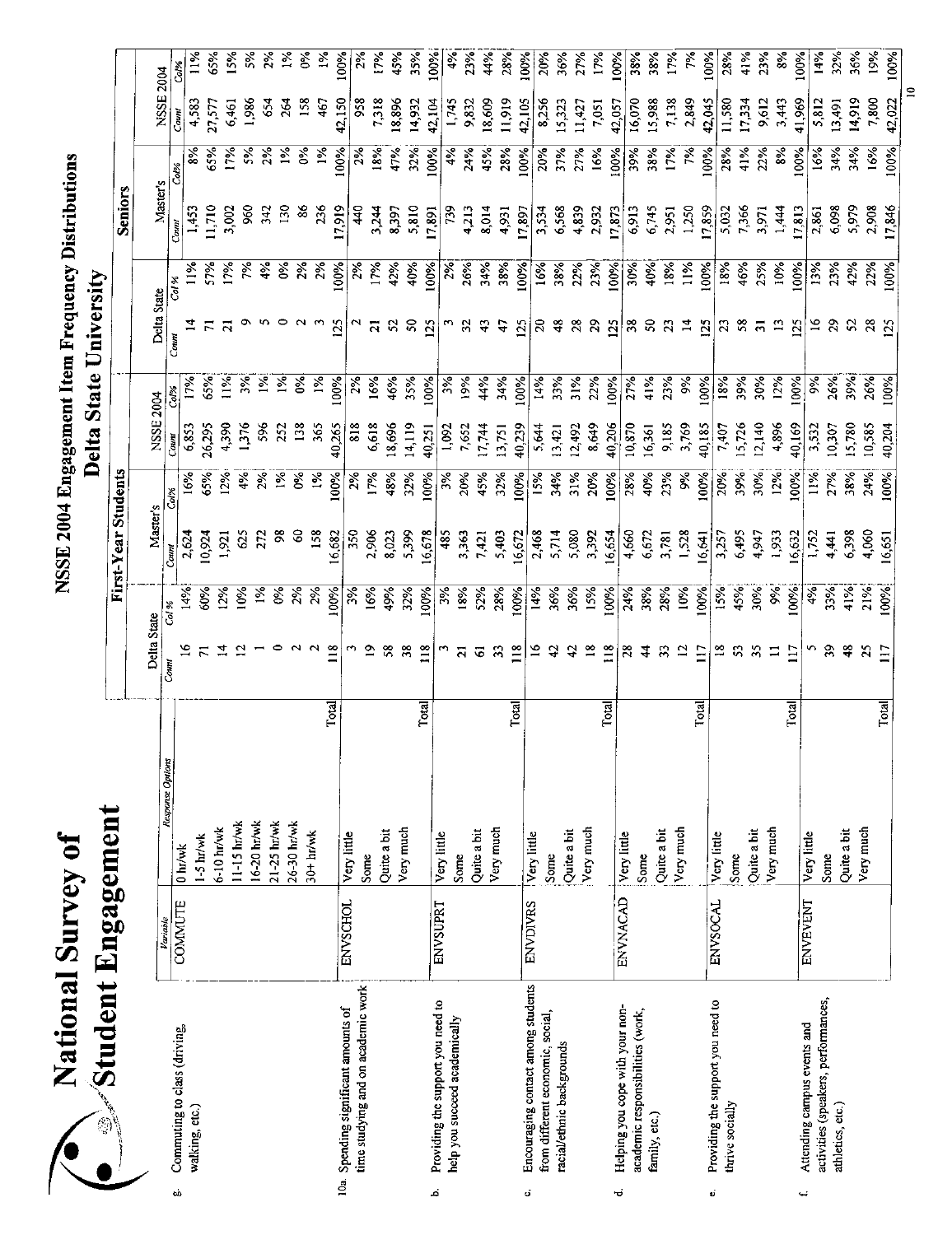| <b>Durvey</b><br>ational | pagement<br>Еn<br>student |
|--------------------------|---------------------------|
|                          |                           |

| Student Engagement                                                         |                 |                  |       |                | First-Year Students |          |                |                  |                |                |               |                 |               |                           |                     |
|----------------------------------------------------------------------------|-----------------|------------------|-------|----------------|---------------------|----------|----------------|------------------|----------------|----------------|---------------|-----------------|---------------|---------------------------|---------------------|
|                                                                            |                 |                  |       |                |                     |          |                |                  |                |                |               | <b>Seniors</b>  |               |                           |                     |
|                                                                            |                 |                  |       | Delta State    |                     | Master's |                | NSSE 2004        |                | Delta State    |               |                 |               |                           |                     |
|                                                                            | Variable        | Response Options | Count | Col %          | Count               | Col%     | Courr          |                  |                | Count          |               | <b>Master's</b> |               | NSSE 2004                 |                     |
| Commuting to class (driving,<br>ьò                                         | COMMUTE         | 0 hr/wk          |       |                | 14%                 | 2,624    | $\frac{6}{3}$  | 6,853            | š.             |                | 11%           | 1,453<br>Count  | ૹૻ<br>Col%    | $\frac{4,583}{ }$<br>Couw | Col%                |
| walking, etc.)                                                             |                 | $1-5$ hr/wk      |       |                | 10,924<br>50%       |          | 65%            | 26,295           | 6.3%           |                | 5.96          | 11,710          | 65%           |                           | $\frac{5}{2}$       |
|                                                                            |                 | $6-10$ hr/wk     |       |                | $2\%$               | 1,921    | 2%             | 4,390            | $\frac{1}{2}$  |                | 17%           | 3,002           | 17%           | 27.57                     | 65%                 |
|                                                                            |                 | 11-15 hr/wk      |       |                | $\geq$              | 625      | 4%             | 1376             |                |                | ಸ್ನೆ          | 960             |               | 1,986<br>6,461            | 15%                 |
|                                                                            |                 | 16-20 hr/wk      |       |                | $\frac{5}{26}$      | 27       | 2%             | 58               | $\frac{5}{2}$  |                | $\frac{5}{3}$ | 342             | $\frac{5}{2}$ | 54                        | 5%<br>$\frac{5}{2}$ |
|                                                                            |                 | 21-25 hr/wk      |       |                | ૪                   | ž        | $\tilde{z}$    | 252              | $\frac{5}{26}$ |                | $\frac{5}{6}$ | $\frac{30}{2}$  | $\frac{5}{6}$ | $\frac{5}{2}$             |                     |
|                                                                            |                 | 26-30 hr/wk      |       |                | $2\%$               | S        | క              | $\frac{38}{2}$   | Š              |                | 2%            | $\frac{8}{6}$   | š             | 158                       | $\delta$            |
|                                                                            |                 | $30 + hr$ wk     |       |                | 2%                  | 158      | $1\frac{6}{5}$ | 365              | $\frac{5}{6}$  |                | 2%            | 236             | $1\%$         | 467                       | 1%                  |
|                                                                            |                 |                  | Total | $\frac{8}{1}$  | 16,682<br>100%      |          | 100%           | 40,265           | 100%           | 125            | 100%          | 17,919          | 100%          | 42,150                    | 100%                |
| time studying and on academic work<br>10a. Spending significant amounts of | <b>ENVSCHOL</b> | Very little      |       |                | 3%                  | 350      | $\frac{5}{6}$  | $\frac{818}{25}$ | $\frac{5}{2}$  |                | $\frac{5}{2}$ | $rac{4}{4}$     | 2%            | 958                       | $2\%$               |
|                                                                            |                 | Some             |       |                | 16%                 | 2,906    | 17%            | 6,618            | 16%            |                | 17%           | 3,244           | 18%           | 7,318                     | 17%                 |
|                                                                            |                 | Quite a bit      |       |                | 49%                 | 8,023    | 48%            | 18,696           | 46%            |                | 42%           | 8,397           | 47%           | 18,896                    | 45%                 |
|                                                                            |                 | Very much        |       | ೫              | 32%                 | 5,399    | 32%            | 14,119           | 35%            | $50^{\circ}$   | 40%           | 5,810           | 32%           | 14,932                    | 35%                 |
| ند                                                                         |                 |                  | Total | 118            | 16,678<br>100%      |          | 100%           | 40,251           | 100%           | $\overline{2}$ | 100%          | 17,891          | 100%          | 42.104                    | 100%                |
| Providing the support you need to<br>help you succeed academically         | <b>ENVSUPRT</b> | Very little      |       |                | 3%                  | 485      | 3%             | 1,092            | $\frac{3}{6}$  |                | 2%            | 739             | $4\%$         | 1,745                     | $4\%$               |
|                                                                            |                 | Some             |       | ត              | 18%                 | 3,363    | 20%            | 7,652            | 19%            | $\overline{3}$ | 26%           | 4,213           | 24%           | 9,832                     | 23%                 |
|                                                                            |                 | Quite a bit      |       | ତ              | 52%                 | 7,421    | 45%            | 17,744           | 44%            |                | 34%           | 8,014           | 4.5%          | 18,609                    | 44%                 |
|                                                                            |                 | Very much        |       |                | 28%                 | 5,403    | 32%            | 13,751           | 34%            | A              | 38%           | 4,931           | 28%           | 11,919                    | 28%                 |
| ö                                                                          |                 |                  | Total | $\frac{8}{11}$ | 16,672<br>100%      |          | 100%           | 40,239           | 100%           | 125            | 100%          | 17,897          | 100%          | 42,105                    | 100%                |
| Encouraging contact among students<br>from different economic, social,     | <b>ENVDIVRS</b> | Very little      |       |                | 14%                 | 2468     | 15%            | 5,644            | 14%            | ន              | 16%           | 3,534           | 20%           | 8,256                     | 20%                 |
| racial/ethnic backgrounds                                                  |                 | Some             |       |                | 36%                 | 5,714    | 34%            | 13,421           | 33%            | $\ddot{ }$     | 38%           | 6,568           | 37%           | 15,323                    | 36%                 |
|                                                                            |                 | Quite a bit      |       |                | 36%                 | 5,080    | 31%            | 12,492           | 31%            | 28             | 22%           | 4,839           | 27%           | 11,427                    | 27%                 |
|                                                                            |                 | Very much        |       |                | 15%                 | 3,392    | 20%            | 8,649            | 22%            | 29             | 23%           | 2,932           | 16%           | 7,051                     | 17%                 |
| Helping you cope with your non-<br>ರ                                       | ENVNACAD        |                  | Total | 118            | 16,654<br>100%      |          | 100%           | 40,206           | 100%           | 125            | 100%          | 17,873          | 100%          | 42,057                    | 100%                |
| academic responsibilities (work,                                           |                 | Very little      |       | $\frac{8}{2}$  | 24%                 | 4,660    | 28%            | 10,870           | 27%            | 38             | 30%           | 6,913           | 39%           | 16,070                    | 38%                 |
| family, etc.)                                                              |                 | Some             |       |                | 38%                 | 6,672    | 40%            | 16,361           | 41%            |                | 40%           | 6,745           | 38%           | 15,988                    | 38%                 |
|                                                                            |                 | Quite a bit      |       |                | 28%                 | 3,781    | 23%            | 9,185            | 23%            |                | 18%           | 2,951           | 17%           | 7,138                     | 17%                 |
|                                                                            |                 | Very much        |       | ≘              | 10%                 | 1,528    | 9%             | 3,769            | $\frac{5}{26}$ | $\overline{z}$ | 11%           | 1,250           | ř,            | 2,849                     | ζę.                 |
| Providing the support you need to<br>Ú                                     | ENVSOCAL        |                  | Total | $\Xi$          | 16,61<br>100%       |          | 100%           | 40,185           | 100%           | $\mathbf{5}$   | 100%          | 17,859          | 100%          | 42,045                    | 100%                |
| thrive socially                                                            |                 | Very little      |       |                | 15%                 | 3,257    | 20%            | 7,407            | 18%            |                | 18%           | 5,032           | 28%           | 11,580                    | 28%                 |
|                                                                            |                 | Some             |       |                | 45%                 | 6,495    | 39%            | 15,726           | 39%            | 58             | 46%           | 7,366           | 41%           | 17,334                    | 41%                 |
|                                                                            |                 | Quite a bit      |       |                | 30%                 | 4,947    | 30%            | 12,140           | 30%            |                | 25%           | 3,971           | 22%           | 9,612                     | 23%                 |
|                                                                            |                 | Very much        |       | $\Xi$          | $\frac{6}{3}$       | 1,933    | 12%            | 4,896            | 12%            | $\mathbf{z}$   | 10%           | 1,444           | $\frac{8}{3}$ | 3,443                     | 8%                  |
| Attending campus events and<br>یے                                          | <b>ENVEVENT</b> |                  | Total | Ξ              | 100%                | 16,632   | $\frac{8}{8}$  | 40,169           | 100%           | 125            | .00%          | 17,813          | 100%          | 41,969                    | 100%                |
| activities (speakers, performances,                                        |                 | Very little      |       |                | 4%                  | 1,752    | 11%            | 3,532            | š              |                | 13%           | 2,861           | 16%           | 5,812                     | 14%                 |
| athletics, etc.)                                                           |                 | Some             |       |                | 33%                 | 4,441    | 27%            | 10,307           | 26%            |                | 23%           | 6,098           | 34%           | 13,491                    | 32%                 |
|                                                                            |                 | Quite a bit      |       | ≆              | 41%                 | 6,398    | 38%            | 15,780           | 39%            |                | 42%           | 5,979           | 34%           | 14,919                    | 36%                 |
|                                                                            |                 | Very much        |       | ς,             | 21%                 | 4,060    | 24%            | 10,385           | 26%            |                | 22%           | 2,908           | 16%           | 7,800                     | 19%                 |
|                                                                            |                 |                  | Total | Ξ              | 16,651<br>100%      |          | 100%           | 40,204           | 100%           | <u>is</u>      | 100%          | 17,846          | 100%          | 42,022                    | 100%                |

 $\vert$  e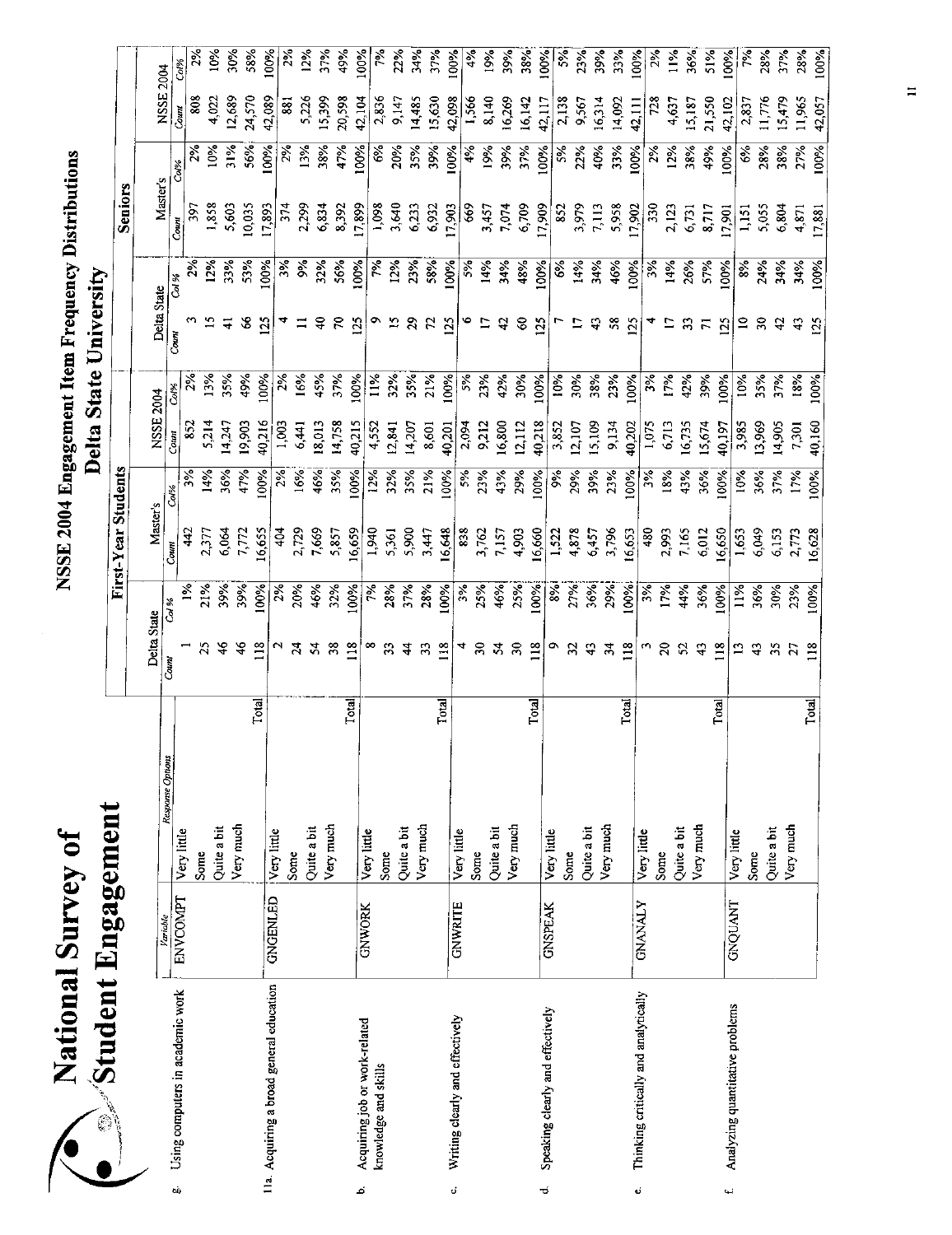| $\bullet$<br>Survey<br>lational | <b>Ingagement</b><br>Student |
|---------------------------------|------------------------------|
|                                 | ---------                    |

|     | Dinastram Filan                          |                 |                          |              |                |               |                     |                    |           |               |                            |               |                         |               |                  |                |
|-----|------------------------------------------|-----------------|--------------------------|--------------|----------------|---------------|---------------------|--------------------|-----------|---------------|----------------------------|---------------|-------------------------|---------------|------------------|----------------|
|     |                                          |                 |                          |              |                |               | First-Year Students |                    |           |               |                            |               | Seniors                 |               |                  |                |
|     |                                          |                 |                          |              | Delta State    |               | Master's            |                    | NSSE 2004 |               | Delta State                |               |                         |               |                  |                |
|     |                                          | Variable        | Response Options         | Count        | Col %          |               | $_{Counl}$          | Co <sup>19</sup> 6 | Соин      | Col%          | Count                      | Col %         | Master's                |               | NSSE 2004        |                |
| tò. | Using computers in academic work         | <b>ENVCOMPT</b> | Very little              |              |                | $\frac{5}{6}$ | $\frac{42}{3}$      | $3\%$              | 852       |               |                            |               | $\overline{5}$<br>Coun! | Col%          | Count            | Col%           |
|     |                                          |                 | Some                     |              |                | 21%           | 2,377               | 14%                | 5,214     | 13%           |                            | 12%           | 1,858                   | 10%           | \$08             |                |
|     |                                          |                 | Quite a bit              |              | $\frac{8}{4}$  | 39%           | 6,064               | 36%                | 14,247    | 35%           |                            | 33%           | 5,603                   | 31%           | 4,022            | 10%            |
|     |                                          |                 | Very much                |              | $\frac{4}{6}$  | 39%           | 7,772               | 47%                | 19,903    | 49%           | $\boldsymbol{\mathcal{S}}$ | 53%           | 10,035                  | 56%           | 12,689           | 30%            |
|     |                                          |                 |                          | Total        | 118            | 00%           | 6,655               | 60%                | 40,216    | 60%           | 125                        | 00%           | 17,893                  | 100%          | 42,089<br>24,570 | 58%<br>$100\%$ |
|     | 11a. Acquiring a broad general education | <b>GNGENLED</b> | Very little              |              |                | $2\%$         | $rac{4}{3}$         | $\frac{2}{3}$      | 1,003     | $\frac{5}{2}$ |                            | 3%            | 374                     | 2%            | 88               |                |
|     |                                          |                 | Some                     |              |                | 20%           | 2,729               | 16%                | 6,441     | 16%           |                            | ð,            | 2,299                   | 13%           | 5,226            | 12%            |
|     |                                          |                 | Quite a bit              |              |                | 46%           | 7,669               | 46%                | 18,013    | 45%           | ş                          | 32%           | 6,834                   | 38%           | 15,399           | 37%            |
|     |                                          |                 | Very much                |              | 38             | 32%           | 5,857               | 35%                | 14,758    | 37%           | Ρ                          | 56%           | 8,392                   | 47%           | 20,598           | 49%            |
| ئم  | Acquiring job or work-related            |                 |                          | <b>Total</b> | $\frac{8}{18}$ | 00%           | 16,659              | 100%               | 40,215    | 100%          | $\frac{25}{2}$             | 100%          | 17,899                  | 100%          | 42,104           | 60%            |
|     | knowledge and skills                     | <b>GNWORK</b>   | Very little              |              |                |               | 1,940               | 12%                | 4,552     | $11\%$        |                            | ρX            | 1,098                   | $\frac{6}{6}$ | 2,836            |                |
|     |                                          |                 | Some                     |              |                | 28%<br>37%    | 5,361               | 32%                | 12,841    | 32%           | 2                          | 12%           | 3,640                   | 20%           | 9,147            | 22%            |
|     |                                          |                 | Quite a bit              |              |                |               | 5,900               | 35%                | 14,207    | 35%           | 29                         | 23%           | 6,233                   | 3.96          | 14.485           | 34%            |
|     |                                          |                 | Very much                |              | Ξ              | 28%           | 5,447               | 21%                | 8,601     | 21%           | $\mathcal{L}$              | 58%           | 6,932                   | 39%           |                  | 37%            |
| đ   |                                          |                 |                          | <b>Total</b> | $\frac{8}{18}$ | 100%          | 16,648              | 100%               | 40,201    | 100%          | 125                        | 100%          | 17,903                  | 100%          | 15.630<br>42,098 | 100%           |
|     | Writing clearly and effectively          | <b>GNWRITE</b>  | Very little              |              |                | 3%<br>25%     | 838                 | 5%                 | 2,094     | 5%            |                            | 5%            | <b>\$9</b>              | 4%            | 1,566            | 4%             |
|     |                                          |                 | Some                     |              | నె             |               | 3,762               | 23%                | 9,212     | 23%           | Ξ                          | 14%           | 3,457                   | 19%           | 8,140            | 19%            |
|     |                                          |                 | Quite a bit              |              |                | 46%           | 7,157               | 43%                | 16,800    | 42%           | $\boldsymbol{\mathcal{L}}$ | 34%           | 7,074                   | 39%           | 16,269           | 39%            |
|     |                                          |                 | Very much                |              | నె             | 25%           | 4,903               | 29%                | 12,112    | 30%           | 8                          | 48%           | 6,709                   | 37%           | 16,142           | 38%            |
| ಕ   | Speaking clearly and effectively         |                 |                          | Total        | $\frac{8}{10}$ | 100%          | 16,660              | 100%               | 40,218    | 100%          | 125                        | 100%          | 17,909                  | 100%          | 42,117           | 100%           |
|     |                                          | <b>GNSPEAK</b>  | Very little              |              |                |               | 1,522               | $\frac{5}{6}$      | 3,852     | 10%           |                            | $\frac{6}{6}$ | $\frac{852}{255}$       | 5%            |                  | $5\%$          |
|     |                                          |                 | Some                     |              |                | 27%<br>36%    | 4,878               | 29%                | 12,107    | 30%           |                            | 14%           | 3,979                   | 22%           | 2,138<br>9,567   | 23%            |
|     |                                          |                 | Quite a bit              |              |                |               | 6,457               | 39%                | 15,109    | 38%           | ę                          | 34%           | 7,113                   | 40%           | 16,314           | 39%            |
|     |                                          |                 | Very much                |              | र्द्र          | 29%           | 3,796               | 23%                | 9,134     | 23%           | 58                         | 46%           | 5,958                   | 33%           | 14,092           | 33%            |
| نه  | Thinking critically and analytically     | <b>GNANALY</b>  | Very little              | Total        | $\frac{8}{10}$ | 100%          | 16,653              | 100%               | 40,202    | 100%          | $\overline{12}$            | 100%          | 17,902                  | 100%          | 42,111           | 100%           |
|     |                                          |                 | Some                     |              |                | $\frac{5}{6}$ | 480                 | $\frac{3}{2}$      | 1,075     | $3\%$         |                            | $3\%$         | 330                     | 2%            | 728              | $2\%$          |
|     |                                          |                 |                          |              |                | 17%           | 2,993               | 18%                | 6,713     | 17%           |                            | 14%           | $2,12^{\circ}$          | 12%           | 4,637            | $\frac{1}{2}$  |
|     |                                          |                 | Quite a bit              |              |                | 44%           | 7,165               | 43%                | 16,735    | 42%           |                            | 26%           | 6,731                   | 38%           | 15,187           | 36%            |
|     |                                          |                 | Very much                |              | ុ              | 36%           | 6,012               | 36%                | 15,674    | 39%           | $\bar{\mathbf{r}}$         | 57%           | 8,717                   | 49%           | 21,550           | 51%            |
| یه  | Analyzing quantitative problems          | GNQUANT         |                          | Total        | $\tilde{=}$    | $\frac{8}{8}$ | 16,650              | 100%               | 40,197    | 100%          | $\overline{25}$            | 100%          | 17,901                  | 100%          | 42.102           | 100%           |
|     |                                          |                 | Very little<br>Some      |              |                | $1\%$         | 1,653               | 10%                | 3,985     | 10%           | $\Xi$                      | $\frac{8}{3}$ | I, 151                  | 6%            | 2,83             |                |
|     |                                          |                 |                          |              |                | 36%           | 6,049               | 36%                | 13,969    | 35%           | $\overline{\mathbf{30}}$   | 24%           | 5,055                   | 28%           | 11,776           | 28%            |
|     |                                          |                 | Very much<br>Quite a bit |              |                | 30%           | 6,153               | 37%                | 14,905    | 37%           |                            | 34%           | 6,804                   | 38%           | 15,479           | 37%            |
|     |                                          |                 |                          |              |                | 23%           | 2,773               | 17%                | 7,301     | 18%           | क्                         | 34%           | 4,87                    | 27%           | 11,965           | 28%            |
|     |                                          |                 |                          | Total        |                | 100%          | 16,628              | 100%               | 40,160    | 100%          | 125                        | 100%          | 17,881                  | 100%          | 42,057           | 100%           |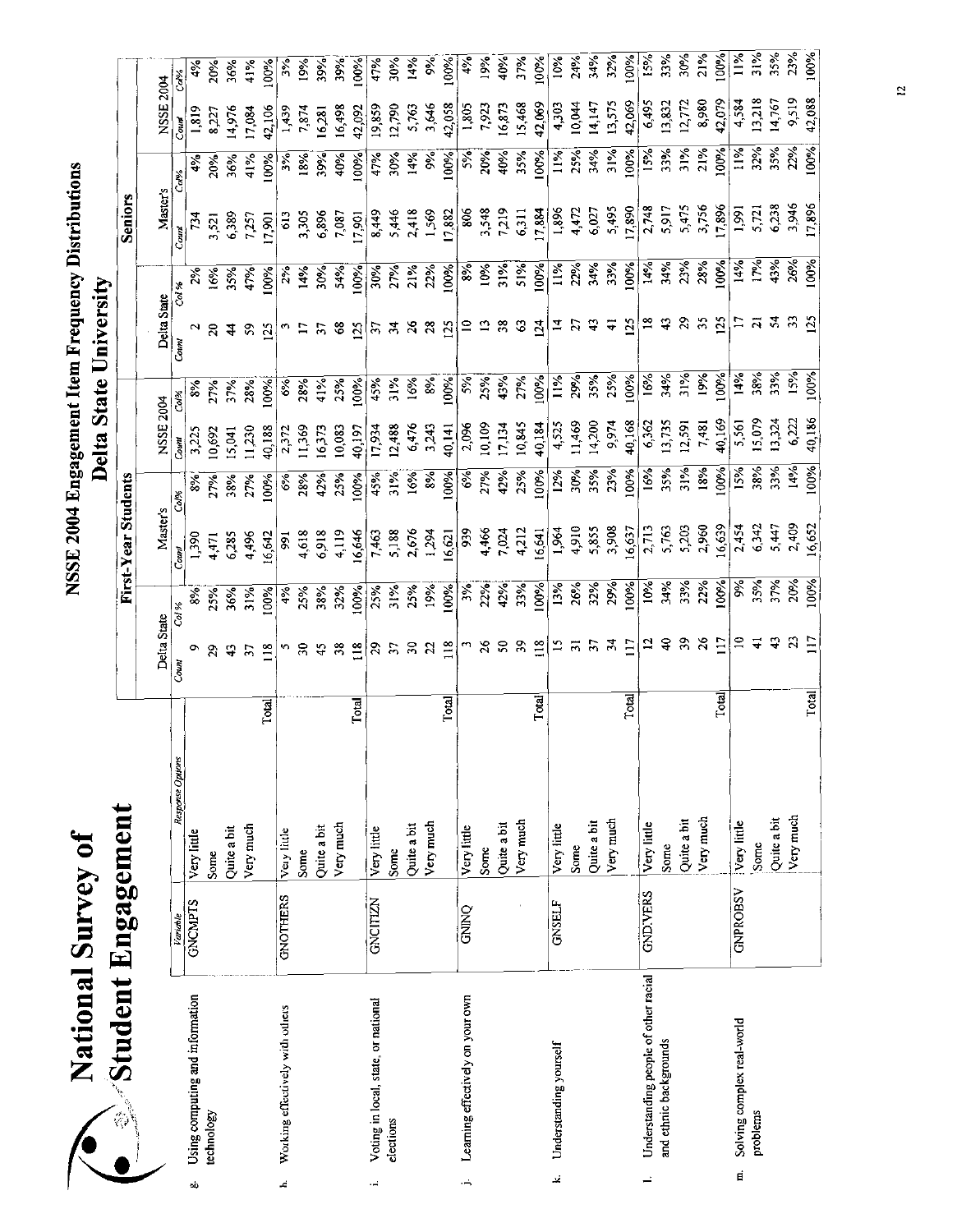| $\vec{0}$<br>National Survey | Student Engagement |
|------------------------------|--------------------|
|                              |                    |

|    | <b>No Student Engagement</b>         |                 |                  |                            |                           | First-Year Students     |               |                 |               |                         |                          | <b>Seniors</b> |             |                          |                     |
|----|--------------------------------------|-----------------|------------------|----------------------------|---------------------------|-------------------------|---------------|-----------------|---------------|-------------------------|--------------------------|----------------|-------------|--------------------------|---------------------|
|    |                                      |                 |                  |                            |                           |                         |               |                 |               |                         |                          |                |             |                          |                     |
|    |                                      |                 |                  | Delta State                |                           | Master's                |               | NSSE 2004       |               | Delta State             |                          | Master's       |             | NSSE 2004                |                     |
|    |                                      | Variable        | Response Options | Coun                       | Col %                     | Couni                   | Co/%          | Count           |               | Count                   |                          | Cours          | Col%        | Coun                     | Ca <sup>lor</sup> o |
| oò | Using computing and information      | <b>GNCMPTS</b>  | Very little      |                            | 8%                        | 1,390                   | $\frac{8}{6}$ | 3,22            |               |                         |                          | $\tilde{r}$    |             | 1,819                    |                     |
|    | technology                           |                 | Some             | 29                         | 25%                       | 4,471                   | 27%           | 0,697           | 27%           | $\overline{\mathbf{c}}$ |                          |                | 20%         | 8,227                    | 20%                 |
|    |                                      |                 | Quite a bit      | $\ddot{4}$                 |                           | 6,285                   | 38%           | 5,041           | 37%           |                         | $\frac{16%}{35%}$        | 3,521<br>6,389 | 36%         | 14,976                   | 36%                 |
|    |                                      |                 | Very much        | $\overline{\mathbf{3}}$    | 36%<br>31%                | 4,496                   | 27%           | 1,230           | 28%           | 59                      | 47%                      | 7,257          | 41%         | 17,084                   | 41%                 |
|    |                                      |                 | Total            | 118                        | 100%                      | 16,642                  | $\frac{5}{6}$ | 40,182          | $\frac{5}{8}$ | 25                      | 00%                      | 17,901         | 100%        | 42,106                   | 00%                 |
| £, | Working effectively with others      | <b>GNOTHERS</b> | Very little      |                            | 4%                        | 991                     | $\frac{6}{6}$ |                 | ઙઁ            |                         | 2%                       |                | 3%          | 1,439                    | š.                  |
|    |                                      |                 | Some             |                            | 25%                       | 4,618                   | 28%           | 2,372<br>11,369 | 28%           | $\mathbf{r}$            | 14%                      | 613<br>3,305   | 18%         | 7,874                    | 19%                 |
|    |                                      |                 | Quite a bit      | $\ddot{ }$                 | 38%                       | 6,918                   | 42%           | 16,373          | 41%           | $\tilde{\bm{z}}$        | 30%                      | 6,896          | 39%         | 16,281                   | 39%                 |
|    |                                      |                 | Very much        | 38                         | 32%                       | 4,119                   | 25%           | 10,083          | 25%           | $\frac{8}{3}$           | 54%                      | 7,087          | 40%         | 16,498                   | 39%                 |
|    |                                      |                 | Total            | 118                        |                           | 16,646                  | 100%          | 40,197          | 100%          | $\overline{25}$         |                          | 17,901         | 100%        |                          | 100%                |
| ۰. | Voting in local, state, or national  | GNCITIZN        | Very little      | $\boldsymbol{\mathcal{S}}$ | 100%<br>25%               | 7,463                   | 45%           | 17,934          | 45%           |                         | $\frac{100\%}{30\%}$     | 8,449          | 47%         | $\frac{42,092}{19,859}$  | 4.5%                |
|    | elections                            |                 | Some             | $\overline{5}$             | 31%                       | 5,188                   | 31%           | 12,488          | 31%           | 57                      |                          | 5,446          | 30%         | 12,790                   | 30%                 |
|    |                                      |                 | Quite a bit      | 50                         | 25%                       | 2,676                   | 16%           |                 | 16%           | $\frac{26}{5}$          | 21%                      | 2,418          | 14%         | 5,763<br>3,646<br>42,058 | 14%                 |
|    |                                      |                 | Very much        | 22                         | 19%                       | 1,294                   | 8%            | 6,476<br>3 243  | 8%            | 28                      | 22%                      | 1569           | $8\%$       |                          | Ş,                  |
|    |                                      |                 | Total            | $\frac{8}{11}$             | 100%                      | 16,621                  | 100%          | 40,141          | 100%          | 125                     | 100%                     | 17,882         | 100%        |                          | 100%                |
| ۰  | Learning effectively on your own     | OND O           | Very little      |                            | $3\%$                     | 939                     | 6%            | 2,096           | 5%            |                         | $\frac{8}{6}$            | 806            | 5%          |                          | 4%                  |
|    |                                      |                 | Some             | $\frac{8}{2}$              |                           |                         | 27%           | 10,109          |               |                         | 10%                      |                | 20%         | 1,805<br>7,923           | 19%                 |
|    |                                      |                 | Quite a bit      |                            | 22%<br>42%<br>33%<br>100% | 4,466<br>7,024<br>4,212 | 42%           | 17,134          | $25%$<br>43%  | 38                      | 31%<br>51%               | 3,548<br>7,219 | 40%         | 16,873                   | 40%                 |
|    |                                      |                 | Very much        | 59                         |                           |                         | 25%           | 10,845          | 27%           | $\mathfrak{S}$          |                          | 6,311          | 35%         | 15,468                   | 37%                 |
|    |                                      |                 | Total            | $\frac{8}{18}$             |                           | 16,641                  | 100%          | 40,184          | 100%          | $\overline{2}$          | 100%                     | 17,884         | <b>100%</b> | 42,069                   | 100%                |
| نج | Understanding yourself               | <b>GNSELF</b>   | Very little      |                            | 13%                       | 1,964                   | 12%           | 4,525<br>11,469 | 11%           | 4                       | 11%                      | 1,896          | 11%         |                          | 10%                 |
|    |                                      |                 | Some             | $\overline{5}$             |                           | 4,910                   | 30%           |                 | 29%           | 21                      | 22%                      | 4472           | 25%         | $4,303$<br>10,044        | 24%                 |
|    |                                      |                 | Quite a bit      |                            | 26%<br>32%                | 5,855                   | 35%           | 14,200          | 35%           |                         | 34%                      | 6,027          | 34%         | 14,147                   | 34%                 |
|    |                                      |                 | Very much        | ਨ੍ਹ                        | 29%                       | 3,908                   | 23%           |                 | 25%           | ∓                       | 33%                      | 5,495          | 31%         | 13,575                   | 32%                 |
|    |                                      |                 | Total            |                            | 100%                      | 16,637                  | 100%          | 9,974<br>40,168 | 100%          | $\tilde{5}$             | 100%                     | 17,890         | 100%        | 42,069                   | 100%                |
|    | Understanding people of other racial | <b>GNDIVERS</b> | Very little      |                            | 10%                       | 2713                    | 16%           | 6362            | 16%           |                         | 14%                      | 2,748          | 15%<br>33%  | 6,495                    | 15%                 |
|    | and ethnic backgrounds               |                 | Some             |                            | 34%                       | 5,763                   | 35%           | 13,735          | 34%           |                         | 34%                      | 5,917          |             | 13,832                   | 33%                 |
|    |                                      |                 | Quite a bit      |                            |                           | 5,203                   | 31%           | 12,591          | 31%           |                         | $23%$<br>$28%$           |                | 31%         | 12, 72                   | 30%                 |
|    |                                      |                 | Very much        |                            | 33%<br>22%                | 2,960                   | 18%           | 7,481           | 19%           |                         |                          | 5,475<br>3,756 | 21%         | 8,980                    | 21%                 |
|    |                                      |                 | Total            |                            | 100%                      | 16,639                  | 100%          | 40,169          | 100%          | 125                     | 100%                     | 17896          | 100%        | 42,079                   | 100%                |
|    | Solving complex real-world<br>E      | <b>GNPROBSV</b> | Very little      |                            | $\frac{6}{3}$             | 2,454                   | 15%           | 5,561           | 14%           | Ξ                       |                          | 1,991          | 11%         | 4,584                    | $11\%$              |
|    | problems                             |                 | Some             |                            | 35%<br>37%                | 6,342                   | 38%           | 15,079          | 38%           |                         | $\frac{14%}{17%}$<br>43% | 5,721          | 32%         | 13,218                   | 31%                 |
|    |                                      |                 | Quite a bit      |                            |                           | 5.447                   | 33%           | 13,324          | 33%           |                         |                          | 6,238          | 35%         | 14,767                   | 35%                 |
|    |                                      |                 | Very much        |                            | 20%                       | 2409                    | 14%           | 6,222           | 15%           |                         | 26%                      | 3,946          | 22%         | 9,519                    | 23%                 |
|    |                                      |                 | Total            | Ξ                          | 100%                      | 16,652                  | 100%          | 40,186          | 100%          | 125                     | 100%                     | 17,896         | 100%        | 42,088                   | 100%                |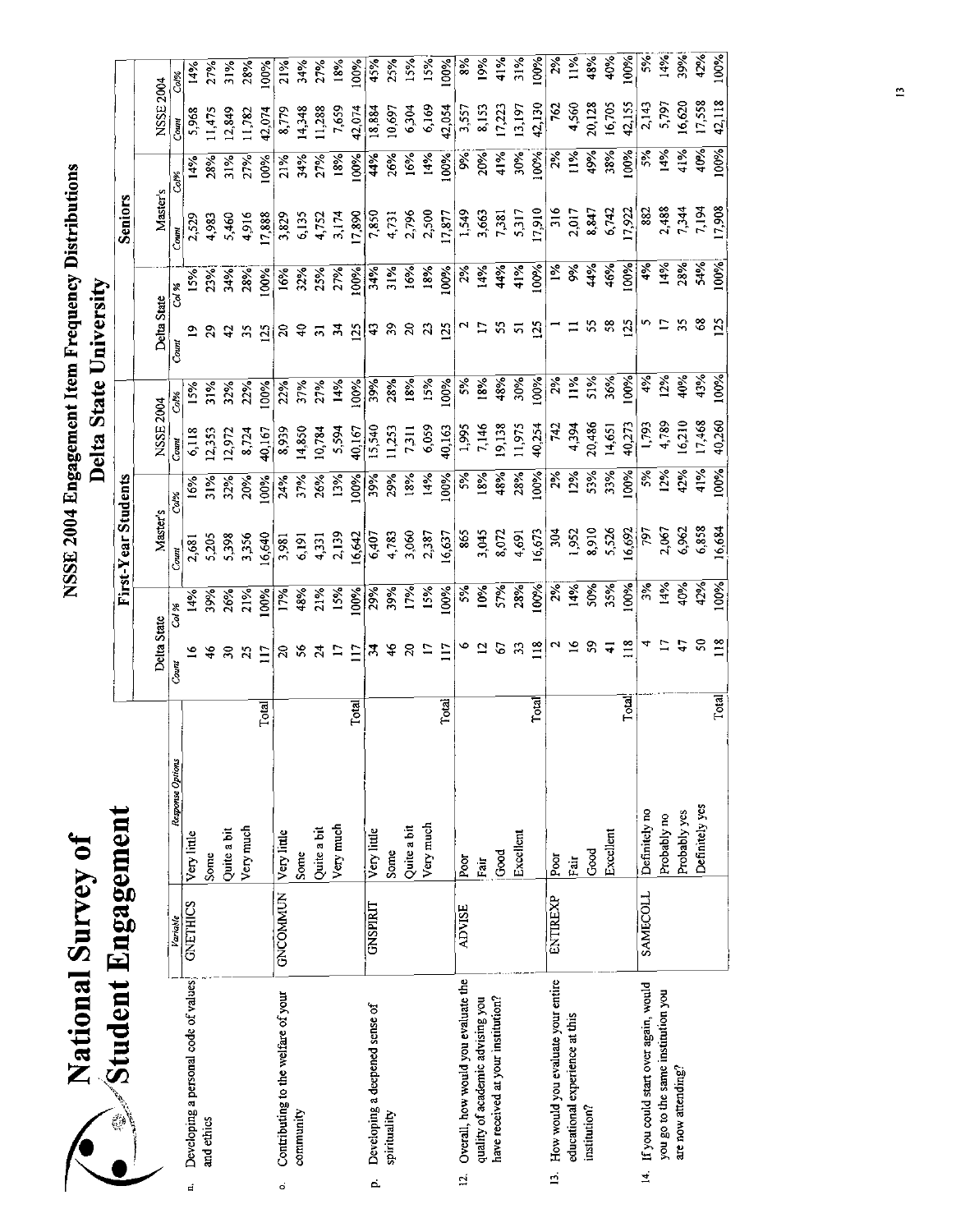| $\ddot{\phantom{a}}$<br>$\frac{1}{2}$                                                                                     |                                           |
|---------------------------------------------------------------------------------------------------------------------------|-------------------------------------------|
| ;<br>יים מי המונו<br>$\vdots$<br>1<br>ı Freq.<br>t Iten<br><b>TOM</b><br>$-2557$<br>0<br>0<br> <br>$^{\circ}$ SE 2004 Ene | Ì<br>್ನ<br>$\frac{3}{2}$<br>$\frac{3}{2}$ |

| National Survey of                                     |                 |                  |       |                             |       |                     |        | Delta     | <b>State</b> | NSSE 2004 Engagement Item Frequency Distributions<br>University |        |                |                   |           |      |
|--------------------------------------------------------|-----------------|------------------|-------|-----------------------------|-------|---------------------|--------|-----------|--------------|-----------------------------------------------------------------|--------|----------------|-------------------|-----------|------|
| $\mathcal{S}$ tudent Engagement                        |                 |                  |       |                             |       |                     |        |           |              |                                                                 |        |                |                   |           |      |
|                                                        |                 |                  |       |                             |       | First-Year Students |        |           |              |                                                                 |        | <b>Seniors</b> |                   |           |      |
|                                                        |                 |                  |       | Delta State                 |       | Master's            |        | NSSE 2004 |              | Delta State                                                     |        | Master's       |                   | NSSE 2004 |      |
|                                                        | Variable        | Response Options |       | Count                       | Cai % | Count               | $Ca\%$ | Count     | Co.%         | Count                                                           | Col %  | Coun           | Sde"              | Count     | Col% |
| Developing a personal code of values<br>E              | <b>GNETHICS</b> | Very little      |       |                             | 14%   | 2,681               | 16%    | 6,118     | 15%          |                                                                 | 15%    | 2,529          | 14%               | 5,968     | 14%  |
| and ethics                                             |                 | Some             |       | 46                          | 39%   | 5,205               | 31%    | 12,353    | 31%          | 29                                                              | 23%    | 4,983          | 28%               | 11475     | 27%  |
|                                                        |                 | Quite a bit      |       | $\boldsymbol{\mathfrak{D}}$ | 26%   | 5,398               | 32%    | 12,972    | 32%          | $\ddot{c}$                                                      | 34%    | 5,460          | $\frac{31\%}{25}$ | [2,849]   | 31%  |
|                                                        |                 | Very much        |       | 25                          | 21%   | 3,356               | 20%    | 8,724     | 22%          | 35                                                              | 28%    | 4,916          | 27%               | 11,782    | 28%  |
|                                                        |                 |                  | Total | $\overline{117}$            | 100%  | 16,640              | 100%   | 40,167    | 00%          | 125                                                             | 00%    | 17,888         | 00%               | 42.074    | 100% |
| Contributing to the welfare of your<br>ó               | <b>GNCOMMUN</b> | Very little      |       | $\approx$                   | 17%   | 3,981               | 24%    | 8,939     | 22%          | $\boldsymbol{5}$                                                | 16%    | 3,829          | 21%               | 8,779     | 21%  |
| community                                              |                 | Some             |       | 56                          | 48%   | 6,191               | 37%    | 14,850    | 37%          | $\epsilon$                                                      | 32%    | 6135           | 34%               | 14,348    | 34%  |
|                                                        |                 | Quite a bit      |       |                             | 21%   | 4,331               | 26%    | 10,784    | 27%          | $\overline{5}$                                                  | 25%    | 4,752          | 27%               | 11,288    | 27%  |
|                                                        |                 | Very much        |       | $\square$                   | 15%   | 2,139               | 13%    | 5,594     | 14%          | $\frac{1}{2}$                                                   | 27%    | 3,174          | 18%               | 7,659     | 18%  |
|                                                        |                 |                  | Total | $\overline{117}$            | 100%  | 16,642              | 100%   | 40,167    | 100%         | 125                                                             | 100%   | 17,890         | 100%              | 42,074    | 100% |
| Developing a deepened sense of<br>d,                   | <b>GNSPIRIT</b> | Very little      |       | $\mathbf{z}$                | 29%   | 6,407               | 39%    | 15,540    | 39%          | $\ddot{ }$                                                      | 34%    | 7850           | 44%               | 18,884    | 45%  |
| spirituality                                           |                 | Some             |       | 46                          | 39%   | 4,783               | 29%    | 11,253    | 28%          | $\mathfrak{S}$                                                  | $31\%$ | 4,731          | 26%               | 10,697    | 25%  |
|                                                        |                 | Quite a bit      |       | $\overline{z}$              | 17%   | 3,060               | 18%    | 7,311     | 18%          | $\boldsymbol{\mathcal{Z}}$                                      | $ 6\%$ | 2,796          | $ 6\%$            | 6,304     | 15%  |
|                                                        |                 | Very much        |       | $\Xi$                       | 15%   | 2,387               | 14%    | 6,059     | 15%          | $\boldsymbol{z}$                                                | 18%    | 2,500          | 14%               | 6,169     | 15%  |
|                                                        |                 |                  | Total | $\overline{11}$             | 00%   | 16,637              | 100%   | 40,163    | 100%         | 125                                                             | 100%   | 17,877         | 100%              | 42,054    | 100% |
| Overall, how would you evaluate the<br>$\overline{5}$  | <b>ADVISE</b>   | Poor             |       | ۴                           | 5%    | 865                 | 5%     | 1,995     | 5%           | N                                                               | 2%     | 1,549          | $9\%$             | 3,557     | 8%   |
| quality of academic advising you                       |                 | Fair             |       | $\overline{12}$             | 10%   | 3,045               | 18%    | 7,146     | 18%          | Ξ                                                               | 14%    | 3,663          | 20%               | 8,153     | 19%  |
| have received at your institution?                     |                 | Good             |       | 67                          | 57%   | 8,072               | 48%    | 19,138    | 48%          | S,                                                              | 44%    | 7,381          | 41%               | 17,223    | 41%  |
|                                                        |                 | Excellent        |       | 33                          | 28%   | 4,691               | 28%    | 11,975    | 30%          | 5                                                               | 41%    | 5,317          | 30%               | 13,197    | 31%  |
|                                                        |                 |                  | Total | $\approx$                   | 100%  | 16,673              | 100%   | 40,254    | 100%         | $\tilde{\mathbf{z}}$                                            | 100%   | 17,910         | 100%              | 42,130    | 100% |
| How would you evaluate your entire<br>$\overline{1}$   | ENTIREXP        | Poor             |       | N                           | 2%    | 304                 | 2%     | 742       | 2%           |                                                                 | $1\%$  | 316            | 2%                | 762       | 2%   |
| educational experience at this                         |                 | Pair             |       | $\tilde{=}$                 | 14%   | 1,952               | 12%    | 4394      | 11%          | ⊒                                                               | 9%     | 2.017          | 11%               | 4,560     | 11%  |
| institution?                                           |                 | Good             |       | SS                          | 50%   | 8,910               | 53%    | 20,486    | 51%          | ς,                                                              | 4%     | 8,847          | 49%               | 20,128    | 48%  |
|                                                        |                 | Excellent        |       | $\overline{4}$              | 35%   | 5,526               | 33%    | 14,651    | 36%          | 58                                                              | 46%    | 6,742          | 38%               | 16,705    | 40%  |
|                                                        |                 |                  | Total | $\frac{8}{18}$              | 100%  | 16,692              | 100%   | 40,273    | 100%         | 125                                                             | 00%    | 17,922         | 100%              | 42,155    | 100% |
| If you could start over again, would<br>$\overline{4}$ | SAMECOLL        | Definitely no    |       | 4                           | 3%    | 797                 | 5%     | 1,793     | 4%           | n                                                               | 4%     | 882            | 5%                | 2,143     | 5%   |
| you go to the same institution you                     |                 | Probably no      |       | $\overline{17}$             | 14%   | 2,067               | 12%    | 4,789     | 12%          | Ξ                                                               | 14%    | 2,488          | 14%               | 5,797     | 14%  |
| are now attending?                                     |                 | Probably yes     |       | $\frac{4}{3}$               | 40%   | 6,962               | 42%    | 16,210    | 40%          | 55                                                              | 28%    | 7,344          | 41%               | 16,620    | 39%  |
|                                                        |                 | Definitely yes   |       | ິລ                          | 42%   | 6,858               | 41%    | 17,468    | 43%          | 3                                                               | 54%    | 7,194          | 40%               | 17,558    | 42%  |
|                                                        |                 |                  | Total | $\frac{18}{2}$              | 100%  | 16,684              | 100%   | 40,260    | 100%         | $\overline{25}$                                                 | 100%   | 17,908         | 100%              | 42,118    | 100% |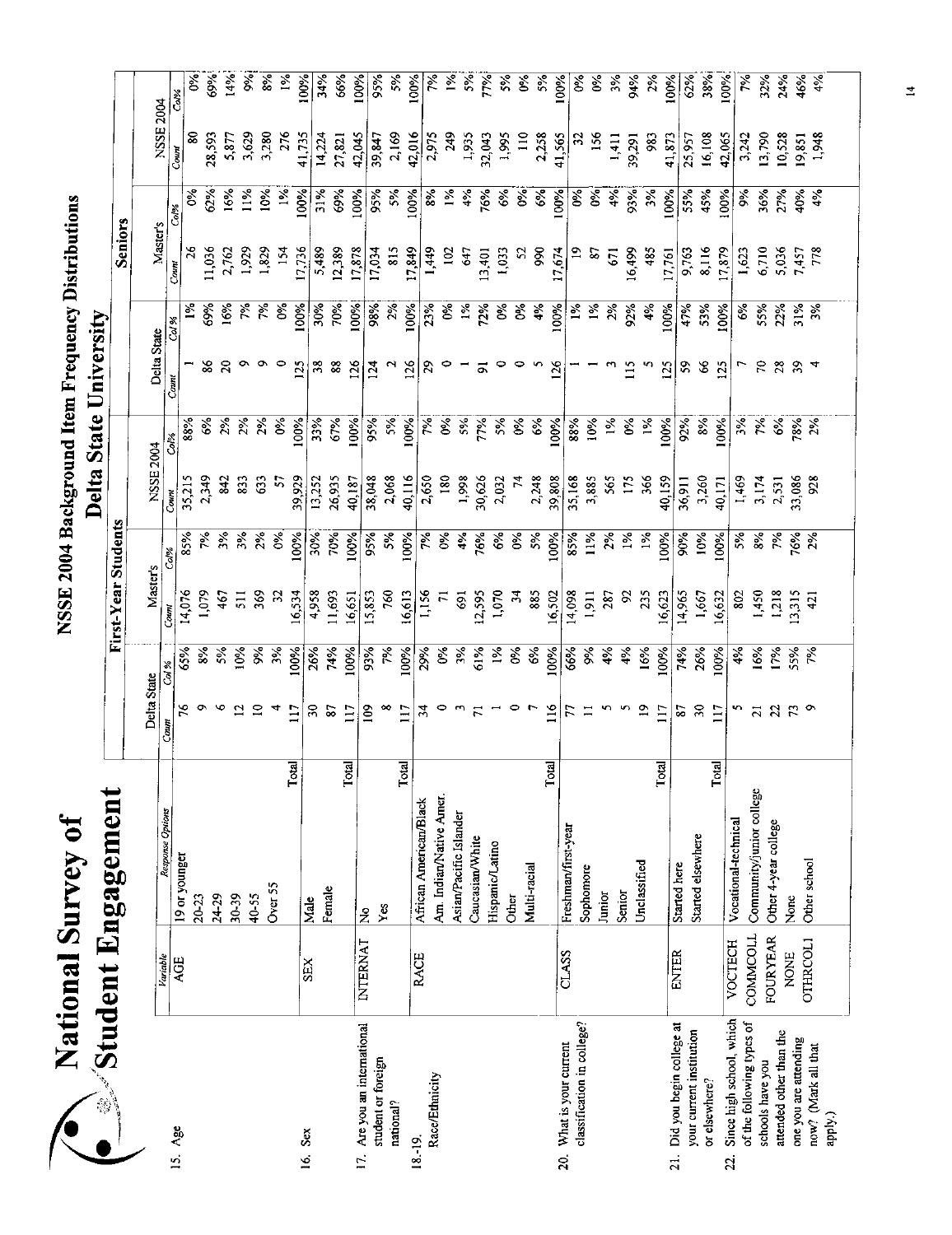~/~t:tiOnal Snrvey of National Survey of

#### NSSE 2004 Background Item Frequency Distributions NSSE 2004 Background Item Frequency Distributions Delta State University

|                                                        |                 |                          |                 |                  |                     |                  |                 |                | Delta State University |                    |                   |                |                   |               |
|--------------------------------------------------------|-----------------|--------------------------|-----------------|------------------|---------------------|------------------|-----------------|----------------|------------------------|--------------------|-------------------|----------------|-------------------|---------------|
|                                                        |                 | $\gg$ Student Engagement |                 |                  | First-Year Students |                  |                 |                |                        |                    | Seniors           |                |                   |               |
|                                                        |                 |                          | Delta State     |                  | Master's            |                  | NSSE 2004       |                | Delta State            |                    |                   |                |                   |               |
| 15. Age                                                | Variable        | Response Options         | Count           | Col %            | Count               | Col%             | Count           |                | Cov                    | Col %              | Master's<br>Count | Col%           | NSSE 2004<br>Coun | Col%          |
|                                                        | AGE             | 19 or younger            |                 | 65%              | 14,076              | 85%              | 35,215          | 88%            |                        | $\frac{5}{2}$      |                   | š              | 8                 | š             |
|                                                        |                 | $20 - 23$                |                 | 8%               | 1,079               | 究                | 2,349           | $\mathcal{E}$  |                        | 69%                | 11,036            | 62%            | 28,593            | 69%           |
|                                                        |                 | 24.29                    |                 | 5%               | 467                 | $3\%$            | 842             | 2%             | ಹಿ ನಿ                  | 16%                | 2,762             | 16%            | 5,877             | 14%           |
|                                                        |                 | 30-39                    | $\mathbf{r}$    | 10%              | 511                 | $3%$<br>$2%$     | 833             | 2%             |                        | 7%                 | 1,929             | 11%            | 3,629             | $\%$          |
|                                                        |                 | 40-55                    | S               | $\frac{5}{6}$    | 369                 |                  | 63              | 2%             |                        | $50^{\circ}$       | 1,829             | 10%            | 3,280             | ž,            |
|                                                        |                 | Over 55                  | 4               | 3%               | S                   | $0\%$            | 5               | $6\%$          |                        | $\delta$           | 154               | $\frac{5}{6}$  | 276               | $\frac{5}{2}$ |
| 16. Sex                                                | <b>SEX</b>      | Total                    | $\Xi$           | 100%             | 16,534              | 100%             | 39,929          | 100%           | 125                    | 100%               | 17,736            | 100%           | 41,735            | 100%          |
|                                                        |                 | Male                     | $\mathcal{E}$   | 26%              | 4,958               | 30%              | 13,252          | 33%            | 38                     | 30%                | 5,489             | 31%            | 14,224            | 34%           |
|                                                        |                 | Female                   | 87              | 74%              | 11,693              | 70%              | 26,935          | 67%            | $88$                   | 70%                | 12,389            | 69%            | 27,821            | 66%           |
| 17. Are you an international                           | <b>INTERNAT</b> | Total                    | $\overline{11}$ | 100%             | 16,651              | 100%             | 40,187          | 100%           | 126                    | 100%               | 17,878            | 100%           | 42,045            | 100%          |
| student or foreign                                     |                 | $\tilde{z}$              | $\frac{8}{2}$   | 93%              | 15,853              | 95%              | 38,048          | 95%            | $^{124}$               | 98%                | 17,034            | 95%            | 39,847            | 95%           |
| national?                                              |                 | Yes                      | $\infty$        | 7%               | 760                 | 5%               | 2,068           | 5%             | $\mathbf{r}$           | 2%                 | 815               | 5%             | 2,169             | 5%            |
| $18 - 19.$                                             |                 | Total                    | $\overline{11}$ | 100%             | 16,613              | 100%             | 40,116          | 100%           | $\overline{26}$        | 100%               | 17,849            | 100%           | 42,016            | 100%          |
| Race/Ethnicity                                         | <b>RACE</b>     | African American/Black   | $\mathcal{L}$   | 29%              | 1,156               | $\tilde{\gamma}$ | 2,650           | $\approx$      | 29                     | 23%                | 1,449             | 8%             | 2,975             | <b>گرد</b>    |
|                                                        |                 | Am. Indian/Native Amer.  | °               | $\delta^{\rm s}$ | $\overline{r}$      | ષ્ટ્ર            | 180             | $0\%$          |                        | $6\%$              | 102               | $\frac{5}{26}$ | 249               | $\frac{5}{6}$ |
|                                                        |                 | Asian/Pacific Islander   |                 | 3%               | $\overline{69}$     | 4%               | 1,998           | 5%             |                        | $\frac{5}{2}$      | 647               | 4%             | 1,935             | $\frac{5}{6}$ |
|                                                        |                 | Caucasian/White          |                 | 61%              | 12,595              | 76%              | 30,626          | 77%            | $\overline{\circ}$     | 72%                | 13,401            | 76%            | 32,043            | 77%           |
|                                                        |                 | Hispanic/Latino          |                 | $\frac{5}{26}$   | 1,070               | 6%               | 2,032           | 5%             | P                      | $\delta$           | 1,033             | 6%             | 1,995             | $\frac{5}{6}$ |
|                                                        |                 | Other                    | 0               | જે               | $\ddot{ }$          | $\delta$         | $\overline{74}$ | $\delta$       |                        | 9%                 | 52                | Š              | $\frac{10}{2}$    | š             |
|                                                        |                 | Multi-racial             |                 | 6%               | 885                 | 5%               | 2,248           | 6%             |                        | 4%                 | 990               | $6\%$          | 2,258             | 5%            |
|                                                        |                 | Total                    | 116             | 100%             | 16,502              | 100%             | 39,808          | 100%           | 126                    | 100%               | 17,674            | 100%           | 41,565            | 100%          |
| classification in college?<br>20. What is your current | CLASS           | Freshman/first-year      |                 | 66%              | 14,098              | 85%              | 35,168          | 88%            |                        | $\tilde{\epsilon}$ |                   | $\delta$       | z                 | ళ             |
|                                                        |                 | Sophomore                |                 | 9%               | 1,911               | 11%              | 3,885           | 10%            |                        | $1\%$              | S)                | $\delta$       | 156               | క             |
|                                                        |                 | Junior                   | n               | 4%               | 287                 | 2%               | 565             | $1\%$          |                        | 2%                 | 671               | 4%             | 1,411             | $\frac{5}{6}$ |
|                                                        |                 | Senior                   |                 | 4%               | S,                  | $\frac{5}{6}$    | 175             | $\mathcal{E}$  | 115                    | 92%                | 16,499            | 9.96           | 39,291            | 94%           |
|                                                        |                 | Unclassified             | $\mathbf{r}$    | 16%              | 235                 | 1%               | 366             | $\frac{5}{26}$ |                        | 4%                 | 485               | 3%             | 983               | 2%            |
| 21. Did you begin college at                           | <b>ENTER</b>    | Total                    | 117             | 100%             | 16,623              | 100%             | 40,159          | 100%           | 125                    | 100%               | 17,761            | 100%           | 41,873            | 100%          |
| your current institution                               |                 | Started here             | 2               | 74%              | 14965               | 90%              | 36,911          | 92%            | 59                     | 47%                | 9,763             | 55%            | 25,957            | 62%           |
| or elsewhere?                                          |                 | Started elsewhere        | $\approx$       | 26%              | 1,667               | 10%              | 3,260           | 8%             | $\infty$               | 53%                | 8,116             | 45%            | 16,108            | 38%           |
| 22.                                                    | <b>VOCTECH</b>  | Total                    | $\overline{11}$ | 100%             | 16,632              | 100%             | 40,171          | 100%           | 125                    | 100%               | 17,879            | 100%           | 42,065            | 100%          |
| Since high school, which<br>of the following types of  | <b>COMMODLL</b> | Vocational-technical     |                 | 4%               | 302                 | 5%               | 1,469           | 3%             |                        | 6%                 | 1,623             | $\frac{5}{20}$ | 3,242             | ें<br>र       |
| schools have you                                       |                 | Community/junior college | $\overline{z}$  | 16%              | 1450                | $8\%$            | 3,174           | 7%             | R                      | 55%                | 6,710             | 36%            | 13,790            | 32%           |
| attended other than the                                | <b>FOURYEAR</b> | Other 4-year college     | $\mathfrak{a}$  | 17%              | 1,218               | 7%               | 2,531           | 6%             | 28                     | 22%                | 5,036             | 27%            | 10,528            | 24%           |
| one you are attending                                  | <b>NONE</b>     | None                     |                 | <b>SS%</b><br>7% | 3,315               | 76%              | 33,086          | 78%            | 39                     | 31%                | 7,457             | 40%            | 19,851            | 46%           |
| now? (Mark all that                                    | <b>OTHRCOLI</b> | Other school             | $\sim$          |                  | 421                 | $2\%$            | 928             | 2%             |                        | 3%                 | 778               | $\sim 4$       | 1,948             | 4%            |
| apply)                                                 |                 |                          |                 |                  |                     |                  |                 |                |                        |                    |                   |                |                   |               |
|                                                        |                 |                          |                 |                  |                     |                  |                 |                |                        |                    |                   |                |                   |               |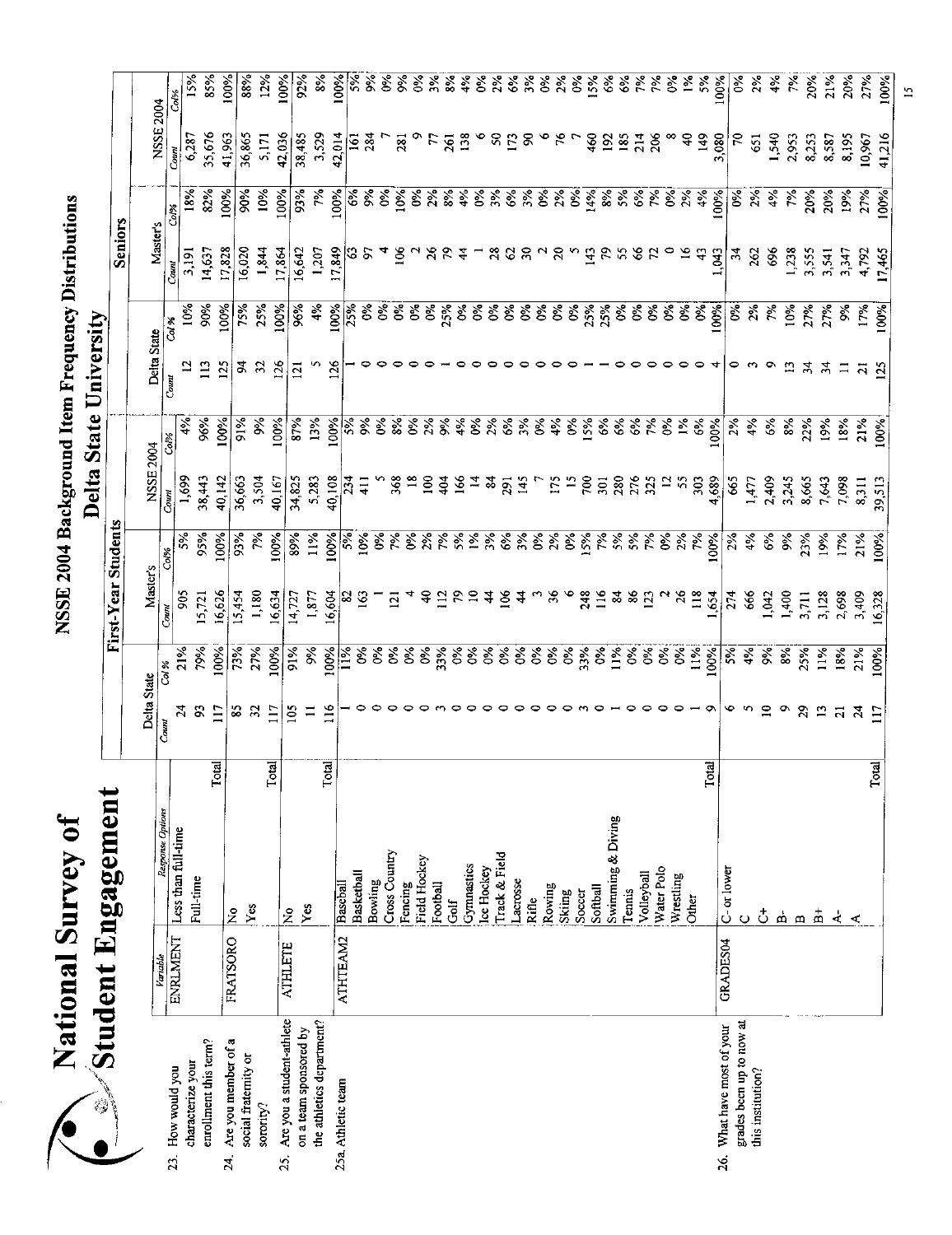### NSSE 2004 Background Item Frequency Distributions NSSE 2004 Background Item Frequency Distributions

~/~~ional Survey of

National Survey of

85% 100% 88% 12% 100%  $\begin{array}{|r|} \hline \text{1.5 } \hline \text{1.5 } \hline \text{1.5 } \hline \text{1.5 } \hline \text{1.5 } \hline \text{1.5 } \hline \text{1.5 } \hline \text{1.5 } \hline \text{1.5 } \hline \text{1.5 } \hline \text{1.5 } \hline \text{1.5 } \hline \text{1.5 } \hline \text{1.5 } \hline \text{1.5 } \hline \text{1.5 } \hline \text{1.5 } \hline \text{1.5 } \hline \text{1.5 } \hline \text{1.5 } \hline \text{1.5 } \$  $21%$ 27% 85 73%i 15,454 93% 36,663 91% 94 75% 16,020 90% 36,865 88% 32 27%1 1,180 7% 3,504 9% 32 25% 1,844 10% 5,171 12%  $\frac{117}{100\%}$  16,634 100% 40,167 100% 126 100% 17,864 100% 42,036 100% 105 91% 14,727 89% 34,825 87% 121 96% 16,642 93% 38,485 92% II 9% 1,877 11% 5,283 13% 5 4% 1,207 7% 3,529 8% 92%  $0%$  $2%$ 20% 00% Delta State<br>Comm Cod State Comm Comm Coles Comm Cod's Comm Cod's Constant Cod's Comm Cod's Comm Cod's Constant Cod Codes<br>24 21% 905 5% 1,699 4% 12 10% 3,191 18% 6,287 15%  $5%$ 93 79% 15,721 95% 38,443 96% 113 90% 14,637 82% 35,676 85% 117 100% 16,626 100% 40,142 100% 125 100% 17,828 100% 41,963 100% 6 5%[ 274 2% 665 2% 0 0% 34 0% 70 0% 5 4%1 666 4% 1,477 4% 3 2% 262 2%1 651 2% 10 9%: 1,042 6% 2,409 6% 9 7% 696 4% 1,540 4%  $4%$ 9 8%1 1,400 9% 3,245 8% 13 10% 1,238 7% 2,953 7% ेर्व 29 25%1 3,711 23% 8,665 22% 34 27% 3,555 20% 8,253 20% 20% 13 11% 3,128 19% 7,643 19% 34 27% 3,541 20% 8,587 21% 21 18% 2,698 17% 7,098 18% 11 9% 3,347 19% 8,195 20% 24 21% 3,409 21% 8,311 21% 21 17% 4,792 27% 10,967 27%  $\frac{117}{117}$  100% 16,328 100% 39,513 100% 125 100% 17,465 100% 41,216 100% Col% NSSE 2004 35,676 6,287 41,963 36,865  $5,171$ 42,036 38,485 2,953 8,253 8,587 41,216  $\overline{5}$ 651 540 8,195 0,967  $\overline{\phantom{a}}$ 100% 18%  $32%$ 00% 90%  $|0\%|$  $00%$  $3%$  $\frac{56}{2}$  $\overline{\mathcal{E}}$  $2\%$ 4%  $\overline{\mathcal{E}}$ **10%**  $27%$ **2006** 19% Coler Seniors Master's First-Year Students **Seniors**  17,828 16,642  $1,238$ 16,020 1,844 17,864 1,207 262 696 3,555 3,191 14,637  $\frac{3}{4}$ 3,541 3,347 4,792 17,465  $Comt$  $00%$ 10% **2006** 5%  $25%$ 00%  $36%$ 4%  $\overline{\mathcal{E}}$  $\sqrt{2}$  $\overline{\mathscr{E}}$  $\sqrt{60}$  $27%$ **17%**  $\frac{8}{3}$  $\overline{\mathbf{r}^2}$  $100%$ Delta State University Delta State University Col % Delta State  $\overline{2}$  $113$  $\overline{2}$ \$  $32$  $126$  $\overline{\Xi}$  $\triangledown$  $\ddot{\phantom{0}}$  $\omega$  $\circ$  $\Omega$  $\mathfrak{p}$  $\mathbf{z}$  $\overline{125}$  $\Xi$  $\overline{a}$ Count i  $96%$  $|0%$ 91% 87% ुङ्  $00%$  $\overline{3\%}$  $21\%$  $\overline{\mathcal{S}}$ 4%  $\frac{8}{3}$  $5%$  $\frac{8}{3}$  $22%$ régi 18% Col% NSSE 2004 1,699 38,443 40.142 36,663 3,504 40.167 5,283  $1,477$ 2,409 3,245 8,665 39,513 34,825 7,643 7,098  $8,311$ Count First-Year Students  $5%$ 05%  $\overline{\mathcal{S}}$  $93%$  $00%$  $2%$  $100%$ 7% 39% 11%  $4%$ 8% 9%  $9%$ 7%  $21%$ Col% Master's  $1400$ 905 6,626 5,454 1,180 6634  $14,727$ 1,877  $3,711$ 3,128 2,698 3,409 6328  $5721$ 666 **042**  $Comn$  $21%$  $79%$  $00%$  $91\%$  $00%$ 100%  $3%$ 27%  $\frac{5}{6}$  $4%$  $\frac{5}{2}$  $8%$  $25%$  $\overline{1\%}$  $18%$  $21%$  $\overline{cd\%}$ Delta State  $\overline{2}$ S,  $\Xi$ È  $\tilde{c}$  $\subseteq$  $\circ$  $\overline{2}$  $\mathfrak{Z}$  $\mathbf{r}$ ప  $\equiv$  $\overline{z}$  $\frac{54}{11}$ Count i<br>internet -- $\overline{\phantom{a}}$ Total Total<br>Lotal Total! Total Total **dent** .Engagement Student Engagement Response Options *Response Options*  Softball<br>Swimming & Diving Swimming & Diving Less than full-time Less than full-time Cross Country Bowling<br>Cross Country rack & Field jTrack & Field ; Field Hockey Fencing<br>Field Hockey Gymnastics<br>Lee Hockey :Ice Hockey Volleyball<br>Water Polo  $GRAJES04$   $C-$  or lower !Water Polo C-or lower I Basketball **Basketball** Wrestling ,Lacrosse Full-time Rowing Baseball ATHTEAM2 | Baseball [Football l'ennis ;Skiing Soccer [Golf : Rifle **Other** ,Yes jYes No  $\tilde{z}$ B B+  $\vec{c}$ ا <u>م</u><br>- $\mathbf{A}$  $\overline{\mathbf{r}}$  $\circ$ . . . . . <u>.</u>  $\overline{\phantom{a}}$  $-$ *Variable*  **ATHTEAM2** ENRLMENT FRATSORO FRATSORO GRADES04 **ATHLETE** 25. Are you a student-athlete | ATHLETE Are you a student-athlete the athletics department? grades been up to now at the athletics department' 26. What have most of your on a team sponsored by on a team sponsored by 26. What have most of your grades been up to now Are you member of a 24. Are you member of a enrollment this term? enrollment this term? social fratemity or social fraternity or characterize your characterize your How would you 23. How would you this institution? this institution? 25a. Athletic team 25a. Athletic team 鷄 sorority?  $23.$  $24$ 25.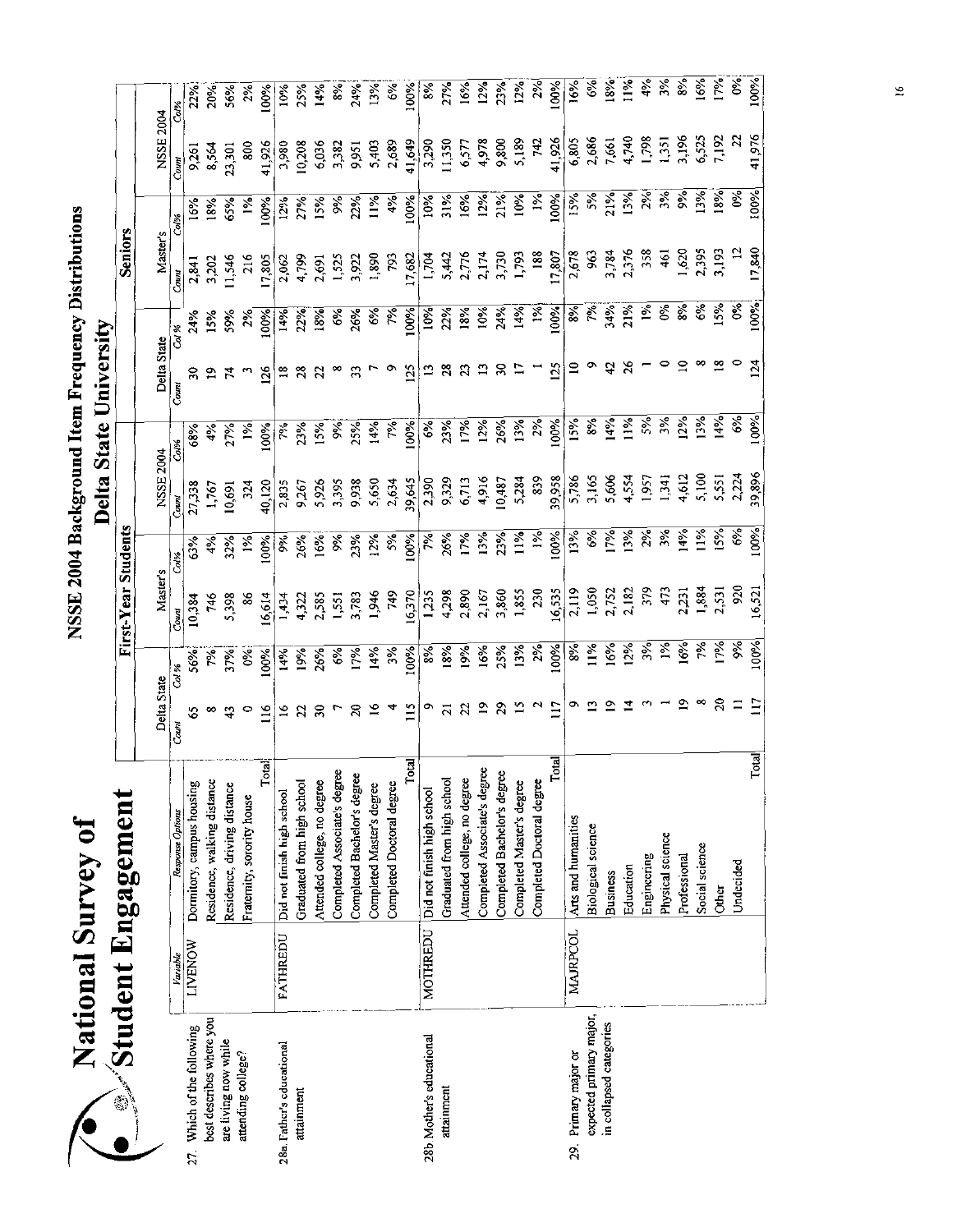NSSE 2004 Background Item Frequency Distributions NSSE 2004 Background Item Frequency Distributions

National Survey of

√s001 9.05.117 12.000 0101%;17 12.0001 12.0001 100001 100001 12.0796 10001 12.0001 12.0001 12.0001 1 Other 1796 1796 1796 18 18 18 18 18 18 18 18 18 1980 1796 1796 1796 1796 1796 1797 1798 1798 1798 179 Undecided 11 9% 9% 920 6% 2,224 6% 0 0% 12 0% 22 0%; Completed Master's degree 15 13% 1,855 11% 5,284 13% 17 14%i 1,793 10% 5,189 12%:  $16%$ 19%1 13 12% 90%1 9%1 9 12% 8 11%1 9 12%1 9 12%1 9 12%1 9 12%1 9 12%1 9 12%1 9 12%1 9 12%1 9 12%1 9 12%1 9 12%1  $18%$ Business 19 1601 17.752 1796 5,606 14% 42 34%; 34%; 3,784 21% 7,661 16%;  $11%$ Education 14 14 12% 12% 12% 12% 12% 12% 26 21% 2,376 12% 4,740 11%  $4\%$ Engineering 3% 39% 39% 39% 39% 39% 1,957 2% 1,958 358 358 3798 4%  $\overline{\mathcal{E}}$ Physical science 1 1% 1,341  $1\frac{9}{6}$  1,341  $1\frac{9}{6}$  1,341  $1\frac{9}{6}$  1,351  $1\frac{9}{6}$  1,351 3,351  $\frac{8}{3}$ Professional 19 19 19 19 19 14% 4,612 12% 14% 10 10 8% 1,620 9% 3,196 8% 8%  $6%$ Social science 8 7% 1,884 1,964 12% 5,100 13% 8 6 6 6 6 6,525 13% 6,525 16% 6,525 17% Š 00% | Completed Bachelor's degree | 20 17% 3,783 23% 3,783 23% 3,783 27%;<br>| 20%| 9,931 22%| 9,932 20%| 9,938 25%| 9,783 25%| 9,783 25%| 9,783 26%| 7,83  $\begin{bmatrix}\n\text{completely Aaster's degree} \\
\text{14% } 1,946 \\
\text{15. } 12\% \\
\text{26. } 1,96\n\end{bmatrix}\n\quad\n\begin{bmatrix}\n\text{14% } 1,946 \\
\text{27. } 1,96 \\
\text{28. } 1,96\n\end{bmatrix}\n\quad\n\begin{bmatrix}\n\text{14% } 1,96 \\
\text{15. } 1,96 \\
\text{16. } 1,96 \\
\text{17. } 6\% \\
\text{18. } 1,96 \\
\text{18. } 1,96\n\end{bmatrix}\n\quad\n\$ "δ000" 11500" 11600" 11000" 12500" 12500" 12500" 125000" 125000" 125000" 125000" 17,682 10000 10000 10000 100<br>| 11000 17,692 11,682 1000 10000 10000 17,693 10000 10000 10000 10000 10000 10000 10000 10000 10000 10000 100 | Completed Associate's degree | 19 16% 2,167 13% 4,916 12% 13 10% 2,174 12% 4,978 12% 12%<br>| Completed Bachelor's degree | 29 25% 3,860 23% 10,487 26% 30 24% 3,730 21% 9,800 23%  $2%$  $2%$ 100% 29. Primary major or Arts and humanities 9 9 9 9 9 12 119 10 10 10 2,578 15% 15% 15% 15% 15% 15% 10 10 10 10 1  $\overline{\mathcal{E}}$ INENOW Donnitory, campus housing is so in 10,384 63% 27,338 68% 30 24% 2,841 16% 9,261 22% Residence, walking distance ; 8 8 7%; 7%; 1,767 4% 1,767 19 19 19 19% 1,768; 3,202 18% 8,564 20%; 00%  $\frac{3}{2}$ Completed Associate's degree 1,551 3,395 9%i 3,395 9%i 3,395 9%i 3,382 8%i 8%i 3,382 8%i  $13%$  $\frac{1}{2}$   $\frac{1}{2}$   $\frac{1}{2}$   $\frac{1}{2}$   $\frac{1}{2}$   $\frac{1}{2}$   $\frac{1}{2}$   $\frac{1}{2}$   $\frac{1}{2}$   $\frac{1}{2}$   $\frac{1}{2}$   $\frac{1}{2}$   $\frac{1}{2}$   $\frac{1}{2}$   $\frac{1}{2}$   $\frac{1}{2}$   $\frac{1}{2}$   $\frac{1}{2}$   $\frac{1}{2}$   $\frac{1}{2}$   $\frac{1}{2}$   $\frac{1}{2}$  00%  $27%$ Graduated from high school 18% 28% 9,329 28% 28% 28% 28% 28% 28% 29% 27% 27% 27%  $|6%$ Attended college, no degree | 22 19% 2,890 17% 17% | 23 18% 2,776 16% 6,577 16% 2,777  $\overline{2\%}$  $23%$ Completed DoctoraJ degree 2 2% 230 1% 839 2% 1 1%1 188 1% 742 2% الابا 117 12,000 1000 10000 10000 10000 10000 10000 10000 10000 10000 10000 10000 17,8000 10000 10000 17,8000 <br>محمد 17,8000 10000 10000 10000 10000 10000 17,8000 10000 10000 10000 10000 10000 10000 10000 10000 10000 10000 Delta State I Master's NSSE 2004 Delta State Master's NSSE 2004 22% 20%  $\begin{array}{|l|l|}\n\hline\n\text{Residence, driving distance} \text{distance} & 43 & 37\%i & 5,398 & 32\%i & 10,691 & 27\%i & 59\%i & 11,546 & 65\%i & 56\%i \\
\hline\n\text{Fraternity, sorority house} & 0 & 0\%i & 86 & 1\%i & 324 & 1\%i & 3 & 2\%i & 216 & 1\%i & 800 & 2\$  $56%$  $2%$ 10%  $25%$ i Graduated from high school 22 19% 4,322 26% 9,267 23% 28 22% 4,799 27%, 10,208 25%  $|4%$ i Attended college, no degree 30 26% 2,585 16%! 5,926 15% 22 18% 2,691 15%' 6,036 14%  $24%$  $\frac{6}{3}$  $8%$ MOTHREDU Did not finish high school 9 8% 1,235 7% 2,390 6%1 13 10% 1,704 10% 3,290 8% Fratemity,sororityhouse i 0 0%: 86 1% 324 1% 3 2% 216 1% 800 2% Total! 116 100%i 16,614 100% 40,120 100% 126 100% 17,805 100% 41,926 100% FATHREDU Did not finish school 16 14% 1,434 1,434 14% 16 16 2,835 2,835 14% 18 16 2,062 12% 2,060 12% 3,980 Col% *Variable Response Options* :, *Count Col* % ~ounl *Col% Count Col% Count Col* % *Count Col% Count Col%*  NSSE 2004 3,196 6,525 7,192 41,976 4,978 9,800 5,189 742 41.926 6,805 2,686  $4,740$ 198  $^{1351}$ 5,403 2,689 41,649 3,290  $1,350$ 6,577 7,661 8,564 23,301 41,926 3,980 0,208 6,036 3,382 9,951 9,261 800 100%  $\overline{\mathbf{x}}$  $3%$  $|00\%|$ 100%  $\frac{1}{2}$  $21%$  $\sqrt{2}$  $\frac{1}{2}$  $.00%$  $5%$  $5\%$  $21%$  $3%$  $2%$  $3%$  $18%$  $6\%$  $27%$  $22%$  $11\%$  $4%$  $\delta$  $\frac{1}{2}$  $\widetilde{\mathcal{E}}$  $65%$  $5%$ Şę 16% 18%  $\frac{5}{2}$  $2%$  $\overline{c}$ al% ent Engagement First-Year Students **Seniors** Master's 17,840 188 2,395 3,193 3,784 2,376  $620$ 11,546 1,525 1,890 1,704 5,442 2,776 2,174 3,730 1793 17.807 2,678 963 358 3,202 216 17,805 4.799 2,691 3.922 793 17.682 <u>्</u> 2,062 2,841 Count  $00%$  $21%$ ৡ ò\$  $8%$ 6%  $5%$  $\frac{1}{2}$  $|00\%|$  $22%$  $10%$ 24% 1%  $\mathbb{R}$  $00%$ జీ ř, 34% 00%  $\overline{\mathcal{E}}$  $\overline{0.5}$  $18%$  $15%$ 9%  $\overline{\mathcal{E}}$ 4%  $2\%$  $\overline{\widetilde{\mathcal{E}}}$  $6%$  $26%$ γý. 24% Delta State University Col % Delta State University Delta State  $\overline{S}$  $\frac{8}{10}$  $\circ$  $\mathbb{Z}$  $\begin{array}{c} 2 \\ 2 \end{array}$  $\overline{1}$  $125$  $\mathbf{r}$ ۰  $\boldsymbol{\mathcal{L}}$  $26$  $\infty$  $25$ 51 ន ន  $\mathbf{z}$ 33  $\mathcal{S}$  $\mathbf{p}$  $\mathfrak{p}$  $\sim$  $\mathcal{L}_{\mathbf{0}}$  $\frac{8}{10}$  $\boldsymbol{\mathcal{Z}}$ Count 3% 14%  $00%$  $2%$  $15%$  $1%$ 5% 3%  $2%$  $\frac{6}{6}$  $\vert$ 00%  $25%$  $7\%$ 100%  $23%$ 7%  $12%$ 26% 13% 100% 8%  $4%$  $27%$  $23%$  $|5%$  $\frac{1}{2}$ 14%  $\Im$ 68% 4% 7% Col<sup>p</sup>é NSSE 2004 4,612 5,100 39,896 4,916 10,487 5,284 839 5,786 3,165 5,606 4,554 1,957 2,224 9,329 6,713 39,958  $14<sup>5</sup>$ 5,551 40,120 9,267 5,926 5,395 9,938 5,650 2,634 39,645 2,390 27,338 1,767  $10,691$ 324 2,835 Count First-Year Students  $3%$  $2%$  $15%$ 6%  $|00\%|$  $1%$  $\overline{\gamma_{e}^{c}}$ 3%  $14%$  $\frac{8}{10}$ 11% 100%  $13%$ 6%  $6%$  $6%$  $9%$  $23%$  $12%$  $5%$ 00% 7%  $26%$ 7% 13%  $23%$  $4\%$  $32%$  $\overline{\mathcal{E}}$  $00\%$ š  $63%$  $Cov$ Master's 230 2,119 1,050 2,752 2,182 379 2,231 1,884 2,531 920 4,298 2,890 2,167 3,860 1,855 16,535 16.521 5,398 4322 2,585  $1,551$ 3,783 1,946 749  $16,370$  $1235$ 473 10,384 746 86 6,614 1,434  $Coul$  $.00%$ 100%  $11%$  $|2%$  $3%$ ≥ 7% ρý. Ş,  $2%$ 8%  $16%$ હેં 37% 100% 18%  $9%$  $16%$ 25% 13%  $\frac{8}{3}$  $00%$ 14%  $|9%$  $26%$  $6\%$ 7% 14%  $\frac{2}{3}$ 8% 56% 7% Col % Delta State  $\bullet$  $\tilde{=}$  $\overline{4}$  $\sim$  $\mathbf{S}$  $\mathbf{S}$  $\square$ E  $\mathbf{\underline{\circ}}$ 29  $\Omega$  $\mathbf{\Omega}$  $117$  $\overline{a}$  $\mathbf{S}$  $\boldsymbol{30}$  $\overline{20}$  $\geq$  $\frac{1}{2}$ ٥  $\overline{2}$  $\mathfrak{a}$ Ś, 43 Count  $\overline{\text{Total}}$ **Total Total** Total Completed Associate's degree Completed Associate's degree Completed Bachelor's degree Completed Bachelor's degree Graduated from high school Attended college, no degree Attended college, no degree Completed Doctoral degree Dormitory, campus housing Graduated from high school Completed Doctoral degree Completed Master's degree Residence, walking distance Residence, driving distance Completed Master's degree Did not finish high school Did not finish high school  $\mathcal{L}$ Student Engagement Fratemity, sorority house ~/~t,:!onal Snrvey of Response Options Arts and humanities **Biological science** Physical science Social science Engineering Professional **Indecided Business** Education Other **MOTHREDU MAJRPCOL FATHREDU LIVENOW** Variable I expected primary major, expected primary major. best describes where you best describes where you in collapsed categories 27. Which of the following in collapsed categories 27. Which of the following 28b. Mother's educational 28b. Mother'S educationaJ are living now while are living now while 28a. Father's educational 28a. Father's educational 29. Primary major or attending college? attending colJege? attainment attainment